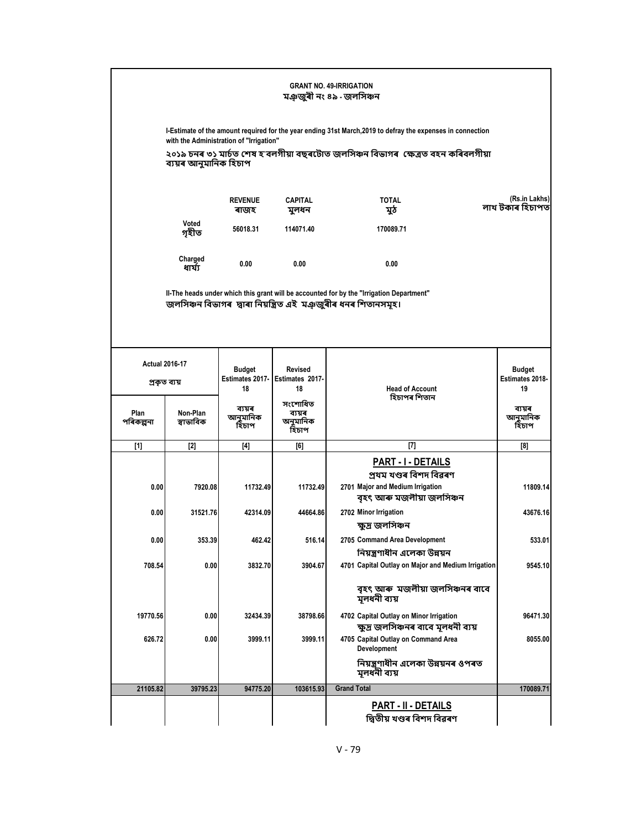|                                       | <b>GRANT NO. 49-IRRIGATION</b><br>মঞ্জজুৰী নং ৪৯ - জলসিঞ্চন                                                                                            |                                        |                                         |                                                                                                                                                            |                                               |  |  |  |
|---------------------------------------|--------------------------------------------------------------------------------------------------------------------------------------------------------|----------------------------------------|-----------------------------------------|------------------------------------------------------------------------------------------------------------------------------------------------------------|-----------------------------------------------|--|--|--|
|                                       | I-Estimate of the amount required for the year ending 31st March, 2019 to defray the expenses in connection<br>with the Administration of "Irrigation" |                                        |                                         |                                                                                                                                                            |                                               |  |  |  |
|                                       | ২০১৯ চনৰ ৩১ মাৰ্চত শেষ হ`বলগীয়া বছৰটোত জলসিঞ্চন বিভাগৰ  ক্ষেত্ৰত বহন কৰিবলগীয়া<br>ব্যয়ৰ আনুমানিক হিচাপ                                              |                                        |                                         |                                                                                                                                                            |                                               |  |  |  |
|                                       |                                                                                                                                                        | <b>REVENUE</b><br>ৰাজহ                 | <b>CAPITAL</b><br>মুলধন                 | <b>TOTAL</b><br>মুঠ                                                                                                                                        | (Rs.in Lakhs)<br>লাখ টকাৰ হিচাপত              |  |  |  |
|                                       | Voted<br>গহীত                                                                                                                                          | 56018.31                               | 114071.40                               | 170089.71                                                                                                                                                  |                                               |  |  |  |
|                                       | Charged<br>ধাৰ্য্য                                                                                                                                     | 0.00                                   | 0.00                                    | 0.00                                                                                                                                                       |                                               |  |  |  |
|                                       |                                                                                                                                                        |                                        |                                         | II-The heads under which this grant will be accounted for by the "Irrigation Department"<br>জলসিঞ্চন বিভাগৰ দ্বাৰা নিয়ন্ত্ৰিত এই মঞ্চজুৰীৰ ধনৰ শিতানসমূহ। |                                               |  |  |  |
| <b>Actual 2016-17</b><br>প্ৰকৃত ব্যয় |                                                                                                                                                        | <b>Budget</b><br>Estimates 2017-<br>18 | <b>Revised</b><br>Estimates 2017-<br>18 | <b>Head of Account</b>                                                                                                                                     | <b>Budget</b><br><b>Estimates 2018-</b><br>19 |  |  |  |
| Plan<br>পৰিকল্পনা                     | Non-Plan<br>স্বাভাবিক                                                                                                                                  | ব্যয়ৰ<br>আনুমানিক<br>হিচাপ            | সংশোধিত<br>ব্যয়ৰ<br>অনুমানিক<br>হিচাপ  | হিচাপৰ শিতান                                                                                                                                               | ব্যয়ৰ<br>আনুমানিক<br>হিচাপ                   |  |  |  |
| $[1]$                                 | $[2]$                                                                                                                                                  | $[4]$                                  | [6]                                     | $[7]$                                                                                                                                                      | [8]                                           |  |  |  |
|                                       |                                                                                                                                                        |                                        |                                         | PART - I - DETAILS<br>প্ৰথম খণ্ডৰ বিশদ বিৱৰণ                                                                                                               |                                               |  |  |  |
| 0.00                                  | 7920.08                                                                                                                                                | 11732.49                               | 11732.49                                | 2701 Major and Medium Irrigation<br>বৃহৎ আৰু মজলীয়া জলসিঞ্চন                                                                                              | 11809.14                                      |  |  |  |
| 0.00                                  | 31521.76                                                                                                                                               | 42314.09                               | 44664.86                                | 2702 Minor Irrigation<br>ক্ষুদ্ৰ জলসিঞ্চন                                                                                                                  | 43676.16                                      |  |  |  |
| 0.00                                  | 353.39                                                                                                                                                 | 462.42                                 | 516.14                                  | 2705 Command Area Development<br>নিয়ন্ত্ৰণাধীন এলেকা উন্নয়ন                                                                                              | 533.01                                        |  |  |  |
| 708.54                                | 0.00                                                                                                                                                   | 3832.70                                | 3904.67                                 | 4701 Capital Outlay on Major and Medium Irrigation                                                                                                         | 9545.10                                       |  |  |  |
|                                       |                                                                                                                                                        |                                        |                                         | বৃহৎ আৰু মজলীয়া জলসিঞ্চনৰ বাবে<br>মূলধনী ব্যয়                                                                                                            |                                               |  |  |  |
| 19770.56                              | 0.00                                                                                                                                                   | 32434.39                               | 38798.66                                | 4702 Capital Outlay on Minor Irrigation<br>ক্ষুদ্ৰ জলসিঞ্চনৰ বাবে মূলধনী ব্যয়                                                                             | 96471.30                                      |  |  |  |
| 626.72                                | 0.00                                                                                                                                                   | 3999.11                                | 3999.11                                 | 4705 Capital Outlay on Command Area<br>Development                                                                                                         | 8055.00                                       |  |  |  |
|                                       |                                                                                                                                                        |                                        |                                         | নিয়ন্ত্ৰণাধীন এলেকা উন্নয়নৰ ওপৰত<br>মলধনী ব্যয়                                                                                                          |                                               |  |  |  |
| 21105.82                              | 39795.23                                                                                                                                               | 94775.20                               | 103615.93                               | <b>Grand Total</b>                                                                                                                                         | 170089.71                                     |  |  |  |
|                                       |                                                                                                                                                        |                                        |                                         | <b>PART - II - DETAILS</b><br>দ্বিতীয় খণ্ডৰ বিশদ বিৱৰণ                                                                                                    |                                               |  |  |  |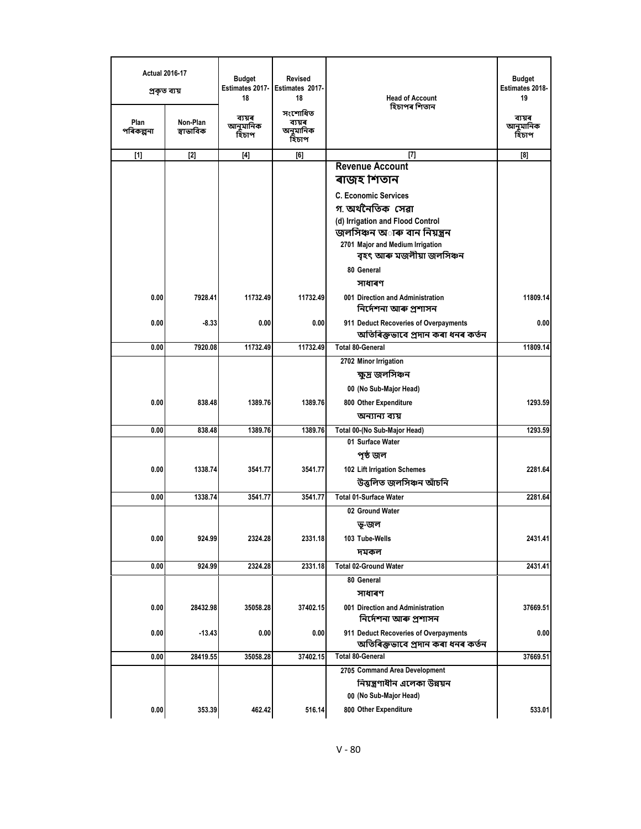| <b>Actual 2016-17</b><br>প্ৰকৃত ব্যয় |                       | <b>Budget</b><br>Estimates 2017-<br>18 | Revised<br>Estimates 2017-<br>18       | <b>Head of Account</b><br>হিচাপৰ শিতান                                     | <b>Budget</b><br>Estimates 2018-<br>19 |
|---------------------------------------|-----------------------|----------------------------------------|----------------------------------------|----------------------------------------------------------------------------|----------------------------------------|
| Plan<br>পৰিকল্পনা                     | Non-Plan<br>স্বাভাবিক | ব্যয়ৰ<br>আনুমানিক<br>হিচাপ            | সংশোধিত<br>ব্যয়ৰ<br>অনুমানিক<br>হিচাপ |                                                                            | ব্যয়ৰ<br>আনুমানিক<br>হিচাপ            |
| $[1]$                                 | $[2]$                 | $[4]$                                  | [6]                                    | $[7]$                                                                      | [8]                                    |
|                                       |                       |                                        |                                        | <b>Revenue Account</b>                                                     |                                        |
|                                       |                       |                                        |                                        | ৰাজহ শিতান                                                                 |                                        |
|                                       |                       |                                        |                                        | <b>C. Economic Services</b>                                                |                                        |
|                                       |                       |                                        |                                        | গ অর্থনৈতিক সেৱা                                                           |                                        |
|                                       |                       |                                        |                                        | (d) Irrigation and Flood Control                                           |                                        |
|                                       |                       |                                        |                                        | জলসিঞ্চন অ <b>াৰু বান নিয়ন্ত্ৰ</b> ন<br>2701 Major and Medium Irrigation  |                                        |
|                                       |                       |                                        |                                        | বৃহৎ আৰু মজলীয়া জলসিঞ্চন                                                  |                                        |
|                                       |                       |                                        |                                        | 80 General                                                                 |                                        |
|                                       |                       |                                        |                                        | সাধাৰণ                                                                     |                                        |
| 0.00                                  | 7928.41               | 11732.49                               | 11732.49                               | 001 Direction and Administration<br>নিৰ্দেশনা আৰু প্ৰশাসন                  | 11809.14                               |
| 0.00                                  | $-8.33$               | 0.00                                   | 0.00                                   | 911 Deduct Recoveries of Overpayments                                      | 0.00                                   |
|                                       |                       |                                        |                                        | অতিৰিক্তভাবে প্ৰদান কৰা ধনৰ কৰ্তন                                          |                                        |
| 0.00                                  | 7920.08               | 11732.49                               | 11732.49                               | <b>Total 80-General</b>                                                    | 11809.14                               |
|                                       |                       |                                        |                                        | 2702 Minor Irrigation                                                      |                                        |
|                                       |                       |                                        |                                        | ক্ষুদ্ৰ জলসিঞ্চন                                                           |                                        |
|                                       |                       |                                        |                                        | 00 (No Sub-Major Head)                                                     | 1293.59                                |
| 0.00                                  | 838.48                | 1389.76                                | 1389.76                                | 800 Other Expenditure<br>অন্যান্য ব্যয়                                    |                                        |
| 0.00                                  | 838.48                | 1389.76                                | 1389.76                                | Total 00-(No Sub-Major Head)                                               | 1293.59                                |
|                                       |                       |                                        |                                        | 01 Surface Water                                                           |                                        |
|                                       |                       |                                        |                                        | পৃষ্ঠ জল                                                                   |                                        |
| 0.00                                  | 1338.74               | 3541.77                                | 3541.77                                | 102 Lift Irrigation Schemes                                                | 2281.64                                |
|                                       |                       |                                        |                                        | উত্তলিত জলসিঞ্চন আঁচনি                                                     |                                        |
| 0.00                                  | 1338.74               | 3541.77                                | 3541.77                                | <b>Total 01-Surface Water</b>                                              | 2281.64                                |
|                                       |                       |                                        |                                        | 02 Ground Water                                                            |                                        |
|                                       |                       |                                        |                                        | ভূ-জল                                                                      |                                        |
| 0.00                                  | 924.99                | 2324.28                                | 2331.18                                | 103 Tube-Wells                                                             | 2431.41                                |
|                                       |                       |                                        |                                        | দমকল                                                                       |                                        |
| 0.00                                  | 924.99                | 2324.28                                | 2331.18                                | <b>Total 02-Ground Water</b>                                               | 2431.41                                |
|                                       |                       |                                        |                                        | 80 General                                                                 |                                        |
|                                       |                       |                                        |                                        | সাধাৰণ                                                                     |                                        |
| 0.00                                  | 28432.98              | 35058.28                               | 37402.15                               | 001 Direction and Administration<br>নিৰ্দেশনা আৰু প্ৰশাসন                  | 37669.51                               |
| 0.00                                  | -13.43                | 0.00                                   | 0.00                                   | 911 Deduct Recoveries of Overpayments<br>অতিৰিক্তভাবে প্ৰদান কৰা ধনৰ কৰ্তন | 0.00                                   |
| 0.00                                  | 28419.55              | 35058.28                               | 37402.15                               | <b>Total 80-General</b>                                                    | 37669.51                               |
|                                       |                       |                                        |                                        | 2705 Command Area Development                                              |                                        |
|                                       |                       |                                        |                                        | নিয়ন্ত্রণাধীন এলেকা উন্নয়ন                                               |                                        |
| 0.00                                  |                       |                                        |                                        | 00 (No Sub-Major Head)                                                     |                                        |
|                                       | 353.39                | 462.42                                 | 516.14                                 | 800 Other Expenditure                                                      | 533.01                                 |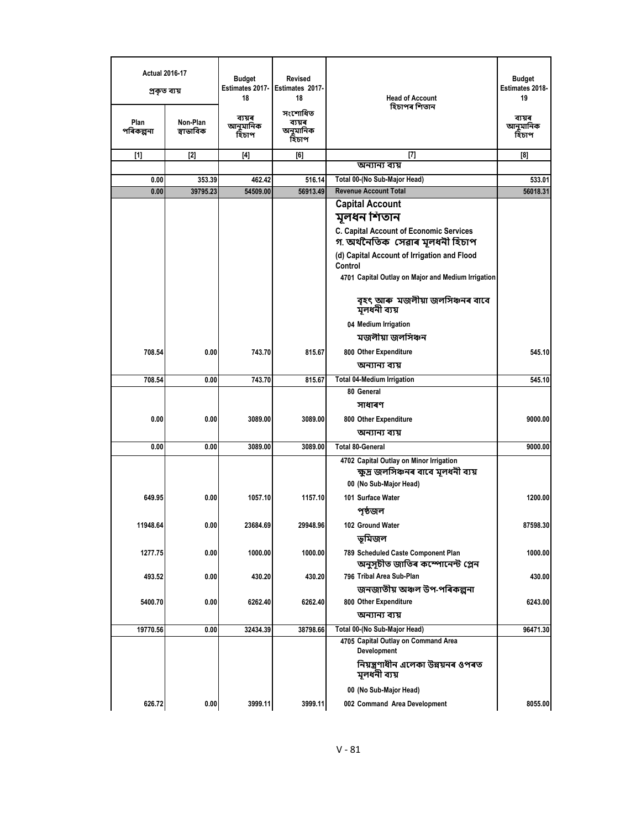| <b>Actual 2016-17</b><br>প্ৰকৃত ব্যয় |                   |                       | <b>Budget</b><br>Estimates 2017-<br>18 | Revised<br>Estimates 2017-<br>18       | <b>Head of Account</b>                                                         | <b>Budget</b><br>Estimates 2018-<br>19 |
|---------------------------------------|-------------------|-----------------------|----------------------------------------|----------------------------------------|--------------------------------------------------------------------------------|----------------------------------------|
|                                       | Plan<br>পৰিকল্পনা | Non-Plan<br>স্বাভাবিক | ব্যয়ৰ<br>আনুমানিক<br>হিচাপ            | সংশোধিত<br>ব্যয়ৰ<br>অনুমানিক<br>হিচাপ | হিচাপৰ শিতান                                                                   | ব্যয়ৰ<br>আনুমানিক<br>হিচাপ            |
|                                       | $[1]$             | $[2]$                 | $[4]$                                  | [6]                                    | $^{[7]}$                                                                       | [8]                                    |
|                                       |                   |                       |                                        |                                        | অন্যান্য ব্যয়                                                                 |                                        |
|                                       | 0.00              | 353.39                | 462.42                                 | 516.14                                 | Total 00-(No Sub-Major Head)                                                   | 533.01                                 |
|                                       | 0.00              | 39795.23              | 54509.00                               | 56913.49                               | <b>Revenue Account Total</b>                                                   | 56018.31                               |
|                                       |                   |                       |                                        |                                        | <b>Capital Account</b><br>মূলধন শিতান                                          |                                        |
|                                       |                   |                       |                                        |                                        | C. Capital Account of Economic Services<br>গ অৰ্থনৈতিক সেৱাৰ মূলধনী হিচাপ      |                                        |
|                                       |                   |                       |                                        |                                        | (d) Capital Account of Irrigation and Flood<br>Control                         |                                        |
|                                       |                   |                       |                                        |                                        | 4701 Capital Outlay on Major and Medium Irrigation                             |                                        |
|                                       |                   |                       |                                        |                                        | বৃহৎ আৰু মজলীয়া জলসিঞ্চনৰ বাবে<br>মূলধনী ব্যয়                                |                                        |
|                                       |                   |                       |                                        |                                        | 04 Medium Irrigation                                                           |                                        |
|                                       |                   |                       |                                        |                                        | মজলীয়া জলসিঞ্চন                                                               |                                        |
|                                       | 708.54            | 0.00                  | 743.70                                 | 815.67                                 | 800 Other Expenditure                                                          | 545.10                                 |
|                                       |                   |                       |                                        |                                        | অন্যান্য ব্যয়                                                                 |                                        |
|                                       | 708.54            | 0.00                  | 743.70                                 | 815.67                                 | <b>Total 04-Medium Irrigation</b>                                              | 545.10                                 |
|                                       |                   |                       |                                        |                                        | 80 General                                                                     |                                        |
|                                       |                   |                       |                                        |                                        | সাধাৰণ                                                                         |                                        |
|                                       | 0.00              | 0.00                  | 3089.00                                | 3089.00                                | 800 Other Expenditure                                                          | 9000.00                                |
|                                       |                   |                       |                                        |                                        | অন্যান্য ব্যয়                                                                 |                                        |
|                                       | 0.00              | 0.00                  | 3089.00                                | 3089.00                                | <b>Total 80-General</b>                                                        | 9000.00                                |
|                                       |                   |                       |                                        |                                        | 4702 Capital Outlay on Minor Irrigation<br>ক্ষুদ্ৰ জলসিঞ্চনৰ বাবে মূলধনী ব্যয় |                                        |
|                                       |                   |                       |                                        |                                        | 00 (No Sub-Major Head)                                                         |                                        |
|                                       | 649.95            | 0.00                  | 1057.10                                | 1157.10                                | 101 Surface Water                                                              | 1200.00                                |
|                                       |                   |                       |                                        |                                        | পৃষ্ঠজল                                                                        |                                        |
|                                       | 11948.64          | 0.00                  | 23684.69                               | 29948.96                               | 102 Ground Water                                                               | 87598.30                               |
|                                       |                   |                       |                                        |                                        | ভূমিজল                                                                         |                                        |
|                                       | 1277.75           | 0.00                  | 1000.00                                | 1000.00                                | 789 Scheduled Caste Component Plan<br>অনুসূচীত জাতিৰ কম্পোনেন্ট প্লেন          | 1000.00                                |
|                                       | 493.52            | 0.00                  | 430.20                                 | 430.20                                 | 796 Tribal Area Sub-Plan                                                       | 430.00                                 |
|                                       |                   |                       |                                        |                                        | জনজাতীয় অঞ্চল উপ-পৰিকল্পনা                                                    |                                        |
|                                       | 5400.70           | 0.00                  | 6262.40                                | 6262.40                                | 800 Other Expenditure                                                          | 6243.00                                |
|                                       |                   |                       |                                        |                                        | অন্যান্য ব্যয়                                                                 |                                        |
|                                       | 19770.56          | 0.00                  | 32434.39                               | 38798.66                               | Total 00-(No Sub-Major Head)                                                   | 96471.30                               |
|                                       |                   |                       |                                        |                                        | 4705 Capital Outlay on Command Area<br>Development                             |                                        |
|                                       |                   |                       |                                        |                                        | নিয়ন্ত্ৰণাধীন এলেকা উন্নয়নৰ ওপৰত<br>মূলধনী ব্যয়                             |                                        |
|                                       |                   |                       |                                        |                                        | 00 (No Sub-Major Head)                                                         |                                        |
|                                       | 626.72            | 0.00                  | 3999.11                                | 3999.11                                | 002 Command Area Development                                                   | 8055.00                                |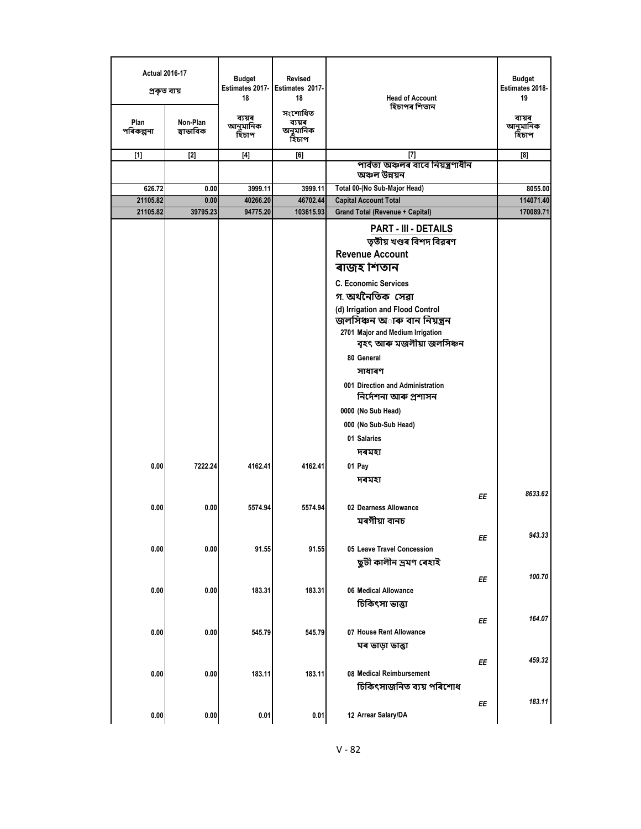| <b>Actual 2016-17</b><br>প্ৰকৃত ব্যয় |                       | <b>Budget</b><br>18                                                                                                                                                                                  | <b>Revised</b><br>Estimates 2017- Estimates 2017-<br>18 | <b>Head of Account</b>                                                                                                                                                                                                                                                                                                                                                                                                                                     | <b>Budget</b><br>Estimates 2018-<br>19 |
|---------------------------------------|-----------------------|------------------------------------------------------------------------------------------------------------------------------------------------------------------------------------------------------|---------------------------------------------------------|------------------------------------------------------------------------------------------------------------------------------------------------------------------------------------------------------------------------------------------------------------------------------------------------------------------------------------------------------------------------------------------------------------------------------------------------------------|----------------------------------------|
| Plan<br>পৰিকল্পনা                     | Non-Plan<br>স্বাভাবিক | ব্যয়ৰ<br>আনুমানিক<br>হিচাপ                                                                                                                                                                          | সংশোধিত<br>ব্যয়ৰ<br>অনুমানিক<br>হিচাপ                  | হিচাপৰ শিতান                                                                                                                                                                                                                                                                                                                                                                                                                                               | ব্যয়ৰ<br>আনুমানিক<br>হিচাপ            |
| $[1]$                                 | $[2]$                 | $[4] % \includegraphics[width=0.9\columnwidth]{figures/fig_2b.pdf} \caption{A graph $\Omega$ for $\alpha$ values. The left side is the same time, the right side is the same time.} \label{fig:1} %$ | [6]                                                     | [7]                                                                                                                                                                                                                                                                                                                                                                                                                                                        | [8]                                    |
|                                       |                       |                                                                                                                                                                                                      |                                                         | পাৰ্বত্য অঞ্চলৰ বাবে নিয়ন্ত্ৰণাধীন<br>অঞ্চল উন্নয়ন                                                                                                                                                                                                                                                                                                                                                                                                       |                                        |
| 626.72                                | 0.00                  | 3999.11                                                                                                                                                                                              | 3999.11                                                 | Total 00-(No Sub-Major Head)                                                                                                                                                                                                                                                                                                                                                                                                                               | 8055.00                                |
| 21105.82                              | 0.00                  | 40266.20                                                                                                                                                                                             | 46702.44                                                | <b>Capital Account Total</b>                                                                                                                                                                                                                                                                                                                                                                                                                               | 114071.40                              |
| 21105.82                              | 39795.23              | 94775.20                                                                                                                                                                                             | 103615.93                                               | <b>Grand Total (Revenue + Capital)</b>                                                                                                                                                                                                                                                                                                                                                                                                                     | 170089.71                              |
|                                       |                       |                                                                                                                                                                                                      |                                                         | <b>PART - III - DETAILS</b><br>তৃতীয় খণ্ডৰ বিশদ বিৱৰণ<br><b>Revenue Account</b><br>ৰাজহ শিতান<br><b>C. Economic Services</b><br>গ অৰ্থনৈতিক সেৱা<br>(d) Irrigation and Flood Control<br>জলসিঞ্চন অ <b>াৰু বান নিয়ন্ত্ৰন</b><br>2701 Major and Medium Irrigation<br>বৃহৎ আৰু মজলীয়া জলসিঞ্চন<br>80 General<br>সাধাৰণ<br>001 Direction and Administration<br>নিৰ্দেশনা আৰু প্ৰশাসন<br>0000 (No Sub Head)<br>000 (No Sub-Sub Head)<br>01 Salaries<br>দৰমহা |                                        |
| 0.00                                  | 7222.24               | 4162.41                                                                                                                                                                                              | 4162.41                                                 | 01 Pay<br>দৰমহা                                                                                                                                                                                                                                                                                                                                                                                                                                            |                                        |
| 0.00                                  | 0.00                  | 5574.94                                                                                                                                                                                              | 5574.94                                                 | EE<br>02 Dearness Allowance<br>মৰগীয়া বানচ                                                                                                                                                                                                                                                                                                                                                                                                                | 8633.62                                |
| 0.00                                  | 0.00                  | 91.55                                                                                                                                                                                                | 91.55                                                   | ΕE<br>05 Leave Travel Concession<br>ছুটী কালীন দ্ৰমণ ৰেহাই                                                                                                                                                                                                                                                                                                                                                                                                 | 943.33                                 |
| 0.00                                  | 0.00                  | 183.31                                                                                                                                                                                               | 183.31                                                  | ΕE<br>06 Medical Allowance<br>চিকিৎসা ভাত্তা                                                                                                                                                                                                                                                                                                                                                                                                               | 100.70                                 |
| 0.00                                  | 0.00                  | 545.79                                                                                                                                                                                               | 545.79                                                  | ΕE<br>07 House Rent Allowance<br>ঘৰ ভাড়া ভাত্তা                                                                                                                                                                                                                                                                                                                                                                                                           | 164.07                                 |
| 0.00                                  | 0.00                  | 183.11                                                                                                                                                                                               | 183.11                                                  | ΕE<br>08 Medical Reimbursement<br>চিকিৎসাজনিত ব্যয় পৰিশোধ                                                                                                                                                                                                                                                                                                                                                                                                 | 459.32                                 |
| 0.00                                  | 0.00                  | 0.01                                                                                                                                                                                                 | 0.01                                                    | ΕE<br>12 Arrear Salary/DA                                                                                                                                                                                                                                                                                                                                                                                                                                  | 183.11                                 |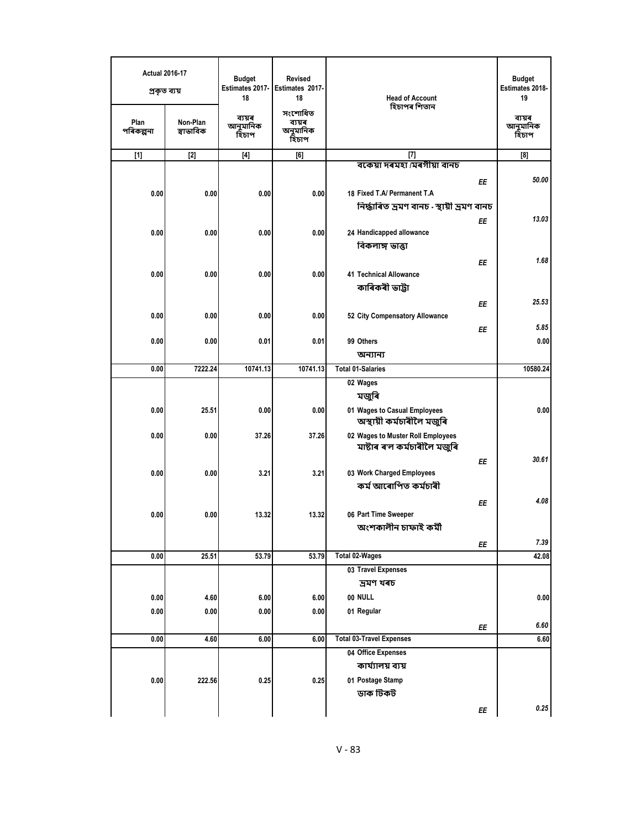| <b>Actual 2016-17</b><br>প্ৰকৃত ব্যয় |                       | <b>Budget</b><br>Estimates 2017-<br>18 | <b>Revised</b><br>Estimates 2017-<br>18 | <b>Head of Account</b>                                            | <b>Budget</b><br>Estimates 2018-<br>19 |
|---------------------------------------|-----------------------|----------------------------------------|-----------------------------------------|-------------------------------------------------------------------|----------------------------------------|
| Plan<br>পৰিকল্পনা                     | Non-Plan<br>স্বাভাবিক | ব্যয়ৰ<br>আনুমানিক<br>হিচাপ            | সংশোধিত<br>ব্যয়ৰ<br>অনুমানিক<br>হিচাপ  | হিচাপৰ শিতান                                                      | ব্যয়ৰ<br>আনুমানিক<br>হিঁচাপ           |
| $[1]$                                 | $[2]$                 | $[4]$                                  | [6]                                     | $[7]$                                                             | [8]                                    |
|                                       |                       |                                        |                                         | বকেয়া দৰমহা /মৰগীয়া বানচ                                        |                                        |
| 0.00                                  | 0.00                  | 0.00                                   | 0.00                                    | ΕE<br>18 Fixed T.A/ Permanent T.A                                 | 50.00                                  |
|                                       |                       |                                        |                                         | নিৰ্দ্ধাৰিত ভ্ৰমণ বানচ - স্থায়ী ভ্ৰমণ বানচ                       |                                        |
|                                       |                       |                                        |                                         | ΕE                                                                | 13.03                                  |
| 0.00                                  | 0.00                  | 0.00                                   | 0.00                                    | 24 Handicapped allowance                                          |                                        |
|                                       |                       |                                        |                                         | বিকলাঙ্গ ভাত্তা                                                   |                                        |
|                                       |                       |                                        |                                         | EE                                                                | 1.68                                   |
| 0.00                                  | 0.00                  | 0.00                                   | 0.00                                    | <b>41 Technical Allowance</b>                                     |                                        |
|                                       |                       |                                        |                                         | কাৰিকৰী ভাট্টা                                                    |                                        |
|                                       |                       |                                        |                                         | ΕE                                                                | 25.53                                  |
| 0.00                                  | 0.00                  | 0.00                                   | 0.00                                    | 52 City Compensatory Allowance                                    |                                        |
|                                       |                       |                                        |                                         | ΕE                                                                | 5.85                                   |
| 0.00                                  | 0.00                  | 0.01                                   | 0.01                                    | 99 Others                                                         | 0.00                                   |
|                                       |                       |                                        |                                         | অন্যান্য                                                          |                                        |
| 0.00                                  | 7222.24               | 10741.13                               | 10741.13                                | <b>Total 01-Salaries</b>                                          | 10580.24                               |
|                                       |                       |                                        |                                         | 02 Wages                                                          |                                        |
|                                       |                       |                                        |                                         | মজুৰি                                                             |                                        |
| 0.00                                  | 25.51                 | 0.00                                   | 0.00                                    | 01 Wages to Casual Employees<br>অস্থায়ী কৰ্মচাৰীলৈ মজুৰি         | 0.00                                   |
| 0.00                                  | 0.00                  | 37.26                                  | 37.26                                   | 02 Wages to Muster Roll Employees<br>মাষ্টাৰ ৰ'ল কৰ্মচাৰীলৈ মজুৰি |                                        |
|                                       |                       |                                        |                                         |                                                                   | 30.61                                  |
| 0.00                                  | 0.00                  | 3.21                                   | 3.21                                    | EE<br>03 Work Charged Employees                                   |                                        |
|                                       |                       |                                        |                                         | কৰ্ম আৰোপিত কৰ্মচাৰী                                              |                                        |
|                                       |                       |                                        |                                         | EE                                                                | 4.08                                   |
| 0.00                                  | 0.00                  | 13.32                                  | 13.32                                   | 06 Part Time Sweeper                                              |                                        |
|                                       |                       |                                        |                                         | অংশকালীন চাফাই কৰ্মী                                              |                                        |
|                                       |                       |                                        |                                         | ЕE                                                                | 7.39                                   |
| 0.00                                  | 25.51                 | 53.79                                  | 53.79                                   | Total 02-Wages                                                    | 42.08                                  |
|                                       |                       |                                        |                                         | 03 Travel Expenses                                                |                                        |
|                                       |                       |                                        |                                         | ভ্ৰমণ খৰচ                                                         |                                        |
| 0.00                                  | 4.60                  | 6.00                                   | 6.00                                    | 00 NULL                                                           | 0.00                                   |
| 0.00                                  | $0.00\,$              | 0.00                                   | 0.00                                    | 01 Regular                                                        |                                        |
|                                       |                       |                                        |                                         | ΕE                                                                | 6.60                                   |
| 0.00                                  | 4.60                  | 6.00                                   | 6.00                                    | <b>Total 03-Travel Expenses</b>                                   | 6.60                                   |
|                                       |                       |                                        |                                         | 04 Office Expenses                                                |                                        |
|                                       |                       |                                        |                                         | কাৰ্য্যালয় ব্যয়                                                 |                                        |
| 0.00                                  | 222.56                | 0.25                                   | 0.25                                    | 01 Postage Stamp                                                  |                                        |
|                                       |                       |                                        |                                         | ডাক টিকট                                                          |                                        |
|                                       |                       |                                        |                                         | EE                                                                | 0.25                                   |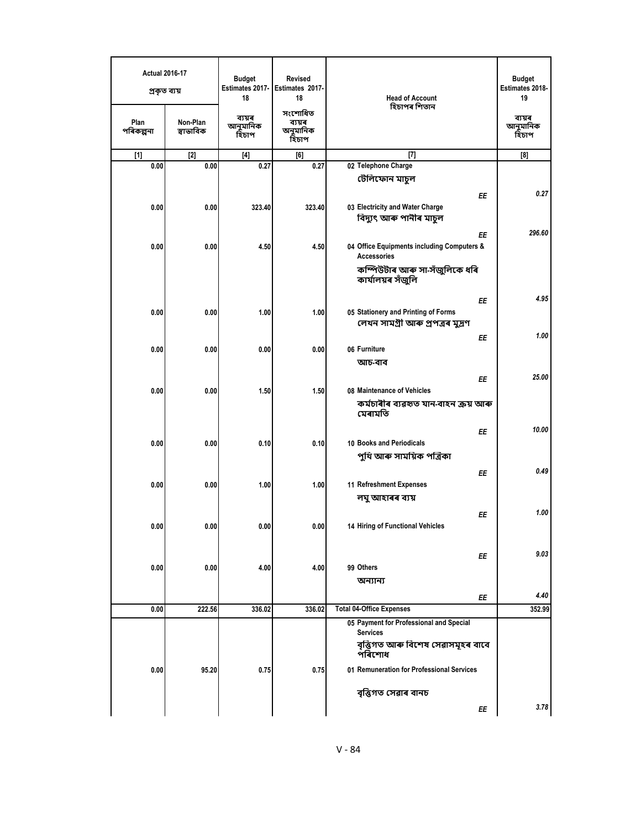| <b>Actual 2016-17</b><br>প্ৰকৃত ব্যয় |                       | <b>Budget</b><br>Estimates 2017-<br>18 | <b>Revised</b><br>Estimates 2017-<br>18 | <b>Head of Account</b>                                           | <b>Budget</b><br>Estimates 2018-<br>19 |
|---------------------------------------|-----------------------|----------------------------------------|-----------------------------------------|------------------------------------------------------------------|----------------------------------------|
| Plan<br>পৰিকল্পনা                     | Non-Plan<br>স্বাভাবিক | ব্যয়ৰ<br>আনুমানিক<br>হিচাপ            | সংশোধিত<br>ব্যয়ৰ<br>অনুমানিক<br>হিচাপ  | হিচাপৰ শিতান                                                     | ব্যয়ৰ<br>আনুমানিক<br>হিচাপ            |
| $[1]$                                 | $[2]$                 | $[4]$                                  | [6]                                     | $[7]$                                                            | [8]                                    |
| 0.00                                  | 0.00                  | 0.27                                   | 0.27                                    | 02 Telephone Charge                                              |                                        |
|                                       |                       |                                        |                                         | টেলিফোন মাচুল                                                    |                                        |
|                                       |                       |                                        |                                         | EE                                                               | 0.27                                   |
| 0.00                                  | 0.00                  | 323.40                                 | 323.40                                  | 03 Electricity and Water Charge                                  |                                        |
|                                       |                       |                                        |                                         | বিদ্যুৎ আৰু পানীৰ মাচুল                                          |                                        |
|                                       |                       |                                        |                                         | ΕE                                                               | 296.60                                 |
| 0.00                                  | 0.00                  | 4.50                                   | 4.50                                    | 04 Office Equipments including Computers &<br><b>Accessories</b> |                                        |
|                                       |                       |                                        |                                         | কম্পিউটাৰ আৰু সা-সঁজুলিকে ধৰি                                    |                                        |
|                                       |                       |                                        |                                         | কাৰ্যালয়ৰ সঁজুলি                                                |                                        |
|                                       |                       |                                        |                                         | EE                                                               | 4.95                                   |
| 0.00                                  | 0.00                  | 1.00                                   | 1.00                                    | 05 Stationery and Printing of Forms                              |                                        |
|                                       |                       |                                        |                                         | লেখন সামগ্ৰী আৰু প্ৰপত্ৰৰ মুদ্ৰণ                                 |                                        |
|                                       |                       |                                        |                                         | ΕE                                                               | 1.00                                   |
| 0.00                                  | 0.00                  | 0.00                                   | 0.00                                    | 06 Furniture                                                     |                                        |
|                                       |                       |                                        |                                         | আচ-বাব                                                           |                                        |
|                                       |                       |                                        |                                         | ΕE                                                               | 25.00                                  |
| 0.00                                  | 0.00                  | 1.50                                   | 1.50                                    | 08 Maintenance of Vehicles                                       |                                        |
|                                       |                       |                                        |                                         | কৰ্মচাৰীৰ ব্যৱহৃত যান-বাহন ক্ৰয় আৰু<br>মেৰামতি                  |                                        |
|                                       |                       |                                        |                                         | ΕE                                                               | 10.00                                  |
| 0.00                                  | 0.00                  | 0.10                                   | 0.10                                    | 10 Books and Periodicals                                         |                                        |
|                                       |                       |                                        |                                         | পুথি আৰু সাময়িক পত্ৰিকা                                         |                                        |
|                                       |                       |                                        |                                         | EE                                                               | 0.49                                   |
| 0.00                                  | 0.00                  | 1.00                                   | 1.00                                    | 11 Refreshment Expenses                                          |                                        |
|                                       |                       |                                        |                                         | লঘু আহাৰৰ ব্যয়                                                  |                                        |
|                                       |                       |                                        |                                         | ΕE                                                               | 1.00                                   |
| 0.00                                  | 0.00                  | 0.00                                   | 0.00                                    | 14 Hiring of Functional Vehicles                                 |                                        |
|                                       |                       |                                        |                                         |                                                                  |                                        |
|                                       |                       |                                        |                                         | ΕE                                                               | 9.03                                   |
| 0.00                                  | 0.00                  | 4.00                                   | 4.00                                    | 99 Others                                                        |                                        |
|                                       |                       |                                        |                                         | অন্যান্য                                                         |                                        |
|                                       |                       |                                        |                                         | ΕE                                                               | 4.40                                   |
| 0.00                                  | 222.56                | 336.02                                 | 336.02                                  | <b>Total 04-Office Expenses</b>                                  | 352.99                                 |
|                                       |                       |                                        |                                         | 05 Payment for Professional and Special<br><b>Services</b>       |                                        |
|                                       |                       |                                        |                                         | বৃত্তিগত আৰু বিশেষ সেৱাসমূহৰ বাবে<br>পৰিশোধ                      |                                        |
| 0.00                                  | 95.20                 | 0.75                                   | 0.75                                    | 01 Remuneration for Professional Services                        |                                        |
|                                       |                       |                                        |                                         | বৃত্তিগত সেৱাৰ বানচ                                              |                                        |
|                                       |                       |                                        |                                         | ΕE                                                               | 3.78                                   |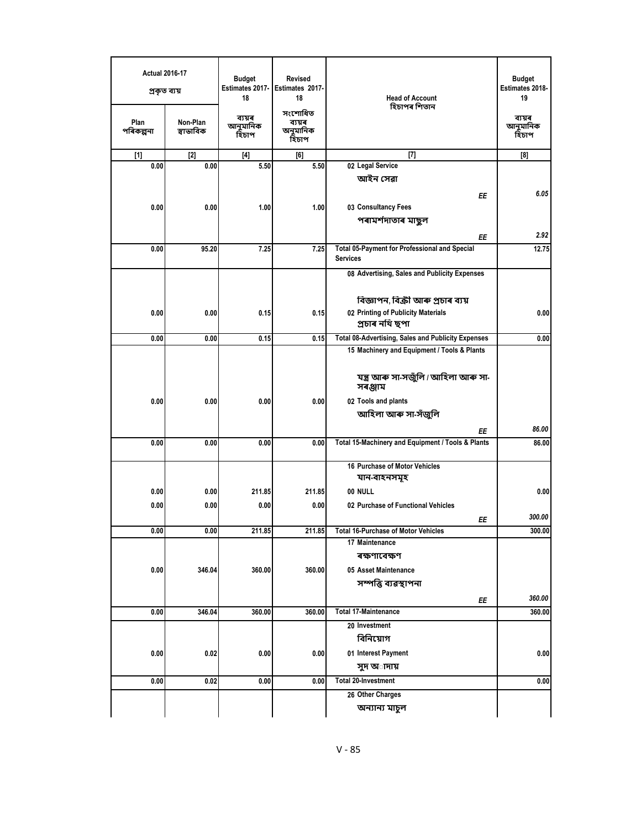| <b>Actual 2016-17</b><br>প্ৰকৃত ব্যয় |                       | <b>Budget</b><br>Estimates 2017-<br>18 | <b>Revised</b><br>Estimates 2017-<br>18 | <b>Head of Account</b>                                                  | <b>Budget</b><br>Estimates 2018-<br>19 |
|---------------------------------------|-----------------------|----------------------------------------|-----------------------------------------|-------------------------------------------------------------------------|----------------------------------------|
| Plan<br>পৰিকল্পনা                     | Non-Plan<br>স্বাভাবিক | ব্যয়ৰ<br>আনুমানিক<br>হিচাপ            | সংশোধিত<br>ব্যয়ৰ<br>অনুমানিক<br>হিচাপ  | হিচাপৰ শিতান                                                            | ব্যয়ৰ<br>আনুমানিক<br>হিচাপ            |
| $[1]$                                 | $[2]$                 | $[4]$                                  | [6]                                     | $[7]$                                                                   | [8]                                    |
| 0.00                                  | 0.00                  | 5.50                                   | 5.50                                    | 02 Legal Service                                                        |                                        |
|                                       |                       |                                        |                                         | আইন সেৱা                                                                |                                        |
|                                       |                       |                                        |                                         | ΕE                                                                      | 6.05                                   |
| 0.00                                  | 0.00                  | 1.00                                   | 1.00                                    | 03 Consultancy Fees                                                     |                                        |
|                                       |                       |                                        |                                         | পৰামৰ্শদাতাৰ মাছুল                                                      |                                        |
|                                       |                       |                                        |                                         | ΕE                                                                      | 2.92                                   |
| 0.00                                  | 95.20                 | 7.25                                   | 7.25                                    | <b>Total 05-Payment for Professional and Special</b><br><b>Services</b> | 12.75                                  |
|                                       |                       |                                        |                                         | 08 Advertising, Sales and Publicity Expenses                            |                                        |
|                                       |                       |                                        |                                         |                                                                         |                                        |
|                                       |                       |                                        |                                         | বিজ্ঞাপন, বিক্ৰী আৰু প্ৰচাৰ ব্যয়                                       |                                        |
| 0.00                                  | 0.00                  | 0.15                                   | 0.15                                    | 02 Printing of Publicity Materials                                      | 0.00                                   |
|                                       |                       |                                        |                                         | প্ৰচাৰ নথি ছপা                                                          |                                        |
| 0.00                                  | 0.00                  | 0.15                                   | 0.15                                    | <b>Total 08-Advertising, Sales and Publicity Expenses</b>               | 0.00                                   |
|                                       |                       |                                        |                                         | 15 Machinery and Equipment / Tools & Plants                             |                                        |
|                                       |                       |                                        |                                         | যন্ত্ৰ আৰু সা-সজুঁলি / আহিলা আৰু সা-<br>সৰঞ্জাম                         |                                        |
| 0.00                                  | 0.00                  | 0.00                                   | 0.00                                    | 02 Tools and plants                                                     |                                        |
|                                       |                       |                                        |                                         | আহিলা আৰু সা-সঁজুলি                                                     |                                        |
|                                       |                       |                                        |                                         | ΕE                                                                      | 86.00                                  |
| 0.00                                  | 0.00                  | 0.00                                   | 0.00                                    | Total 15-Machinery and Equipment / Tools & Plants                       | 86.00                                  |
|                                       |                       |                                        |                                         |                                                                         |                                        |
|                                       |                       |                                        |                                         | 16 Purchase of Motor Vehicles<br>যান-বাহনসমূহ                           |                                        |
| 0.00                                  | 0.00                  | 211.85                                 | 211.85                                  | 00 NULL                                                                 | 0.00                                   |
|                                       |                       |                                        |                                         | 02 Purchase of Functional Vehicles                                      |                                        |
| 0.00                                  | 0.00                  | 0.00                                   | 0.00                                    | ΕE                                                                      | 300.00                                 |
| 0.00                                  | 0.00                  | 211.85                                 | 211.85                                  | <b>Total 16-Purchase of Motor Vehicles</b>                              | 300.00                                 |
|                                       |                       |                                        |                                         | 17 Maintenance                                                          |                                        |
|                                       |                       |                                        |                                         | ৰক্ষণাবেক্ষণ                                                            |                                        |
| 0.00                                  | 346.04                | 360.00                                 | 360.00                                  | 05 Asset Maintenance                                                    |                                        |
|                                       |                       |                                        |                                         | সম্পত্তি ব্যৱস্থাপনা                                                    |                                        |
|                                       |                       |                                        |                                         | ΕE                                                                      | 360.00                                 |
| 0.00                                  | 346.04                | 360.00                                 | 360.00                                  | <b>Total 17-Maintenance</b>                                             | 360.00                                 |
|                                       |                       |                                        |                                         | 20 Investment                                                           |                                        |
|                                       |                       |                                        |                                         | বিনিয়োগ                                                                |                                        |
| 0.00                                  | 0.02                  | 0.00                                   | 0.00                                    | 01 Interest Payment                                                     | 0.00                                   |
|                                       |                       |                                        |                                         | সুদ অাদায়                                                              |                                        |
| 0.00                                  | 0.02                  | 0.00                                   | 0.00                                    | <b>Total 20-Investment</b>                                              | 0.00                                   |
|                                       |                       |                                        |                                         | 26 Other Charges                                                        |                                        |
|                                       |                       |                                        |                                         | অন্যান্য মাচুল                                                          |                                        |
|                                       |                       |                                        |                                         |                                                                         |                                        |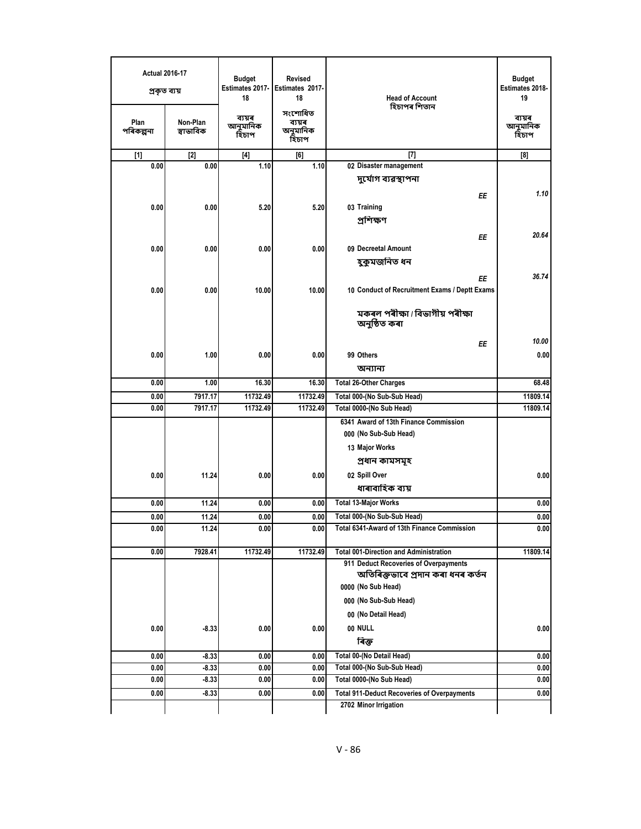| সংশোধিত<br>ব্যয়ৰ<br>ব্যয়ৰ<br>Non-Plan<br>Plan<br>ব্যয়ৰ<br>আনুমানিক<br>আনুমানিক<br>স্বাভাবিক<br>অনুমানিক<br>পৰিকল্পনা<br>হিচাপ<br>হিচাপ<br>হিচাপ<br>$[7]$<br>$[1]$<br>$[2]$<br>$[4]$<br>[8]<br>[6]<br>1.10<br>02 Disaster management<br>0.00<br>0.00<br>1.10<br>দুৰ্যোগ ব্যৱস্থাপনা<br>ΕE<br>0.00<br>0.00<br>5.20<br>5.20<br>03 Training<br>প্ৰশিক্ষণ<br>20.64<br>EE<br>09 Decreetal Amount<br>0.00<br>0.00<br>0.00<br>0.00<br>হুকুমজনিত ধন<br>36.74<br>ΕE<br>0.00<br>10 Conduct of Recruitment Exams / Deptt Exams<br>0.00<br>10.00<br>10.00<br>মকৰল পৰীক্ষা / বিভাগীয় পৰীক্ষা<br>অনুষ্ঠিত কৰা<br>ΕE<br>99 Others<br>0.00<br>0.00<br>1.00<br>0.00<br>0.00<br>অন্যান্য<br><b>Total 26-Other Charges</b><br>0.00<br>1.00<br>16.30<br>16.30<br>68.48<br>Total 000-(No Sub-Sub Head)<br>0.00<br>7917.17<br>11732.49<br>11732.49<br>11809.14<br>0.00<br>7917.17<br>11732.49<br>11732.49<br>Total 0000-(No Sub Head)<br>6341 Award of 13th Finance Commission<br>000 (No Sub-Sub Head)<br>13 Major Works<br>প্ৰধান কামসমূহ<br>02 Spill Over<br>0.00<br>11.24<br>0.00<br>0.00<br>0.00<br>ধাৰাবাহিক ব্যয়<br>0.00<br>11.24<br>0.00<br><b>Total 13-Major Works</b><br>0.00<br>0.00<br>11.24<br>Total 000-(No Sub-Sub Head)<br>0.00<br>0.00<br>0.00<br>0.00<br>0.00<br>11.24<br>0.00<br>0.00<br>Total 6341-Award of 13th Finance Commission<br>0.00<br>11732.49<br>11732.49<br>0.00<br>7928.41<br><b>Total 001-Direction and Administration</b><br>11809.14<br>911 Deduct Recoveries of Overpayments<br>অতিৰিক্তভাবে প্ৰদান কৰা ধনৰ কৰ্তন<br>0000 (No Sub Head)<br>000 (No Sub-Sub Head)<br>00 (No Detail Head)<br>00 NULL<br>0.00<br>0.00<br>0.00<br>-8.33<br>ৰিক্ত<br>Total 00-(No Detail Head)<br>0.00<br>$-8.33$<br>0.00<br>0.00<br>0.00<br>0.00<br>$-8.33$<br>0.00<br>0.00<br>Total 000-(No Sub-Sub Head)<br>0.00<br>0.00<br>$-8.33$<br>0.00<br>0.00<br>Total 0000-(No Sub Head)<br>0.00<br>0.00<br>0.00<br><b>Total 911-Deduct Recoveries of Overpayments</b><br>-8.33<br>2702 Minor Irrigation | <b>Actual 2016-17</b><br>প্ৰকৃত ব্যয় |  | <b>Budget</b><br>Estimates 2017-<br>18 | <b>Revised</b><br>Estimates 2017-<br>18 | <b>Head of Account</b> | <b>Budget</b><br>Estimates 2018-<br>19 |
|-------------------------------------------------------------------------------------------------------------------------------------------------------------------------------------------------------------------------------------------------------------------------------------------------------------------------------------------------------------------------------------------------------------------------------------------------------------------------------------------------------------------------------------------------------------------------------------------------------------------------------------------------------------------------------------------------------------------------------------------------------------------------------------------------------------------------------------------------------------------------------------------------------------------------------------------------------------------------------------------------------------------------------------------------------------------------------------------------------------------------------------------------------------------------------------------------------------------------------------------------------------------------------------------------------------------------------------------------------------------------------------------------------------------------------------------------------------------------------------------------------------------------------------------------------------------------------------------------------------------------------------------------------------------------------------------------------------------------------------------------------------------------------------------------------------------------------------------------------------------------------------------------------------------------------------------------------------------------------------------------|---------------------------------------|--|----------------------------------------|-----------------------------------------|------------------------|----------------------------------------|
|                                                                                                                                                                                                                                                                                                                                                                                                                                                                                                                                                                                                                                                                                                                                                                                                                                                                                                                                                                                                                                                                                                                                                                                                                                                                                                                                                                                                                                                                                                                                                                                                                                                                                                                                                                                                                                                                                                                                                                                                 |                                       |  |                                        |                                         | হিচাপৰ শিতান           |                                        |
|                                                                                                                                                                                                                                                                                                                                                                                                                                                                                                                                                                                                                                                                                                                                                                                                                                                                                                                                                                                                                                                                                                                                                                                                                                                                                                                                                                                                                                                                                                                                                                                                                                                                                                                                                                                                                                                                                                                                                                                                 |                                       |  |                                        |                                         |                        |                                        |
|                                                                                                                                                                                                                                                                                                                                                                                                                                                                                                                                                                                                                                                                                                                                                                                                                                                                                                                                                                                                                                                                                                                                                                                                                                                                                                                                                                                                                                                                                                                                                                                                                                                                                                                                                                                                                                                                                                                                                                                                 |                                       |  |                                        |                                         |                        |                                        |
|                                                                                                                                                                                                                                                                                                                                                                                                                                                                                                                                                                                                                                                                                                                                                                                                                                                                                                                                                                                                                                                                                                                                                                                                                                                                                                                                                                                                                                                                                                                                                                                                                                                                                                                                                                                                                                                                                                                                                                                                 |                                       |  |                                        |                                         |                        |                                        |
|                                                                                                                                                                                                                                                                                                                                                                                                                                                                                                                                                                                                                                                                                                                                                                                                                                                                                                                                                                                                                                                                                                                                                                                                                                                                                                                                                                                                                                                                                                                                                                                                                                                                                                                                                                                                                                                                                                                                                                                                 |                                       |  |                                        |                                         |                        | 1.10                                   |
|                                                                                                                                                                                                                                                                                                                                                                                                                                                                                                                                                                                                                                                                                                                                                                                                                                                                                                                                                                                                                                                                                                                                                                                                                                                                                                                                                                                                                                                                                                                                                                                                                                                                                                                                                                                                                                                                                                                                                                                                 |                                       |  |                                        |                                         |                        |                                        |
|                                                                                                                                                                                                                                                                                                                                                                                                                                                                                                                                                                                                                                                                                                                                                                                                                                                                                                                                                                                                                                                                                                                                                                                                                                                                                                                                                                                                                                                                                                                                                                                                                                                                                                                                                                                                                                                                                                                                                                                                 |                                       |  |                                        |                                         |                        |                                        |
|                                                                                                                                                                                                                                                                                                                                                                                                                                                                                                                                                                                                                                                                                                                                                                                                                                                                                                                                                                                                                                                                                                                                                                                                                                                                                                                                                                                                                                                                                                                                                                                                                                                                                                                                                                                                                                                                                                                                                                                                 |                                       |  |                                        |                                         |                        |                                        |
|                                                                                                                                                                                                                                                                                                                                                                                                                                                                                                                                                                                                                                                                                                                                                                                                                                                                                                                                                                                                                                                                                                                                                                                                                                                                                                                                                                                                                                                                                                                                                                                                                                                                                                                                                                                                                                                                                                                                                                                                 |                                       |  |                                        |                                         |                        |                                        |
|                                                                                                                                                                                                                                                                                                                                                                                                                                                                                                                                                                                                                                                                                                                                                                                                                                                                                                                                                                                                                                                                                                                                                                                                                                                                                                                                                                                                                                                                                                                                                                                                                                                                                                                                                                                                                                                                                                                                                                                                 |                                       |  |                                        |                                         |                        |                                        |
|                                                                                                                                                                                                                                                                                                                                                                                                                                                                                                                                                                                                                                                                                                                                                                                                                                                                                                                                                                                                                                                                                                                                                                                                                                                                                                                                                                                                                                                                                                                                                                                                                                                                                                                                                                                                                                                                                                                                                                                                 |                                       |  |                                        |                                         |                        |                                        |
|                                                                                                                                                                                                                                                                                                                                                                                                                                                                                                                                                                                                                                                                                                                                                                                                                                                                                                                                                                                                                                                                                                                                                                                                                                                                                                                                                                                                                                                                                                                                                                                                                                                                                                                                                                                                                                                                                                                                                                                                 |                                       |  |                                        |                                         |                        |                                        |
|                                                                                                                                                                                                                                                                                                                                                                                                                                                                                                                                                                                                                                                                                                                                                                                                                                                                                                                                                                                                                                                                                                                                                                                                                                                                                                                                                                                                                                                                                                                                                                                                                                                                                                                                                                                                                                                                                                                                                                                                 |                                       |  |                                        |                                         |                        |                                        |
|                                                                                                                                                                                                                                                                                                                                                                                                                                                                                                                                                                                                                                                                                                                                                                                                                                                                                                                                                                                                                                                                                                                                                                                                                                                                                                                                                                                                                                                                                                                                                                                                                                                                                                                                                                                                                                                                                                                                                                                                 |                                       |  |                                        |                                         |                        |                                        |
|                                                                                                                                                                                                                                                                                                                                                                                                                                                                                                                                                                                                                                                                                                                                                                                                                                                                                                                                                                                                                                                                                                                                                                                                                                                                                                                                                                                                                                                                                                                                                                                                                                                                                                                                                                                                                                                                                                                                                                                                 |                                       |  |                                        |                                         |                        | 10.00                                  |
|                                                                                                                                                                                                                                                                                                                                                                                                                                                                                                                                                                                                                                                                                                                                                                                                                                                                                                                                                                                                                                                                                                                                                                                                                                                                                                                                                                                                                                                                                                                                                                                                                                                                                                                                                                                                                                                                                                                                                                                                 |                                       |  |                                        |                                         |                        |                                        |
|                                                                                                                                                                                                                                                                                                                                                                                                                                                                                                                                                                                                                                                                                                                                                                                                                                                                                                                                                                                                                                                                                                                                                                                                                                                                                                                                                                                                                                                                                                                                                                                                                                                                                                                                                                                                                                                                                                                                                                                                 |                                       |  |                                        |                                         |                        |                                        |
|                                                                                                                                                                                                                                                                                                                                                                                                                                                                                                                                                                                                                                                                                                                                                                                                                                                                                                                                                                                                                                                                                                                                                                                                                                                                                                                                                                                                                                                                                                                                                                                                                                                                                                                                                                                                                                                                                                                                                                                                 |                                       |  |                                        |                                         |                        |                                        |
|                                                                                                                                                                                                                                                                                                                                                                                                                                                                                                                                                                                                                                                                                                                                                                                                                                                                                                                                                                                                                                                                                                                                                                                                                                                                                                                                                                                                                                                                                                                                                                                                                                                                                                                                                                                                                                                                                                                                                                                                 |                                       |  |                                        |                                         |                        |                                        |
|                                                                                                                                                                                                                                                                                                                                                                                                                                                                                                                                                                                                                                                                                                                                                                                                                                                                                                                                                                                                                                                                                                                                                                                                                                                                                                                                                                                                                                                                                                                                                                                                                                                                                                                                                                                                                                                                                                                                                                                                 |                                       |  |                                        |                                         |                        | 11809.14                               |
|                                                                                                                                                                                                                                                                                                                                                                                                                                                                                                                                                                                                                                                                                                                                                                                                                                                                                                                                                                                                                                                                                                                                                                                                                                                                                                                                                                                                                                                                                                                                                                                                                                                                                                                                                                                                                                                                                                                                                                                                 |                                       |  |                                        |                                         |                        |                                        |
|                                                                                                                                                                                                                                                                                                                                                                                                                                                                                                                                                                                                                                                                                                                                                                                                                                                                                                                                                                                                                                                                                                                                                                                                                                                                                                                                                                                                                                                                                                                                                                                                                                                                                                                                                                                                                                                                                                                                                                                                 |                                       |  |                                        |                                         |                        |                                        |
|                                                                                                                                                                                                                                                                                                                                                                                                                                                                                                                                                                                                                                                                                                                                                                                                                                                                                                                                                                                                                                                                                                                                                                                                                                                                                                                                                                                                                                                                                                                                                                                                                                                                                                                                                                                                                                                                                                                                                                                                 |                                       |  |                                        |                                         |                        |                                        |
|                                                                                                                                                                                                                                                                                                                                                                                                                                                                                                                                                                                                                                                                                                                                                                                                                                                                                                                                                                                                                                                                                                                                                                                                                                                                                                                                                                                                                                                                                                                                                                                                                                                                                                                                                                                                                                                                                                                                                                                                 |                                       |  |                                        |                                         |                        |                                        |
|                                                                                                                                                                                                                                                                                                                                                                                                                                                                                                                                                                                                                                                                                                                                                                                                                                                                                                                                                                                                                                                                                                                                                                                                                                                                                                                                                                                                                                                                                                                                                                                                                                                                                                                                                                                                                                                                                                                                                                                                 |                                       |  |                                        |                                         |                        |                                        |
|                                                                                                                                                                                                                                                                                                                                                                                                                                                                                                                                                                                                                                                                                                                                                                                                                                                                                                                                                                                                                                                                                                                                                                                                                                                                                                                                                                                                                                                                                                                                                                                                                                                                                                                                                                                                                                                                                                                                                                                                 |                                       |  |                                        |                                         |                        |                                        |
|                                                                                                                                                                                                                                                                                                                                                                                                                                                                                                                                                                                                                                                                                                                                                                                                                                                                                                                                                                                                                                                                                                                                                                                                                                                                                                                                                                                                                                                                                                                                                                                                                                                                                                                                                                                                                                                                                                                                                                                                 |                                       |  |                                        |                                         |                        |                                        |
|                                                                                                                                                                                                                                                                                                                                                                                                                                                                                                                                                                                                                                                                                                                                                                                                                                                                                                                                                                                                                                                                                                                                                                                                                                                                                                                                                                                                                                                                                                                                                                                                                                                                                                                                                                                                                                                                                                                                                                                                 |                                       |  |                                        |                                         |                        |                                        |
|                                                                                                                                                                                                                                                                                                                                                                                                                                                                                                                                                                                                                                                                                                                                                                                                                                                                                                                                                                                                                                                                                                                                                                                                                                                                                                                                                                                                                                                                                                                                                                                                                                                                                                                                                                                                                                                                                                                                                                                                 |                                       |  |                                        |                                         |                        |                                        |
|                                                                                                                                                                                                                                                                                                                                                                                                                                                                                                                                                                                                                                                                                                                                                                                                                                                                                                                                                                                                                                                                                                                                                                                                                                                                                                                                                                                                                                                                                                                                                                                                                                                                                                                                                                                                                                                                                                                                                                                                 |                                       |  |                                        |                                         |                        |                                        |
|                                                                                                                                                                                                                                                                                                                                                                                                                                                                                                                                                                                                                                                                                                                                                                                                                                                                                                                                                                                                                                                                                                                                                                                                                                                                                                                                                                                                                                                                                                                                                                                                                                                                                                                                                                                                                                                                                                                                                                                                 |                                       |  |                                        |                                         |                        |                                        |
|                                                                                                                                                                                                                                                                                                                                                                                                                                                                                                                                                                                                                                                                                                                                                                                                                                                                                                                                                                                                                                                                                                                                                                                                                                                                                                                                                                                                                                                                                                                                                                                                                                                                                                                                                                                                                                                                                                                                                                                                 |                                       |  |                                        |                                         |                        |                                        |
|                                                                                                                                                                                                                                                                                                                                                                                                                                                                                                                                                                                                                                                                                                                                                                                                                                                                                                                                                                                                                                                                                                                                                                                                                                                                                                                                                                                                                                                                                                                                                                                                                                                                                                                                                                                                                                                                                                                                                                                                 |                                       |  |                                        |                                         |                        |                                        |
|                                                                                                                                                                                                                                                                                                                                                                                                                                                                                                                                                                                                                                                                                                                                                                                                                                                                                                                                                                                                                                                                                                                                                                                                                                                                                                                                                                                                                                                                                                                                                                                                                                                                                                                                                                                                                                                                                                                                                                                                 |                                       |  |                                        |                                         |                        |                                        |
|                                                                                                                                                                                                                                                                                                                                                                                                                                                                                                                                                                                                                                                                                                                                                                                                                                                                                                                                                                                                                                                                                                                                                                                                                                                                                                                                                                                                                                                                                                                                                                                                                                                                                                                                                                                                                                                                                                                                                                                                 |                                       |  |                                        |                                         |                        |                                        |
|                                                                                                                                                                                                                                                                                                                                                                                                                                                                                                                                                                                                                                                                                                                                                                                                                                                                                                                                                                                                                                                                                                                                                                                                                                                                                                                                                                                                                                                                                                                                                                                                                                                                                                                                                                                                                                                                                                                                                                                                 |                                       |  |                                        |                                         |                        |                                        |
|                                                                                                                                                                                                                                                                                                                                                                                                                                                                                                                                                                                                                                                                                                                                                                                                                                                                                                                                                                                                                                                                                                                                                                                                                                                                                                                                                                                                                                                                                                                                                                                                                                                                                                                                                                                                                                                                                                                                                                                                 |                                       |  |                                        |                                         |                        | 0.00                                   |
|                                                                                                                                                                                                                                                                                                                                                                                                                                                                                                                                                                                                                                                                                                                                                                                                                                                                                                                                                                                                                                                                                                                                                                                                                                                                                                                                                                                                                                                                                                                                                                                                                                                                                                                                                                                                                                                                                                                                                                                                 |                                       |  |                                        |                                         |                        |                                        |
|                                                                                                                                                                                                                                                                                                                                                                                                                                                                                                                                                                                                                                                                                                                                                                                                                                                                                                                                                                                                                                                                                                                                                                                                                                                                                                                                                                                                                                                                                                                                                                                                                                                                                                                                                                                                                                                                                                                                                                                                 |                                       |  |                                        |                                         |                        |                                        |
|                                                                                                                                                                                                                                                                                                                                                                                                                                                                                                                                                                                                                                                                                                                                                                                                                                                                                                                                                                                                                                                                                                                                                                                                                                                                                                                                                                                                                                                                                                                                                                                                                                                                                                                                                                                                                                                                                                                                                                                                 |                                       |  |                                        |                                         |                        |                                        |
|                                                                                                                                                                                                                                                                                                                                                                                                                                                                                                                                                                                                                                                                                                                                                                                                                                                                                                                                                                                                                                                                                                                                                                                                                                                                                                                                                                                                                                                                                                                                                                                                                                                                                                                                                                                                                                                                                                                                                                                                 |                                       |  |                                        |                                         |                        | 0.00                                   |
|                                                                                                                                                                                                                                                                                                                                                                                                                                                                                                                                                                                                                                                                                                                                                                                                                                                                                                                                                                                                                                                                                                                                                                                                                                                                                                                                                                                                                                                                                                                                                                                                                                                                                                                                                                                                                                                                                                                                                                                                 |                                       |  |                                        |                                         |                        | 0.00                                   |
|                                                                                                                                                                                                                                                                                                                                                                                                                                                                                                                                                                                                                                                                                                                                                                                                                                                                                                                                                                                                                                                                                                                                                                                                                                                                                                                                                                                                                                                                                                                                                                                                                                                                                                                                                                                                                                                                                                                                                                                                 |                                       |  |                                        |                                         |                        |                                        |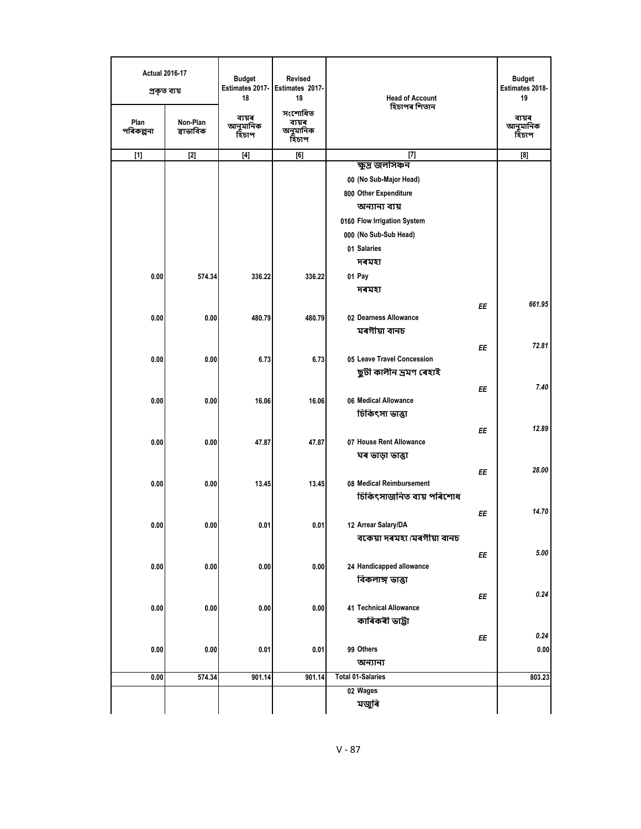| <b>Actual 2016-17</b><br>প্ৰকৃত ব্যয় |                       | <b>Budget</b><br>Estimates 2017-<br>18 | <b>Revised</b><br>Estimates 2017-<br>18 | <b>Head of Account</b>                          | <b>Budget</b><br>Estimates 2018-<br>19 |
|---------------------------------------|-----------------------|----------------------------------------|-----------------------------------------|-------------------------------------------------|----------------------------------------|
| Plan<br>পৰিকল্পনা                     | Non-Plan<br>স্বাভাবিক | ব্যয়ৰ<br>আনুমানিক<br>হিচাপ            | সংশোধিত<br>ব্যয়ৰ<br>অনুমানিক<br>হিচাপ  | হিচাপৰ শিতান                                    | ব্যয়ৰ<br>আনুমানিক<br>হিচাপ            |
| $[1]$                                 | $[2]$                 | $[4]$                                  | [6]                                     | $[7]$                                           | [8]                                    |
|                                       |                       |                                        |                                         | ক্ষুদ্ৰ জলসিঞ্চন                                |                                        |
|                                       |                       |                                        |                                         | 00 (No Sub-Major Head)<br>800 Other Expenditure |                                        |
|                                       |                       |                                        |                                         | অন্যান্য ব্যয়                                  |                                        |
|                                       |                       |                                        |                                         | 0160 Flow Irrigation System                     |                                        |
|                                       |                       |                                        |                                         | 000 (No Sub-Sub Head)                           |                                        |
|                                       |                       |                                        |                                         | 01 Salaries                                     |                                        |
|                                       |                       |                                        |                                         | দৰমহা                                           |                                        |
| 0.00                                  | 574.34                | 336.22                                 | 336.22                                  | 01 Pay                                          |                                        |
|                                       |                       |                                        |                                         | দৰমহা                                           |                                        |
|                                       |                       |                                        |                                         | ΕE                                              | 661.95                                 |
| 0.00                                  | 0.00                  | 480.79                                 | 480.79                                  | 02 Dearness Allowance                           |                                        |
|                                       |                       |                                        |                                         | মৰগীয়া বানচ                                    |                                        |
|                                       |                       |                                        |                                         | ΕE                                              | 72.81                                  |
| 0.00                                  | 0.00                  | 6.73                                   | 6.73                                    | 05 Leave Travel Concession                      |                                        |
|                                       |                       |                                        |                                         | ছুটী কালীন ভ্ৰমণ ৰেহাই                          |                                        |
|                                       |                       |                                        |                                         | ΕE                                              | 7.40                                   |
| 0.00                                  | 0.00                  | 16.06                                  | 16.06                                   | 06 Medical Allowance                            |                                        |
|                                       |                       |                                        |                                         | চিকিৎসা ভাত্তা                                  |                                        |
|                                       |                       |                                        |                                         | EE                                              | 12.89                                  |
| 0.00                                  | 0.00                  | 47.87                                  | 47.87                                   | 07 House Rent Allowance                         |                                        |
|                                       |                       |                                        |                                         | ঘৰ ভাড়া ভাত্তা                                 |                                        |
|                                       |                       |                                        |                                         | ΕE                                              | 28.00                                  |
| 0.00                                  | 0.00                  | 13.45                                  | 13.45                                   | 08 Medical Reimbursement                        |                                        |
|                                       |                       |                                        |                                         | চিকিৎসাজনিত ব্যয় পৰিশোধ                        |                                        |
|                                       |                       |                                        |                                         | ΕE                                              | 14.70                                  |
| 0.00                                  | 0.00                  | 0.01                                   | 0.01                                    | 12 Arrear Salary/DA                             |                                        |
|                                       |                       |                                        |                                         | বকেয়া দৰমহা /মৰগীয়া বানচ                      |                                        |
|                                       |                       |                                        |                                         | ΕE                                              | 5.00                                   |
| 0.00                                  | 0.00                  | 0.00                                   | 0.00                                    | 24 Handicapped allowance<br>বিকলাঙ্গ ভাত্তা     |                                        |
|                                       |                       |                                        |                                         |                                                 | 0.24                                   |
| 0.00                                  | 0.00                  | 0.00                                   | 0.00                                    | ΕE<br><b>41 Technical Allowance</b>             |                                        |
|                                       |                       |                                        |                                         | কাৰিকৰী ভাট্টা                                  |                                        |
|                                       |                       |                                        |                                         |                                                 | 0.24                                   |
| 0.00                                  | 0.00                  | 0.01                                   | 0.01                                    | EE<br>99 Others                                 | 0.00                                   |
|                                       |                       |                                        |                                         | অন্যান্য                                        |                                        |
| 0.00                                  | 574.34                | 901.14                                 | 901.14                                  | <b>Total 01-Salaries</b>                        | 803.23                                 |
|                                       |                       |                                        |                                         | 02 Wages                                        |                                        |
|                                       |                       |                                        |                                         | মজুৰি                                           |                                        |
|                                       |                       |                                        |                                         |                                                 |                                        |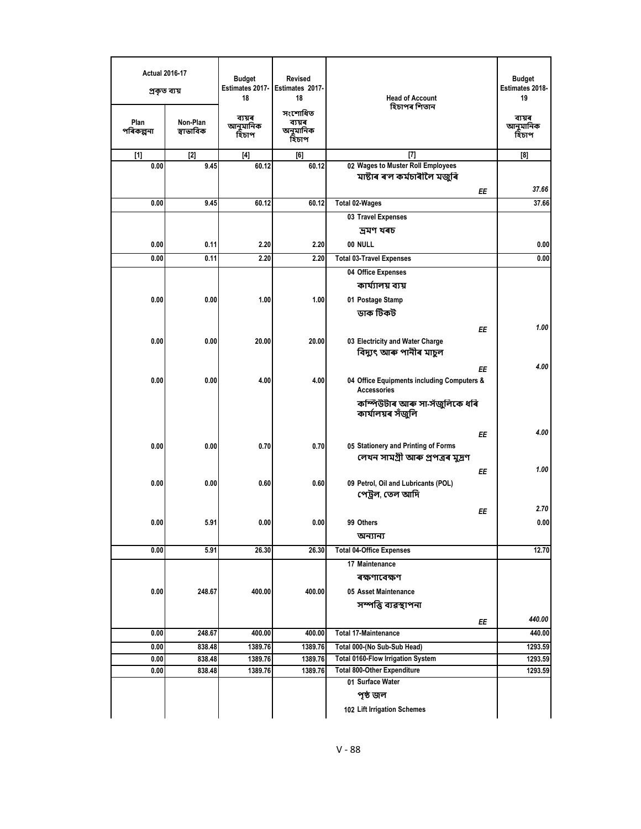| <b>Actual 2016-17</b><br>প্ৰকৃত ব্যয় |                       | <b>Budget</b><br>Estimates 2017-<br>18 | <b>Revised</b><br>Estimates 2017-<br>18<br>সংশোধিত | <b>Head of Account</b><br>হিচাপৰ শিতান                            | <b>Budget</b><br><b>Estimates 2018-</b><br>19 |
|---------------------------------------|-----------------------|----------------------------------------|----------------------------------------------------|-------------------------------------------------------------------|-----------------------------------------------|
| Plan<br>পৰিকল্পনা                     | Non-Plan<br>স্বাভাবিক | ব্যয়ৰ<br>আনুমানিক<br>হিচাপ            | ব্যয়ৰ<br>অনুমানিক<br>হিচাপ                        |                                                                   | ব্যয়ৰ<br>আনুমানিক<br>হিচাপ                   |
| $[1]$                                 | $[2]$                 | $[4]$                                  | [6]                                                | $[7]$                                                             | [8]                                           |
| 0.00                                  | 9.45                  | 60.12                                  | 60.12                                              | 02 Wages to Muster Roll Employees<br>মাষ্টাৰ ৰ'ল কৰ্মচাৰীলৈ মজুৰি |                                               |
|                                       |                       |                                        |                                                    | ΕE                                                                | 37.66                                         |
| 0.00                                  | 9.45                  | 60.12                                  | 60.12                                              | <b>Total 02-Wages</b>                                             | 37.66                                         |
|                                       |                       |                                        |                                                    | 03 Travel Expenses                                                |                                               |
|                                       |                       |                                        |                                                    | দ্ৰমণ খৰচ                                                         |                                               |
| 0.00                                  | 0.11                  | 2.20                                   | 2.20                                               | 00 NULL                                                           | 0.00                                          |
| 0.00                                  | 0.11                  | 2.20                                   | 2.20                                               | <b>Total 03-Travel Expenses</b>                                   | 0.00                                          |
|                                       |                       |                                        |                                                    | 04 Office Expenses                                                |                                               |
|                                       |                       |                                        |                                                    | কাৰ্য্যালয় ব্যয়                                                 |                                               |
| 0.00                                  | 0.00                  | 1.00                                   | 1.00                                               | 01 Postage Stamp                                                  |                                               |
|                                       |                       |                                        |                                                    | ডাক টিকট                                                          |                                               |
|                                       |                       |                                        |                                                    | ΕE                                                                | 1.00                                          |
| 0.00                                  | 0.00                  | 20.00                                  | 20.00                                              | 03 Electricity and Water Charge<br>বিদ্যুৎ আৰু পানীৰ মাচুল        |                                               |
|                                       |                       |                                        |                                                    | ΕE                                                                | 4.00                                          |
| 0.00                                  | 0.00                  | 4.00                                   | 4.00                                               | 04 Office Equipments including Computers &<br><b>Accessories</b>  |                                               |
|                                       |                       |                                        |                                                    | কম্পিউটাৰ আৰু সা-সঁজুলিকে ধৰি<br>কাৰ্যালয়ৰ সঁজুলি                |                                               |
|                                       |                       |                                        |                                                    | ΕE                                                                | 4.00                                          |
| 0.00                                  | 0.00                  | 0.70                                   | 0.70                                               | 05 Stationery and Printing of Forms                               |                                               |
|                                       |                       |                                        |                                                    | লেখন সামগ্ৰী আৰু প্ৰপত্ৰৰ মুদ্ৰণ                                  |                                               |
|                                       |                       |                                        |                                                    | ΕE                                                                | 1.00                                          |
| 0.00                                  | 0.00                  | 0.60                                   | 0.60                                               | 09 Petrol, Oil and Lubricants (POL)<br>পেট্রল, তেল আদি            |                                               |
|                                       |                       |                                        |                                                    | ΕE                                                                | 2.70                                          |
| 0.00                                  | 5.91                  | 0.00                                   | 0.00                                               | 99 Others                                                         | 0.00                                          |
|                                       |                       |                                        |                                                    | অন্যান্য                                                          |                                               |
| 0.00                                  | 5.91                  | 26.30                                  | 26.30                                              | <b>Total 04-Office Expenses</b>                                   | 12.70                                         |
|                                       |                       |                                        |                                                    | 17 Maintenance                                                    |                                               |
|                                       |                       |                                        |                                                    | ৰক্ষণাবেক্ষণ                                                      |                                               |
| 0.00                                  | 248.67                | 400.00                                 | 400.00                                             | 05 Asset Maintenance                                              |                                               |
|                                       |                       |                                        |                                                    | সম্পত্তি ব্যৱস্থাপনা                                              |                                               |
|                                       |                       |                                        |                                                    |                                                                   | 440.00                                        |
| 0.00                                  | 248.67                | 400.00                                 | 400.00                                             | ΕE<br><b>Total 17-Maintenance</b>                                 | 440.00                                        |
| 0.00                                  | 838.48                | 1389.76                                | 1389.76                                            | Total 000-(No Sub-Sub Head)                                       | 1293.59                                       |
| 0.00                                  | 838.48                | 1389.76                                | 1389.76                                            | <b>Total 0160-Flow Irrigation System</b>                          | 1293.59                                       |
| 0.00                                  | 838.48                | 1389.76                                | 1389.76                                            | <b>Total 800-Other Expenditure</b>                                | 1293.59                                       |
|                                       |                       |                                        |                                                    | 01 Surface Water                                                  |                                               |
|                                       |                       |                                        |                                                    | পৃষ্ঠ জল                                                          |                                               |
|                                       |                       |                                        |                                                    | 102 Lift Irrigation Schemes                                       |                                               |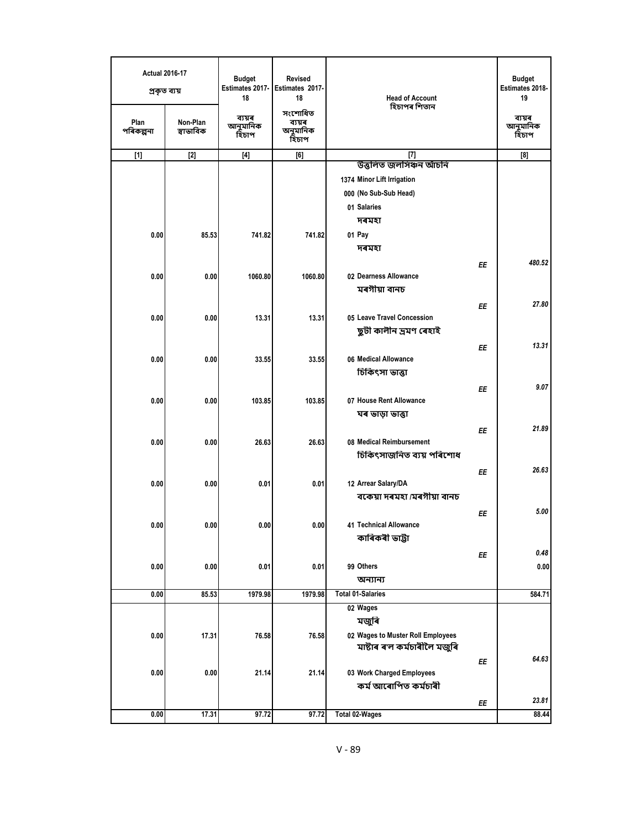| <b>Actual 2016-17</b><br>প্ৰকৃত ব্যয় |                       | <b>Budget</b><br>Estimates 2017-<br>18 | <b>Revised</b><br>Estimates 2017-<br>18 | <b>Head of Account</b><br>হিচাপৰ শিতান | <b>Budget</b><br>Estimates 2018-<br>19 |
|---------------------------------------|-----------------------|----------------------------------------|-----------------------------------------|----------------------------------------|----------------------------------------|
| Plan<br>পৰিকল্পনা                     | Non-Plan<br>স্বাভাবিক | ব্যয়ৰ<br>আনুমানিক<br>হিচাপ            | সংশোধিত<br>ব্যয়ৰ<br>অনুমানিক<br>হিচাপ  |                                        | ব্যয়ৰ<br>আনুমানিক<br>হিঁচাপ           |
| $[1]$                                 | $[2]$                 | $[4]$                                  | [6]                                     | $[7]$                                  | [8]                                    |
|                                       |                       |                                        |                                         | উত্তলিত জলসিঞ্চন আঁচনি                 |                                        |
|                                       |                       |                                        |                                         | 1374 Minor Lift Irrigation             |                                        |
|                                       |                       |                                        |                                         | 000 (No Sub-Sub Head)                  |                                        |
|                                       |                       |                                        |                                         | 01 Salaries                            |                                        |
|                                       |                       |                                        |                                         | দৰমহা                                  |                                        |
| 0.00                                  | 85.53                 | 741.82                                 | 741.82                                  | 01 Pay                                 |                                        |
|                                       |                       |                                        |                                         | দৰমহা                                  |                                        |
|                                       |                       |                                        |                                         | EE                                     | 480.52                                 |
| 0.00                                  | 0.00                  | 1060.80                                | 1060.80                                 | 02 Dearness Allowance<br>মৰগীয়া বানচ  |                                        |
|                                       |                       |                                        |                                         |                                        |                                        |
| 0.00                                  |                       | 13.31                                  | 13.31                                   | ΕE<br>05 Leave Travel Concession       | 27.80                                  |
|                                       | 0.00                  |                                        |                                         | ছুটী কালীন ভ্ৰমণ ৰেহাই                 |                                        |
|                                       |                       |                                        |                                         |                                        | 13.31                                  |
| 0.00                                  | 0.00                  | 33.55                                  | 33.55                                   | EE<br>06 Medical Allowance             |                                        |
|                                       |                       |                                        |                                         | চিকিৎসা ভাত্তা                         |                                        |
|                                       |                       |                                        |                                         |                                        | 9.07                                   |
| 0.00                                  | 0.00                  | 103.85                                 | 103.85                                  | ΕE<br>07 House Rent Allowance          |                                        |
|                                       |                       |                                        |                                         | ঘৰ ভাড়া ভাত্তা                        |                                        |
|                                       |                       |                                        |                                         |                                        | 21.89                                  |
| 0.00                                  | 0.00                  | 26.63                                  | 26.63                                   | EE<br>08 Medical Reimbursement         |                                        |
|                                       |                       |                                        |                                         | চিকিৎসাজনিত ব্যয় পৰিশোধ               |                                        |
|                                       |                       |                                        |                                         | EE                                     | 26.63                                  |
| 0.00                                  | 0.00                  | 0.01                                   | 0.01                                    | 12 Arrear Salary/DA                    |                                        |
|                                       |                       |                                        |                                         | বকেয়া দৰমহা /মৰগীয়া বানচ             |                                        |
|                                       |                       |                                        |                                         | ΕE                                     | 5.00                                   |
| 0.00                                  | 0.00                  | 0.00                                   | 0.00                                    | 41 Technical Allowance                 |                                        |
|                                       |                       |                                        |                                         | কাৰিকৰী ভাট্টা                         |                                        |
|                                       |                       |                                        |                                         | ΕE                                     | 0.48                                   |
| 0.00                                  | 0.00                  | 0.01                                   | 0.01                                    | 99 Others                              | 0.00                                   |
|                                       |                       |                                        |                                         | অন্যান্য                               |                                        |
| 0.00                                  | 85.53                 | 1979.98                                | 1979.98                                 | <b>Total 01-Salaries</b>               | 584.71                                 |
|                                       |                       |                                        |                                         | 02 Wages                               |                                        |
|                                       |                       |                                        |                                         | মজুৰি                                  |                                        |
| 0.00                                  | 17.31                 | 76.58                                  | 76.58                                   | 02 Wages to Muster Roll Employees      |                                        |
|                                       |                       |                                        |                                         | মাষ্টাৰ ৰ'ল কৰ্মচাৰীলৈ মজুৰি           |                                        |
|                                       |                       |                                        |                                         | ΕE                                     | 64.63                                  |
| 0.00                                  | 0.00                  | 21.14                                  | 21.14                                   | 03 Work Charged Employees              |                                        |
|                                       |                       |                                        |                                         | কৰ্ম আৰোপিত কৰ্মচাৰী                   |                                        |
|                                       |                       |                                        |                                         | ЕE                                     | 23.81                                  |
| 0.00                                  | 17.31                 | 97.72                                  | 97.72                                   | <b>Total 02-Wages</b>                  | 88.44                                  |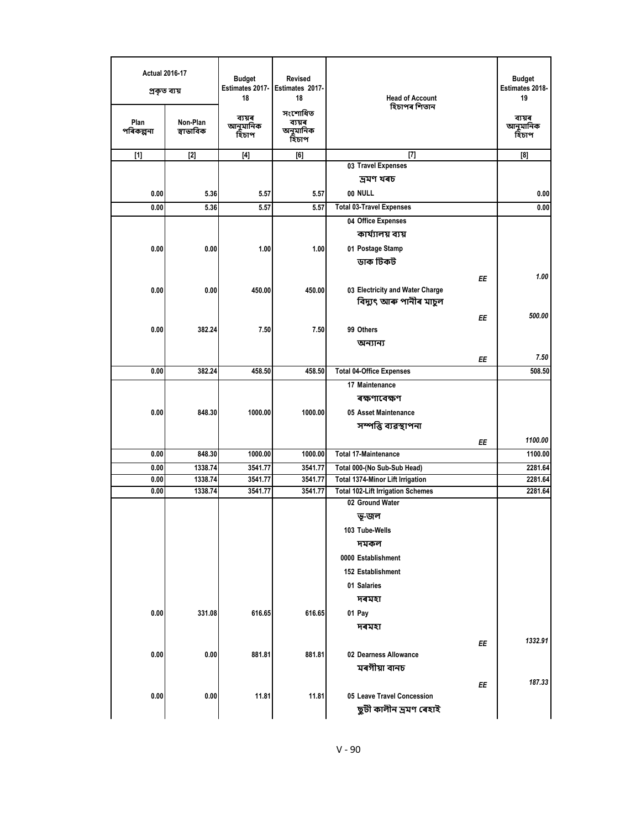| <b>Actual 2016-17</b><br>প্ৰকৃত ব্যয় |                       | <b>Budget</b><br>Estimates 2017-<br>18 | <b>Revised</b><br>Estimates 2017-<br>18 | <b>Head of Account</b><br>হিচাপৰ শিতান   |    | <b>Budget</b><br>Estimates 2018-<br>19 |
|---------------------------------------|-----------------------|----------------------------------------|-----------------------------------------|------------------------------------------|----|----------------------------------------|
| Plan<br>পৰিকল্পনা                     | Non-Plan<br>স্বাভাবিক | ব্যয়ৰ<br>আনুমানিক<br>হিচাপ            | সংশোধিত<br>ব্যয়ৰ<br>অনুমানিক<br>হিচাপ  |                                          |    | ব্যয়ৰ<br>আনুমানিক<br>হিচাপ            |
| $[1]$                                 | $[2]$                 | $[4]$                                  | [6]                                     | $[7]$                                    |    | [8]                                    |
|                                       |                       |                                        |                                         | 03 Travel Expenses                       |    |                                        |
|                                       |                       |                                        |                                         | দ্ৰমণ খৰচ                                |    |                                        |
| 0.00                                  | 5.36                  | 5.57                                   | 5.57                                    | 00 NULL                                  |    | 0.00                                   |
| 0.00                                  | 5.36                  | 5.57                                   | 5.57                                    | <b>Total 03-Travel Expenses</b>          |    | 0.00                                   |
|                                       |                       |                                        |                                         | 04 Office Expenses                       |    |                                        |
|                                       |                       |                                        |                                         | কাৰ্য্যালয় ব্যয়                        |    |                                        |
| 0.00                                  | 0.00                  | 1.00                                   | 1.00                                    | 01 Postage Stamp                         |    |                                        |
|                                       |                       |                                        |                                         | ডাক টিকট                                 |    |                                        |
|                                       |                       |                                        |                                         |                                          | ΕE | 1.00                                   |
| 0.00                                  | 0.00                  | 450.00                                 | 450.00                                  | 03 Electricity and Water Charge          |    |                                        |
|                                       |                       |                                        |                                         | বিদ্যুৎ আৰু পানীৰ মাচুল                  |    |                                        |
|                                       |                       |                                        |                                         |                                          | ΕE | 500.00                                 |
| 0.00                                  | 382.24                | 7.50                                   | 7.50                                    | 99 Others                                |    |                                        |
|                                       |                       |                                        |                                         | অন্যান্য                                 |    |                                        |
|                                       |                       |                                        |                                         |                                          | ΕE | 7.50                                   |
| 0.00                                  | 382.24                | 458.50                                 | 458.50                                  | <b>Total 04-Office Expenses</b>          |    | 508.50                                 |
|                                       |                       |                                        |                                         | 17 Maintenance                           |    |                                        |
|                                       |                       |                                        |                                         | ৰক্ষণাবেক্ষণ                             |    |                                        |
| 0.00                                  | 848.30                | 1000.00                                | 1000.00                                 | 05 Asset Maintenance                     |    |                                        |
|                                       |                       |                                        |                                         | সম্পত্তি ব্যৱস্থাপনা                     |    |                                        |
|                                       |                       |                                        |                                         |                                          |    |                                        |
|                                       |                       |                                        | 1000.00                                 | <b>Total 17-Maintenance</b>              | ΕE | 1100.00                                |
| 0.00                                  | 848.30                | 1000.00                                | 3541.77                                 | Total 000-(No Sub-Sub Head)              |    | 1100.00                                |
| 0.00<br>0.00                          | 1338.74<br>1338.74    | 3541.77<br>3541.77                     | 3541.77                                 | Total 1374-Minor Lift Irrigation         |    | 2281.64<br>2281.64                     |
| 0.00                                  | 1338.74               | 3541.77                                | 3541.77                                 | <b>Total 102-Lift Irrigation Schemes</b> |    | 2281.64                                |
|                                       |                       |                                        |                                         | 02 Ground Water                          |    |                                        |
|                                       |                       |                                        |                                         | ভ-জল                                     |    |                                        |
|                                       |                       |                                        |                                         | 103 Tube-Wells                           |    |                                        |
|                                       |                       |                                        |                                         | দমকল                                     |    |                                        |
|                                       |                       |                                        |                                         | 0000 Establishment                       |    |                                        |
|                                       |                       |                                        |                                         | 152 Establishment                        |    |                                        |
|                                       |                       |                                        |                                         | 01 Salaries                              |    |                                        |
|                                       |                       |                                        |                                         |                                          |    |                                        |
|                                       |                       |                                        |                                         | দৰমহা                                    |    |                                        |
| 0.00                                  | 331.08                | 616.65                                 | 616.65                                  | 01 Pay                                   |    |                                        |
|                                       |                       |                                        |                                         | দৰমহা                                    |    |                                        |
|                                       |                       |                                        |                                         |                                          | ΕE | 1332.91                                |
| 0.00                                  | 0.00                  | 881.81                                 | 881.81                                  | 02 Dearness Allowance                    |    |                                        |
|                                       |                       |                                        |                                         | মৰগীয়া বানচ                             |    |                                        |
|                                       |                       |                                        |                                         |                                          | ΕE | 187.33                                 |
| 0.00                                  | 0.00                  | 11.81                                  | 11.81                                   | 05 Leave Travel Concession               |    |                                        |
|                                       |                       |                                        |                                         | ছুটী কালীন ভ্ৰমণ ৰেহাই                   |    |                                        |
|                                       |                       |                                        |                                         |                                          |    |                                        |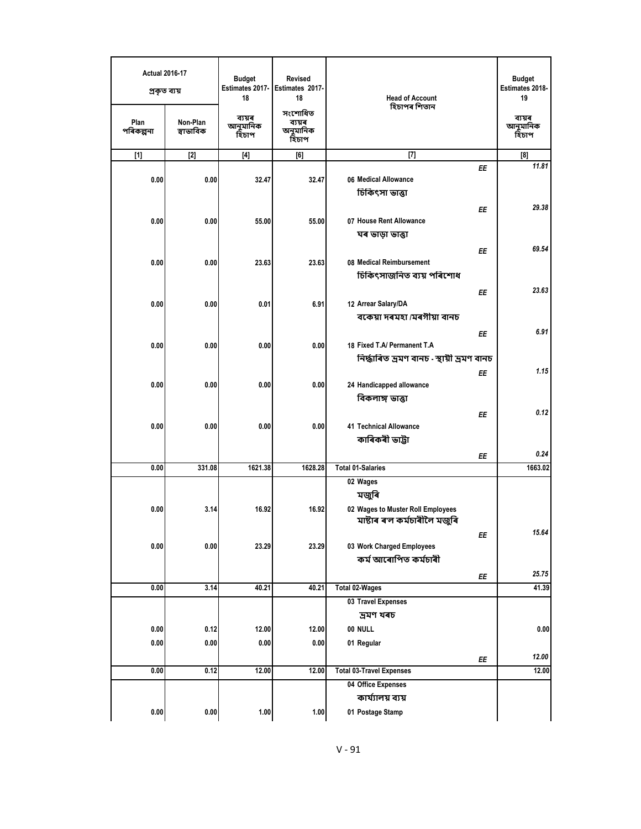| <b>Actual 2016-17</b><br>প্ৰকৃত ব্যয় |                       | <b>Budget</b><br>Estimates 2017-<br>18 | <b>Revised</b><br>Estimates 2017-<br>18 | <b>Head of Account</b>                                                                 | <b>Budget</b><br>Estimates 2018-<br>19 |
|---------------------------------------|-----------------------|----------------------------------------|-----------------------------------------|----------------------------------------------------------------------------------------|----------------------------------------|
| Plan<br>পৰিকল্পনা                     | Non-Plan<br>স্বাভাবিক | ব্যয়ৰ<br>আনুমানিক<br>হিচাপ            | সংশোধিত<br>ব্যয়ৰ<br>অনুমানিক<br>হিচাপ  | হিচাপৰ শিতান                                                                           | ব্যয়ৰ<br>আনুমানিক<br>হিচাপ            |
| $[1]$                                 | $[2]$                 | $[4]$                                  | [6]                                     | $[7]$                                                                                  | [8]                                    |
| 0.00                                  | 0.00                  | 32.47                                  | 32.47                                   | EE<br>06 Medical Allowance<br>চিকিৎসা ভাত্তা                                           | 11.81<br>29.38                         |
| 0.00                                  | 0.00                  | 55.00                                  | 55.00                                   | EE<br>07 House Rent Allowance<br>ঘৰ ভাড়া ভাত্তা                                       |                                        |
| 0.00                                  | 0.00                  | 23.63                                  | 23.63                                   | ΕE<br>08 Medical Reimbursement<br>চিকিৎসাজনিত ব্যয় পৰিশোধ                             | 69.54                                  |
| 0.00                                  | 0.00                  | 0.01                                   | 6.91                                    | EE<br>12 Arrear Salary/DA<br>বকেয়া দৰমহা /মৰগীয়া বানচ                                | 23.63                                  |
| 0.00                                  | 0.00                  | 0.00                                   | 0.00                                    | ΕE<br>18 Fixed T.A/ Permanent T.A<br>নিৰ্দ্ধাৰিত ভ্ৰমণ বানচ - স্থায়ী ভ্ৰমণ বানচ       | 6.91                                   |
| 0.00                                  | 0.00                  | 0.00                                   | 0.00                                    | EE<br>24 Handicapped allowance<br>বিকলাঙ্গ ভাত্তা                                      | 1.15                                   |
| 0.00                                  | 0.00                  | 0.00                                   | 0.00                                    | EE<br><b>41 Technical Allowance</b><br>কাৰিকৰী ভাট্টা                                  | 0.12<br>0.24                           |
| 0.00                                  | 331.08                | 1621.38                                | 1628.28                                 | ΕE<br><b>Total 01-Salaries</b>                                                         | 1663.02                                |
| 0.00                                  | 3.14                  | 16.92                                  | 16.92                                   | 02 Wages<br>মজুৰি<br>02 Wages to Muster Roll Employees<br>মাষ্টাৰ ৰ'ল কৰ্মচাৰীলৈ মজুৰি |                                        |
| 0.00                                  | 0.00                  | 23.29                                  | 23.29                                   | ΕE<br>03 Work Charged Employees<br>কৰ্ম আৰোপিত কৰ্মচাৰী                                | 15.64                                  |
| 0.00                                  | 3.14                  | 40.21                                  | 40.21                                   | ΕE<br><b>Total 02-Wages</b>                                                            | 25.75<br>41.39                         |
|                                       |                       |                                        |                                         | 03 Travel Expenses<br>ভ্ৰমণ খৰচ                                                        |                                        |
| 0.00                                  | 0.12                  | 12.00                                  | 12.00                                   | 00 NULL                                                                                | 0.00                                   |
| 0.00                                  | 0.00                  | 0.00                                   | 0.00                                    | 01 Regular                                                                             |                                        |
| 0.00                                  | 0.12                  | 12.00                                  | 12.00                                   | ΕE<br><b>Total 03-Travel Expenses</b>                                                  | 12.00<br>12.00                         |
|                                       |                       |                                        |                                         | 04 Office Expenses                                                                     |                                        |
|                                       |                       |                                        |                                         | কাৰ্য্যালয় ব্যয়                                                                      |                                        |
| 0.00                                  | 0.00                  | 1.00                                   | 1.00                                    | 01 Postage Stamp                                                                       |                                        |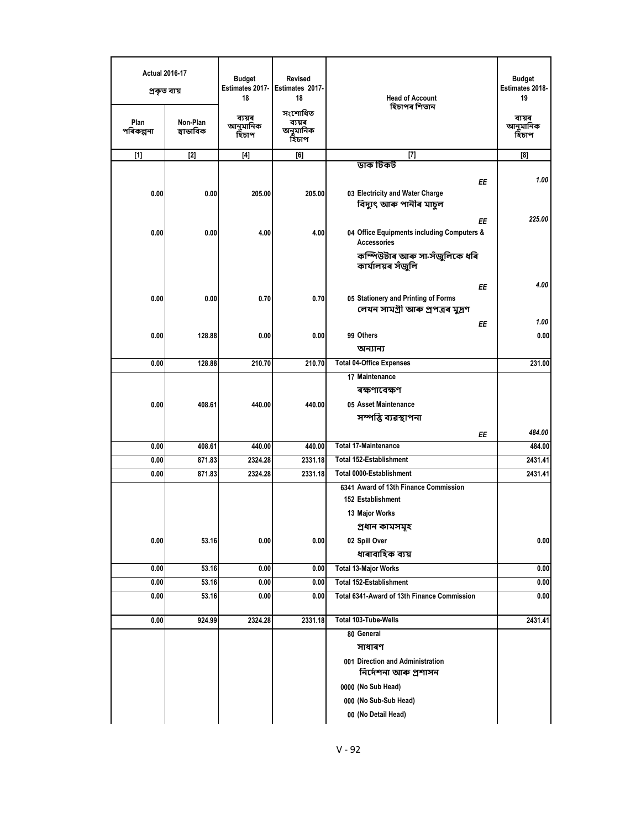| <b>Actual 2016-17</b><br>প্ৰকৃত ব্যয়<br>Plan<br>পৰিকল্পনা | Non-Plan<br>স্বাভাবিক | <b>Budget</b><br>Estimates 2017- Estimates 2017-<br>18<br>ব্যয়ৰ<br>আনুমানিক<br>হিচাপ | <b>Revised</b><br>18<br>সংশোধিত<br>ব্যয়ৰ<br>অনুমানিক<br>হিচাপ | <b>Head of Account</b><br>হিচাপৰ শিতান                                                                                           | <b>Budget</b><br>Estimates 2018-<br>19<br>ব্যয়ৰ<br>আনুমানিক<br>হিচাপ |
|------------------------------------------------------------|-----------------------|---------------------------------------------------------------------------------------|----------------------------------------------------------------|----------------------------------------------------------------------------------------------------------------------------------|-----------------------------------------------------------------------|
| $[1]$                                                      | $[2]$                 | $[4]$                                                                                 | [6]                                                            | $[7]$                                                                                                                            | [8]                                                                   |
|                                                            |                       |                                                                                       |                                                                | ডাক টিকট                                                                                                                         |                                                                       |
| 0.00                                                       | 0.00                  | 205.00                                                                                | 205.00                                                         | ΕE<br>03 Electricity and Water Charge<br>বিদ্যুৎ আৰু পানীৰ মাচুল                                                                 | 1.00                                                                  |
| 0.00                                                       | 0.00                  | 4.00                                                                                  | 4.00                                                           | ΕE<br>04 Office Equipments including Computers &<br><b>Accessories</b><br>কম্পিউটাৰ আৰু সা-সঁজুলিকে ধৰি                          | 225.00                                                                |
|                                                            |                       |                                                                                       |                                                                | কাৰ্যালয়ৰ সঁজুলি                                                                                                                |                                                                       |
| 0.00                                                       | 0.00                  | 0.70                                                                                  | 0.70                                                           | ΕE<br>05 Stationery and Printing of Forms<br>লেখন সামগ্ৰী আৰু প্ৰপত্ৰৰ মুদ্ৰণ                                                    | 4.00                                                                  |
|                                                            |                       |                                                                                       |                                                                | ΕE                                                                                                                               | 1.00                                                                  |
| 0.00                                                       | 128.88                | 0.00                                                                                  | 0.00                                                           | 99 Others                                                                                                                        | 0.00                                                                  |
|                                                            |                       |                                                                                       |                                                                | অন্যান্য                                                                                                                         |                                                                       |
| 0.00                                                       | 128.88                | 210.70                                                                                | 210.70                                                         | <b>Total 04-Office Expenses</b>                                                                                                  | 231.00                                                                |
| 0.00                                                       | 408.61                | 440.00                                                                                | 440.00                                                         | 17 Maintenance<br>ৰক্ষণাবেক্ষণ<br>05 Asset Maintenance<br>সম্পত্তি ব্যৱস্থাপনা                                                   |                                                                       |
|                                                            |                       |                                                                                       |                                                                | ΕE                                                                                                                               | 484.00                                                                |
| 0.00                                                       | 408.61                | 440.00                                                                                | 440.00                                                         | <b>Total 17-Maintenance</b>                                                                                                      | 484.00                                                                |
| 0.00                                                       | 871.83                | 2324.28                                                                               | 2331.18                                                        | <b>Total 152-Establishment</b>                                                                                                   | 2431.41                                                               |
| 0.00                                                       | 871.83                | 2324.28                                                                               | 2331.18                                                        | Total 0000-Establishment                                                                                                         | 2431.41                                                               |
|                                                            |                       |                                                                                       |                                                                | 6341 Award of 13th Finance Commission<br>152 Establishment<br>13 Major Works<br>প্ৰধান কামসমূহ                                   |                                                                       |
| 0.00                                                       | 53.16                 | 0.00                                                                                  | 0.00                                                           | 02 Spill Over<br>ধাৰাবাহিক ব্যয়                                                                                                 | 0.00                                                                  |
| 0.00                                                       | 53.16                 | 0.00                                                                                  | 0.00                                                           | <b>Total 13-Major Works</b>                                                                                                      | 0.00                                                                  |
| 0.00                                                       | 53.16                 | 0.00                                                                                  | 0.00                                                           | Total 152-Establishment                                                                                                          | 0.00                                                                  |
| 0.00                                                       | 53.16                 | 0.00                                                                                  | 0.00                                                           | Total 6341-Award of 13th Finance Commission                                                                                      | 0.00                                                                  |
| 0.00                                                       | 924.99                | 2324.28                                                                               | 2331.18                                                        | Total 103-Tube-Wells                                                                                                             | 2431.41                                                               |
|                                                            |                       |                                                                                       |                                                                | 80 General<br>সাধাৰণ<br>001 Direction and Administration<br>নিৰ্দেশনা আৰু প্ৰশাসন<br>0000 (No Sub Head)<br>000 (No Sub-Sub Head) |                                                                       |
|                                                            |                       |                                                                                       |                                                                | 00 (No Detail Head)                                                                                                              |                                                                       |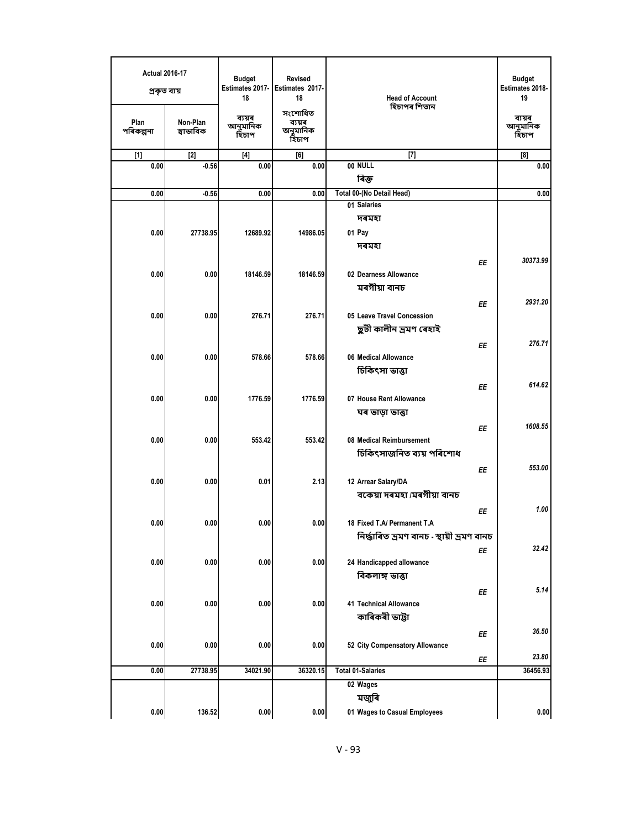| <b>Actual 2016-17</b><br>প্ৰকৃত ব্যয় |                       | <b>Budget</b><br>Estimates 2017-<br>18 | Revised<br>Estimates 2017-<br>18       | <b>Head of Account</b>                      | <b>Budget</b><br>Estimates 2018-<br>19 |
|---------------------------------------|-----------------------|----------------------------------------|----------------------------------------|---------------------------------------------|----------------------------------------|
| Plan<br>পৰিকল্পনা                     | Non-Plan<br>স্বাভাবিক | ব্যয়ৰ<br>আনুমানিক<br>হিঁচাপ           | সংশোধিত<br>ব্যয়ৰ<br>অনুমানিক<br>হিচাপ | হিচাপৰ শিতান                                | ব্যয়ৰ<br>আনুমানিক<br>হিচাপ            |
| $[1]$                                 | $[2]$                 | $[4]$                                  | [6]                                    | $[7]$                                       | $^{[8]}$                               |
| 0.00                                  | $-0.56$               | 0.00                                   | 0.00                                   | 00 NULL                                     | 0.00                                   |
|                                       |                       |                                        |                                        | ৰিক্ত                                       |                                        |
| 0.00                                  | $-0.56$               | 0.00                                   | 0.00                                   | Total 00-(No Detail Head)                   | 0.00                                   |
|                                       |                       |                                        |                                        | 01 Salaries                                 |                                        |
|                                       |                       |                                        |                                        | দৰমহা                                       |                                        |
| 0.00                                  | 27738.95              | 12689.92                               | 14986.05                               | 01 Pay                                      |                                        |
|                                       |                       |                                        |                                        | দৰমহা                                       |                                        |
|                                       |                       |                                        |                                        | EE                                          | 30373.99                               |
| 0.00                                  | 0.00                  | 18146.59                               | 18146.59                               | 02 Dearness Allowance                       |                                        |
|                                       |                       |                                        |                                        | মৰগীয়া বানচ                                |                                        |
|                                       |                       |                                        |                                        |                                             | 2931.20                                |
| 0.00                                  | 0.00                  | 276.71                                 | 276.71                                 | ΕE<br>05 Leave Travel Concession            |                                        |
|                                       |                       |                                        |                                        | ছুটী কালীন ভ্ৰমণ ৰেহাই                      |                                        |
|                                       |                       |                                        |                                        |                                             |                                        |
|                                       |                       |                                        |                                        | EE                                          | 276.71                                 |
| 0.00                                  | 0.00                  | 578.66                                 | 578.66                                 | 06 Medical Allowance                        |                                        |
|                                       |                       |                                        |                                        | চিকিৎসা ভাত্তা                              |                                        |
|                                       |                       |                                        |                                        | ΕE                                          | 614.62                                 |
| 0.00                                  | 0.00                  | 1776.59                                | 1776.59                                | 07 House Rent Allowance                     |                                        |
|                                       |                       |                                        |                                        | ঘৰ ভাড়া ভাত্তা                             |                                        |
|                                       |                       |                                        |                                        | ΕE                                          | 1608.55                                |
| 0.00                                  | 0.00                  | 553.42                                 | 553.42                                 | 08 Medical Reimbursement                    |                                        |
|                                       |                       |                                        |                                        | চিকিৎসাজনিত ব্যয় পৰিশোধ                    |                                        |
|                                       |                       |                                        |                                        |                                             | 553.00                                 |
| 0.00                                  | 0.00                  | 0.01                                   | 2.13                                   | EE<br>12 Arrear Salary/DA                   |                                        |
|                                       |                       |                                        |                                        | বকেয়া দৰমহা /মৰগীয়া বানচ                  |                                        |
|                                       |                       |                                        |                                        |                                             |                                        |
|                                       |                       |                                        |                                        | ΕE                                          | 1.00                                   |
| 0.00                                  | 0.00                  | 0.00                                   | 0.00                                   | 18 Fixed T.A/ Permanent T.A                 |                                        |
|                                       |                       |                                        |                                        | নিৰ্দ্ধাৰিত ভ্ৰমণ বানচ - স্থায়ী ভ্ৰমণ বানচ |                                        |
|                                       |                       |                                        |                                        | ΕE                                          | 32.42                                  |
| 0.00                                  | 0.00                  | 0.00                                   | 0.00                                   | 24 Handicapped allowance                    |                                        |
|                                       |                       |                                        |                                        | বিকলাঙ্গ ভাত্তা                             |                                        |
|                                       |                       |                                        |                                        | ΕE                                          | 5.14                                   |
| 0.00                                  | 0.00                  | 0.00                                   | 0.00                                   | 41 Technical Allowance                      |                                        |
|                                       |                       |                                        |                                        | কাৰিকৰী ভাট্টা                              |                                        |
|                                       |                       |                                        |                                        | ΕE                                          | 36.50                                  |
| 0.00                                  | 0.00                  | 0.00                                   | 0.00                                   | 52 City Compensatory Allowance              |                                        |
|                                       |                       |                                        |                                        | ΕE                                          | 23.80                                  |
| 0.00                                  | 27738.95              | 34021.90                               | 36320.15                               | <b>Total 01-Salaries</b>                    | 36456.93                               |
|                                       |                       |                                        |                                        | 02 Wages                                    |                                        |
|                                       |                       |                                        |                                        | মজুৰি                                       |                                        |
| 0.00                                  | 136.52                | 0.00                                   | 0.00                                   | 01 Wages to Casual Employees                | 0.00                                   |
|                                       |                       |                                        |                                        |                                             |                                        |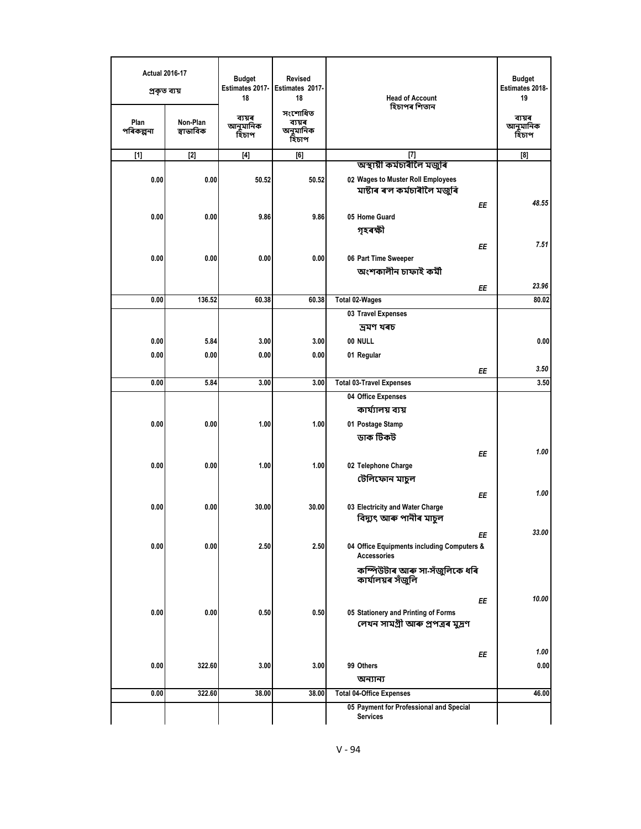| <b>Actual 2016-17</b> | প্ৰকৃত ব্যয়          | <b>Budget</b><br>Estimates 2017-<br>18                                                                                                                                                        | <b>Revised</b><br>Estimates 2017-<br>18 | <b>Head of Account</b><br>হিচাপৰ শিতান                                                         | <b>Budget</b><br>Estimates 2018-<br>19 |
|-----------------------|-----------------------|-----------------------------------------------------------------------------------------------------------------------------------------------------------------------------------------------|-----------------------------------------|------------------------------------------------------------------------------------------------|----------------------------------------|
| Plan<br>পৰিকল্পনা     | Non-Plan<br>স্বাভাবিক | ব্যয়ৰ<br>আনুমানিক<br>হিচাপ                                                                                                                                                                   | সংশোধিত<br>ব্যয়ৰ<br>অনুমানিক<br>হিচাপ  |                                                                                                | ব্যয়ৰ<br>আনুমানিক<br>হিঁচাপ           |
| $[1]$                 | $[2]$                 | $[4] % \includegraphics[width=0.9\columnwidth]{images/TrDiS-Architecture.png} % \caption{The figure shows the results of the estimators in the left and right.} \label{TrDiS-Architecture} %$ | [6]                                     | $[7]$                                                                                          | [8]                                    |
| 0.00                  | 0.00                  | 50.52                                                                                                                                                                                         | 50.52                                   | অস্থায়ী কৰ্মচাৰীলৈ মজুৰি<br>02 Wages to Muster Roll Employees<br>মাষ্টাৰ ৰ'ল কৰ্মচাৰীলৈ মজুৰি |                                        |
|                       |                       |                                                                                                                                                                                               |                                         | ΕE                                                                                             | 48.55                                  |
| 0.00                  | 0.00                  | 9.86                                                                                                                                                                                          | 9.86                                    | 05 Home Guard<br>গৃহৰক্ষী                                                                      |                                        |
|                       |                       |                                                                                                                                                                                               |                                         | ΕE                                                                                             | 7.51                                   |
| 0.00                  | 0.00                  | 0.00                                                                                                                                                                                          | 0.00                                    | 06 Part Time Sweeper                                                                           |                                        |
|                       |                       |                                                                                                                                                                                               |                                         | অংশকালীন চাফাই কৰ্মী                                                                           |                                        |
|                       |                       |                                                                                                                                                                                               |                                         | EE                                                                                             | 23.96                                  |
| 0.00                  | 136.52                | 60.38                                                                                                                                                                                         | 60.38                                   | <b>Total 02-Wages</b>                                                                          | 80.02                                  |
|                       |                       |                                                                                                                                                                                               |                                         | 03 Travel Expenses                                                                             |                                        |
|                       |                       |                                                                                                                                                                                               |                                         | দ্ৰমণ খৰচ                                                                                      |                                        |
| 0.00                  | 5.84                  | 3.00                                                                                                                                                                                          | 3.00                                    | 00 NULL                                                                                        | 0.00                                   |
| 0.00                  | 0.00                  | 0.00                                                                                                                                                                                          | 0.00                                    | 01 Regular                                                                                     |                                        |
|                       |                       |                                                                                                                                                                                               |                                         | ΕE                                                                                             | 3.50                                   |
| 0.00                  | 5.84                  | 3.00                                                                                                                                                                                          | 3.00                                    | <b>Total 03-Travel Expenses</b>                                                                | 3.50                                   |
|                       |                       |                                                                                                                                                                                               |                                         | 04 Office Expenses                                                                             |                                        |
|                       |                       |                                                                                                                                                                                               |                                         | কাৰ্য্যালয় ব্যয়                                                                              |                                        |
| 0.00                  | 0.00                  | 1.00                                                                                                                                                                                          | 1.00                                    | 01 Postage Stamp                                                                               |                                        |
|                       |                       |                                                                                                                                                                                               |                                         | ডাক টিকট                                                                                       |                                        |
|                       |                       |                                                                                                                                                                                               |                                         | ΕE                                                                                             | 1.00                                   |
| 0.00                  | 0.00                  | 1.00                                                                                                                                                                                          | 1.00                                    | 02 Telephone Charge                                                                            |                                        |
|                       |                       |                                                                                                                                                                                               |                                         | টেলিফোন মাচুল                                                                                  |                                        |
|                       |                       |                                                                                                                                                                                               |                                         | EE                                                                                             | 1.00                                   |
| 0.00                  | 0.00                  | 30.00                                                                                                                                                                                         | 30.00                                   | 03 Electricity and Water Charge<br>বিদ্যুৎ আৰু পানীৰ মাচুল                                     |                                        |
|                       |                       |                                                                                                                                                                                               |                                         | ΕE                                                                                             | 33.00                                  |
| 0.00                  | 0.00                  | 2.50                                                                                                                                                                                          | 2.50                                    | 04 Office Equipments including Computers &<br><b>Accessories</b>                               |                                        |
|                       |                       |                                                                                                                                                                                               |                                         | কম্পিউটাৰ আৰু সা-সঁজুলিকে ধৰি<br>কাৰ্যালয়ৰ সঁজুলি                                             |                                        |
|                       |                       |                                                                                                                                                                                               |                                         | ΕE                                                                                             | 10.00                                  |
| 0.00                  | 0.00                  | 0.50                                                                                                                                                                                          | 0.50                                    | 05 Stationery and Printing of Forms                                                            |                                        |
|                       |                       |                                                                                                                                                                                               |                                         | লেখন সামগ্ৰী আৰু প্ৰপত্ৰৰ মুদ্ৰণ                                                               |                                        |
|                       |                       |                                                                                                                                                                                               |                                         | ΕE                                                                                             | 1.00                                   |
| 0.00                  | 322.60                | 3.00                                                                                                                                                                                          | 3.00                                    | 99 Others                                                                                      | 0.00                                   |
|                       |                       |                                                                                                                                                                                               |                                         | অন্যান্য                                                                                       |                                        |
| 0.00                  | 322.60                | 38.00                                                                                                                                                                                         | 38.00                                   | <b>Total 04-Office Expenses</b>                                                                | 46.00                                  |
|                       |                       |                                                                                                                                                                                               |                                         | 05 Payment for Professional and Special<br><b>Services</b>                                     |                                        |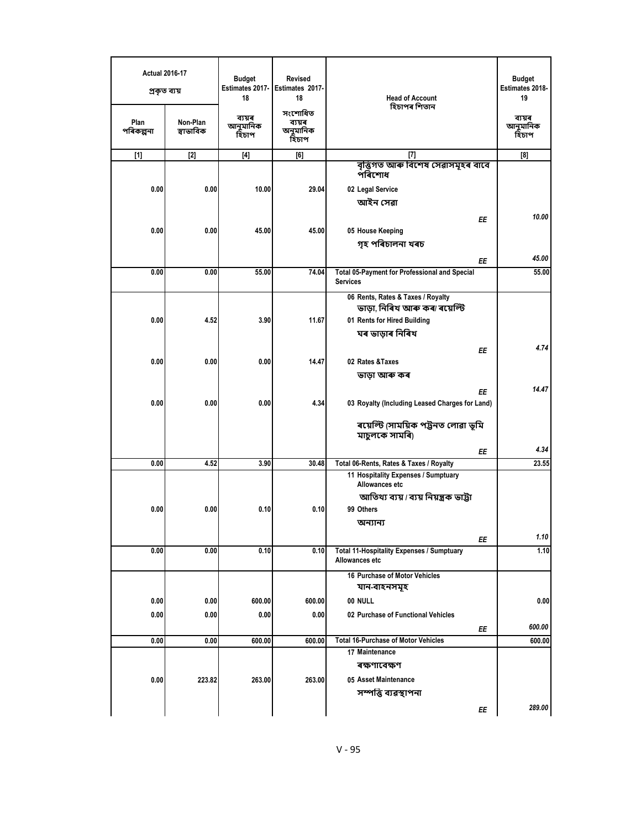| <b>Actual 2016-17</b> | প্ৰকৃত ব্যয়          | <b>Budget</b><br>Estimates 2017-<br>18 | <b>Revised</b><br>Estimates 2017-<br>18 | <b>Head of Account</b><br>হিচাপৰ শিতান                             | <b>Budget</b><br>Estimates 2018-<br>19 |
|-----------------------|-----------------------|----------------------------------------|-----------------------------------------|--------------------------------------------------------------------|----------------------------------------|
| Plan<br>পৰিকল্পনা     | Non-Plan<br>স্বাভাবিক | ব্যয়ৰ<br>আনুমানিক<br>হিঁচাপ           | সংশোধিত<br>ব্যয়ৰ<br>অনুমানিক<br>হিচাপ  |                                                                    | ব্যয়ৰ<br>আনুমানিক<br>হিচাপ            |
| $[1]$                 | $[2]$                 | $[4]$                                  | [6]                                     | $[7]$                                                              | [8]                                    |
|                       |                       |                                        |                                         | বৃত্তিগত আৰু বিশেষ সেৱাসমূহৰ বাবে<br>পৰিশোধ                        |                                        |
| 0.00                  | 0.00                  | 10.00                                  | 29.04                                   | 02 Legal Service<br>আইন সেৱা                                       |                                        |
|                       |                       |                                        |                                         |                                                                    | 10.00                                  |
| 0.00                  | 0.00                  | 45.00                                  | 45.00                                   | ΕE<br>05 House Keeping                                             |                                        |
|                       |                       |                                        |                                         | গৃহ পৰিচালনা খৰচ                                                   |                                        |
|                       |                       |                                        |                                         |                                                                    |                                        |
|                       |                       |                                        |                                         | EE                                                                 | 45.00                                  |
| 0.00                  | 0.00                  | 55.00                                  | 74.04                                   | Total 05-Payment for Professional and Special<br><b>Services</b>   | 55.00                                  |
|                       |                       |                                        |                                         | 06 Rents, Rates & Taxes / Royalty                                  |                                        |
|                       |                       |                                        |                                         | ভাড়া, নিৰিখ আৰু কৰা ৰয়েল্টি                                      |                                        |
| 0.00                  | 4.52                  | 3.90                                   | 11.67                                   | 01 Rents for Hired Building                                        |                                        |
|                       |                       |                                        |                                         | ঘৰ ভাড়াৰ নিৰিখ                                                    |                                        |
|                       |                       |                                        |                                         | ΕE                                                                 | 4.74                                   |
| 0.00                  | 0.00                  | 0.00                                   | 14.47                                   | 02 Rates & Taxes                                                   |                                        |
|                       |                       |                                        |                                         | ভাড়া আৰু কৰ                                                       |                                        |
|                       |                       |                                        |                                         | ΕE                                                                 | 14.47                                  |
| 0.00                  | 0.00                  | 0.00                                   | 4.34                                    | 03 Royalty (Including Leased Charges for Land)                     |                                        |
|                       |                       |                                        |                                         | ৰয়েল্টি (সাময়িক পট্টনত লোৱা ভূমি<br>মাচুলকে সামৰি)               |                                        |
|                       |                       |                                        |                                         | ΕE                                                                 | 4.34                                   |
| 0.00                  | 4.52                  | 3.90                                   | 30.48                                   | Total 06-Rents, Rates & Taxes / Royalty                            | 23.55                                  |
|                       |                       |                                        |                                         | 11 Hospitality Expenses / Sumptuary<br>Allowances etc              |                                        |
|                       |                       |                                        |                                         | আতিথ্য ব্যয় / ব্যয় নিয়ন্ত্ৰক ভাট্টা                             |                                        |
| 0.00                  | 0.00                  | 0.10                                   | 0.10                                    | 99 Others                                                          |                                        |
|                       |                       |                                        |                                         | অন্যান্য                                                           |                                        |
|                       |                       |                                        |                                         | ΕE                                                                 | 1.10                                   |
| 0.00                  | 0.00                  | 0.10                                   | 0.10                                    | <b>Total 11-Hospitality Expenses / Sumptuary</b><br>Allowances etc | 1.10                                   |
|                       |                       |                                        |                                         | 16 Purchase of Motor Vehicles<br>যান-বাহনসমূহ                      |                                        |
| 0.00                  | 0.00                  | 600.00                                 | 600.00                                  | 00 NULL                                                            | 0.00                                   |
| 0.00                  | 0.00                  | 0.00                                   | 0.00                                    | 02 Purchase of Functional Vehicles                                 |                                        |
|                       |                       |                                        |                                         | ΕE                                                                 | 600.00                                 |
| 0.00                  | 0.00                  | 600.00                                 | 600.00                                  | <b>Total 16-Purchase of Motor Vehicles</b>                         | 600.00                                 |
|                       |                       |                                        |                                         | 17 Maintenance                                                     |                                        |
|                       |                       |                                        |                                         | ৰক্ষণাবেক্ষণ                                                       |                                        |
| 0.00                  | 223.82                | 263.00                                 | 263.00                                  | 05 Asset Maintenance                                               |                                        |
|                       |                       |                                        |                                         | সম্পত্তি ব্যৱস্থাপনা                                               |                                        |
|                       |                       |                                        |                                         | ΕE                                                                 | 289.00                                 |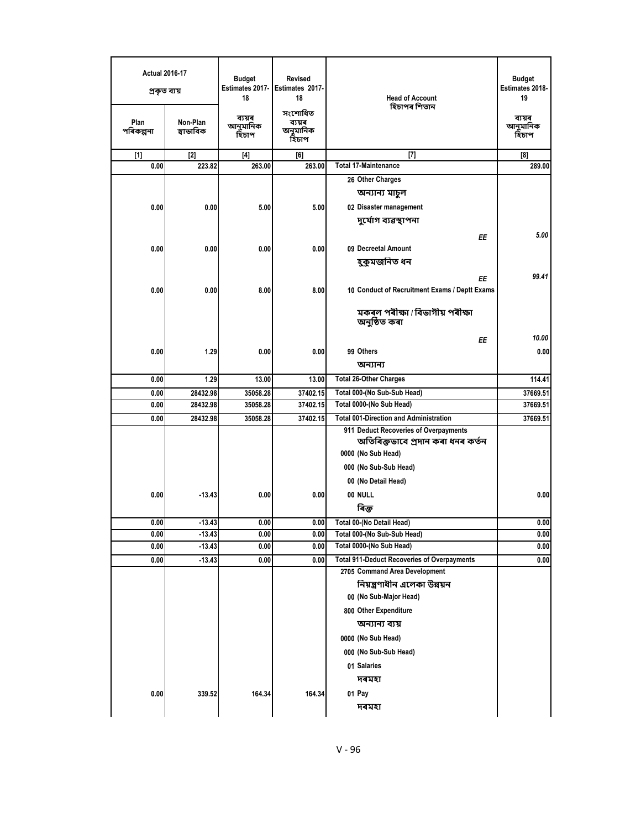| <b>Actual 2016-17</b><br>প্ৰকৃত ব্যয় |                       | <b>Budget</b><br>Estimates 2017-<br>18 | <b>Revised</b><br>Estimates 2017-<br>18 | <b>Head of Account</b><br>হিচাপৰ শিতান                   | <b>Budget</b><br>Estimates 2018-<br>19 |
|---------------------------------------|-----------------------|----------------------------------------|-----------------------------------------|----------------------------------------------------------|----------------------------------------|
| Plan<br>পৰিকল্পনা                     | Non-Plan<br>স্বাভাবিক | ব্যয়ৰ<br>আনুমানিক<br>হিচাপ            | সংশোধিত<br>ব্যয়ৰ<br>অনুমানিক<br>হিচাপ  |                                                          | ব্যয়ৰ<br>আনুমানিক<br>হিচাপ            |
| $[1]$                                 | $[2]$                 | $[4]$                                  | [6]                                     | $[7]$                                                    | [8]                                    |
| 0.00                                  | 223.82                | 263.00                                 | 263.00                                  | <b>Total 17-Maintenance</b>                              | 289.00                                 |
|                                       |                       |                                        |                                         | 26 Other Charges                                         |                                        |
|                                       |                       |                                        |                                         | অন্যান্য মাচুল                                           |                                        |
| 0.00                                  | 0.00                  | 5.00                                   | 5.00                                    | 02 Disaster management                                   |                                        |
|                                       |                       |                                        |                                         | দুৰ্যোগ ব্যৱস্থাপনা                                      |                                        |
|                                       |                       |                                        |                                         | ΕE                                                       | 5.00                                   |
| 0.00                                  | 0.00                  | 0.00                                   | 0.00                                    | 09 Decreetal Amount                                      |                                        |
|                                       |                       |                                        |                                         | হুকুমজনিত ধন                                             |                                        |
|                                       |                       |                                        |                                         |                                                          |                                        |
|                                       |                       |                                        |                                         | ΕE                                                       | 99.41                                  |
| 0.00                                  | 0.00                  | 8.00                                   | 8.00                                    | 10 Conduct of Recruitment Exams / Deptt Exams            |                                        |
|                                       |                       |                                        |                                         | মকৰল পৰীক্ষা / বিভাগীয় পৰীক্ষা<br>অনুষ্ঠিত কৰা          |                                        |
|                                       |                       |                                        |                                         | ΕE                                                       | 10.00                                  |
| 0.00                                  | 1.29                  | 0.00                                   | 0.00                                    | 99 Others                                                | 0.00                                   |
|                                       |                       |                                        |                                         | অন্যান্য                                                 |                                        |
| 0.00                                  | 1.29                  | 13.00                                  | 13.00                                   | <b>Total 26-Other Charges</b>                            | 114.41                                 |
| 0.00                                  | 28432.98              | 35058.28                               | 37402.15                                | Total 000-(No Sub-Sub Head)                              | 37669.51                               |
| 0.00                                  | 28432.98              | 35058.28                               | 37402.15                                | Total 0000-(No Sub Head)                                 | 37669.51                               |
| 0.00                                  | 28432.98              | 35058.28                               | 37402.15                                | <b>Total 001-Direction and Administration</b>            | 37669.51                               |
|                                       |                       |                                        |                                         | 911 Deduct Recoveries of Overpayments                    |                                        |
|                                       |                       |                                        |                                         | অতিৰিক্তভাবে প্ৰদান কৰা ধনৰ কৰ্তন                        |                                        |
|                                       |                       |                                        |                                         | 0000 (No Sub Head)                                       |                                        |
|                                       |                       |                                        |                                         | 000 (No Sub-Sub Head)                                    |                                        |
|                                       |                       |                                        |                                         | 00 (No Detail Head)                                      |                                        |
| 0.00                                  | $-13.43$              | 0.00                                   | 0.00                                    | 00 NULL                                                  | 0.00                                   |
|                                       |                       |                                        |                                         | ৰিক্ত                                                    |                                        |
|                                       |                       |                                        |                                         |                                                          |                                        |
| 0.00<br>0.00                          | $-13.43$<br>-13.43    | 0.00<br>0.00                           | 0.00<br>0.00                            | Total 00-(No Detail Head)<br>Total 000-(No Sub-Sub Head) | 0.00<br>0.00                           |
| 0.00                                  | -13.43                | 0.00                                   | 0.00                                    | Total 0000-(No Sub Head)                                 | 0.00                                   |
| 0.00                                  | $-13.43$              | 0.00                                   | 0.00                                    | <b>Total 911-Deduct Recoveries of Overpayments</b>       | 0.00                                   |
|                                       |                       |                                        |                                         | 2705 Command Area Development                            |                                        |
|                                       |                       |                                        |                                         | নিয়ন্ত্রণাধীন এলেকা উন্নয়ন                             |                                        |
|                                       |                       |                                        |                                         | 00 (No Sub-Major Head)                                   |                                        |
|                                       |                       |                                        |                                         | 800 Other Expenditure                                    |                                        |
|                                       |                       |                                        |                                         | অন্যান্য ব্যয়                                           |                                        |
|                                       |                       |                                        |                                         |                                                          |                                        |
|                                       |                       |                                        |                                         | 0000 (No Sub Head)                                       |                                        |
|                                       |                       |                                        |                                         | 000 (No Sub-Sub Head)                                    |                                        |
|                                       |                       |                                        |                                         | 01 Salaries                                              |                                        |
|                                       |                       |                                        |                                         | দৰমহা                                                    |                                        |
| 0.00                                  | 339.52                | 164.34                                 | 164.34                                  | 01 Pay                                                   |                                        |
|                                       |                       |                                        |                                         | দৰমহা                                                    |                                        |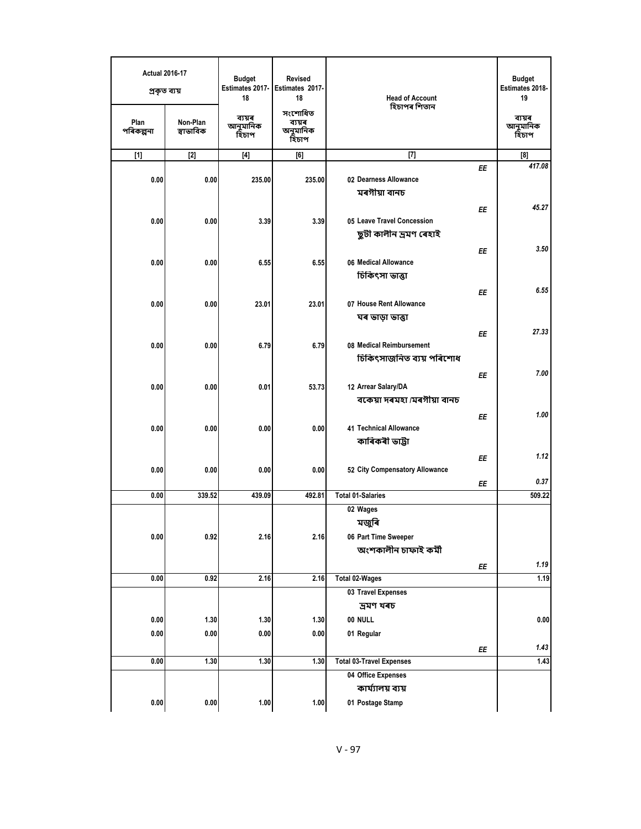| <b>Actual 2016-17</b><br>প্ৰকৃত ব্যয় |                       | <b>Budget</b><br>Estimates 2017-<br>18 | <b>Revised</b><br>Estimates 2017-<br>18 | <b>Head of Account</b><br>হিচাপৰ শিতান                                     | <b>Budget</b><br>Estimates 2018-<br>19 |
|---------------------------------------|-----------------------|----------------------------------------|-----------------------------------------|----------------------------------------------------------------------------|----------------------------------------|
| Plan<br>পৰিকল্পনা                     | Non-Plan<br>স্বাভাবিক | ব্যয়ৰ<br>আনুমানিক<br>হিঁচাপ           | সংশোধিত<br>ব্যয়ৰ<br>অনুমানিক<br>হিচাপ  |                                                                            | ব্যয়ৰ<br>আনুমানিক<br>হিচাপ            |
| $[1]$                                 | $[2]$                 | $[4]$                                  | [6]                                     | $[7]$                                                                      | [8]                                    |
| 0.00                                  | 0.00                  | 235.00                                 | 235.00                                  | 02 Dearness Allowance<br>মৰগীয়া বানচ                                      | 417.08<br>EE                           |
| 0.00                                  | 0.00                  | 3.39                                   | 3.39                                    | 05 Leave Travel Concession<br>ছুটী কালীন ভ্ৰমণ ৰেহাই                       | 45.27<br>EE                            |
| 0.00                                  | 0.00                  | 6.55                                   | 6.55                                    | 06 Medical Allowance<br>চিকিৎসা ভাত্তা                                     | 3.50<br>EE                             |
| 0.00                                  | 0.00                  | 23.01                                  | 23.01                                   | 07 House Rent Allowance<br>ঘৰ ভাড়া ভাত্তা                                 | 6.55<br>EE                             |
| 0.00                                  | 0.00                  | 6.79                                   | 6.79                                    | 08 Medical Reimbursement<br>চিকিৎসাজনিত ব্যয় পৰিশোধ                       | 27.33<br>EE                            |
| 0.00                                  | 0.00                  | 0.01                                   | 53.73                                   | 12 Arrear Salary/DA<br>বকেয়া দৰমহা /মৰগীয়া বানচ                          | 7.00<br>EE                             |
| 0.00                                  | 0.00                  | 0.00                                   | 0.00                                    | 41 Technical Allowance<br>কাৰিকৰী ভাট্টা                                   | 1.00<br>ΕE                             |
| 0.00                                  | 0.00                  | 0.00                                   | 0.00                                    | 52 City Compensatory Allowance                                             | 1.12<br>EE<br>0.37                     |
| 0.00                                  | 339.52                | 439.09                                 | 492.81                                  | <b>Total 01-Salaries</b>                                                   | EE<br>509.22                           |
| 0.00                                  | 0.92                  | 2.16                                   | 2.16                                    | 02 Wages<br>মজুৰি<br>06 Part Time Sweeper<br>অংশকালীন চাফাই কৰ্মী          |                                        |
|                                       |                       |                                        |                                         |                                                                            | 1.19<br>ΕE                             |
| 0.00                                  | 0.92                  | 2.16                                   | 2.16                                    | <b>Total 02-Wages</b><br>03 Travel Expenses                                | 1.19                                   |
| $0.00\,$<br>0.00                      | 1.30<br>0.00          | 1.30<br>0.00                           | 1.30<br>0.00                            | দ্ৰমণ খৰচ<br>00 NULL<br>01 Regular                                         | 0.00                                   |
|                                       |                       |                                        |                                         |                                                                            | 1.43<br>ΕE                             |
| 0.00                                  | 1.30                  | 1.30                                   | 1.30                                    | <b>Total 03-Travel Expenses</b><br>04 Office Expenses<br>কাৰ্য্যালয় ব্যয় | 1.43                                   |
| $\boldsymbol{0.00}$                   | $0.00\,$              | 1.00                                   | 1.00                                    | 01 Postage Stamp                                                           |                                        |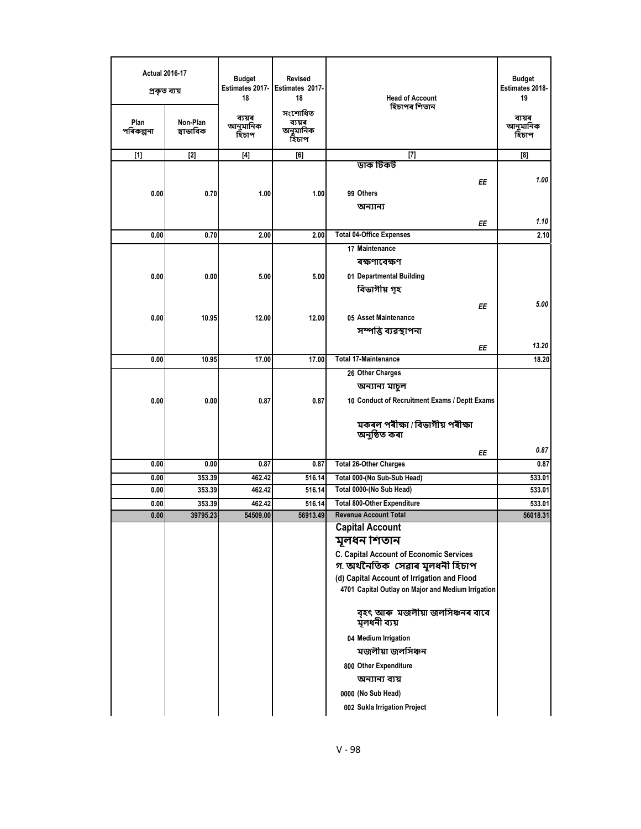| <b>Actual 2016-17</b><br>প্ৰকৃত ব্যয়<br>Plan | Non-Plan  | <b>Budget</b><br>Estimates 2017-<br>18<br>ব্যয়ৰ | <b>Revised</b><br>Estimates 2017-<br>18<br>সংশোধিত<br>ব্যয়ৰ | <b>Head of Account</b><br>হিচাপৰ শিতান                                           | <b>Budget</b><br>Estimates 2018-<br>19<br>ব্যয়ৰ |
|-----------------------------------------------|-----------|--------------------------------------------------|--------------------------------------------------------------|----------------------------------------------------------------------------------|--------------------------------------------------|
| পৰিকল্পনা                                     | স্বাভাবিক | আনুমানিক<br>হিচাপ                                | অনুমানিক<br>হিচাপ                                            |                                                                                  | আনুমানিক<br>হিঁচাপ                               |
| $[1]$                                         | $[2]$     | $[4]$                                            | [6]                                                          | $[7]$                                                                            | [8]                                              |
|                                               |           |                                                  |                                                              | ডাক টিকট                                                                         |                                                  |
|                                               |           |                                                  |                                                              | ΕE                                                                               | 1.00                                             |
| 0.00                                          | 0.70      | 1.00                                             | 1.00                                                         | 99 Others                                                                        |                                                  |
|                                               |           |                                                  |                                                              | অন্যান্য                                                                         |                                                  |
|                                               |           |                                                  |                                                              | ΕE                                                                               | 1.10                                             |
| 0.00                                          | 0.70      | 2.00                                             | 2.00                                                         | <b>Total 04-Office Expenses</b>                                                  | 2.10                                             |
|                                               |           |                                                  |                                                              | 17 Maintenance                                                                   |                                                  |
|                                               |           |                                                  |                                                              | ৰক্ষণাবেক্ষণ                                                                     |                                                  |
| 0.00                                          | 0.00      | 5.00                                             | 5.00                                                         | 01 Departmental Building                                                         |                                                  |
|                                               |           |                                                  |                                                              | বিভাগীয় গৃহ                                                                     |                                                  |
|                                               |           |                                                  |                                                              | ΕE                                                                               | 5.00                                             |
| 0.00                                          | 10.95     | 12.00                                            | 12.00                                                        | 05 Asset Maintenance                                                             |                                                  |
|                                               |           |                                                  |                                                              | সম্পত্তি ব্যৱস্থাপনা                                                             |                                                  |
|                                               |           |                                                  |                                                              | ΕE                                                                               | 13.20                                            |
| 0.00                                          | 10.95     | 17.00                                            | 17.00                                                        | <b>Total 17-Maintenance</b>                                                      | 18.20                                            |
|                                               |           |                                                  |                                                              | 26 Other Charges                                                                 |                                                  |
|                                               |           |                                                  |                                                              | অন্যান্য মাচুল                                                                   |                                                  |
| 0.00                                          | 0.00      | 0.87                                             | 0.87                                                         | 10 Conduct of Recruitment Exams / Deptt Exams                                    |                                                  |
|                                               |           |                                                  |                                                              | মকৰল পৰীক্ষা / বিভাগীয় পৰীক্ষা<br>অনুষ্ঠিত কৰা                                  |                                                  |
|                                               |           |                                                  |                                                              | ΕE                                                                               | 0.87                                             |
| 0.00                                          | 0.00      | 0.87                                             | 0.87                                                         | <b>Total 26-Other Charges</b>                                                    | 0.87                                             |
| 0.00                                          | 353.39    | 462.42                                           | 516.14                                                       | Total 000-(No Sub-Sub Head)                                                      | 533.01                                           |
| 0.00                                          | 353.39    | 462.42                                           | 516.14                                                       | Total 0000-(No Sub Head)                                                         | 533.01                                           |
| 0.00                                          | 353.39    | 462.42                                           | 516.14                                                       | <b>Total 800-Other Expenditure</b>                                               | 533.01                                           |
| 0.00                                          | 39795.23  | 54509.00                                         | 56913.49                                                     | <b>Revenue Account Total</b>                                                     | 56018.31                                         |
|                                               |           |                                                  |                                                              | <b>Capital Account</b>                                                           |                                                  |
|                                               |           |                                                  |                                                              | মূলধন শিতান                                                                      |                                                  |
|                                               |           |                                                  |                                                              | <b>C. Capital Account of Economic Services</b><br>গ অৰ্থনৈতিক সেৱাৰ মূলধনী হিচাপ |                                                  |
|                                               |           |                                                  |                                                              | (d) Capital Account of Irrigation and Flood                                      |                                                  |
|                                               |           |                                                  |                                                              | 4701 Capital Outlay on Major and Medium Irrigation                               |                                                  |
|                                               |           |                                                  |                                                              | বৃহৎ আৰু মজলীয়া জলসিঞ্চনৰ বাবে<br>মূলধনী ব্যয়                                  |                                                  |
|                                               |           |                                                  |                                                              |                                                                                  |                                                  |
|                                               |           |                                                  |                                                              | 04 Medium Irrigation                                                             |                                                  |
|                                               |           |                                                  |                                                              | মজলীয়া জলসিঞ্চন                                                                 |                                                  |
|                                               |           |                                                  |                                                              | 800 Other Expenditure                                                            |                                                  |
|                                               |           |                                                  |                                                              | অন্যান্য ব্যয়                                                                   |                                                  |
|                                               |           |                                                  |                                                              | 0000 (No Sub Head)                                                               |                                                  |
|                                               |           |                                                  |                                                              | 002 Sukla Irrigation Project                                                     |                                                  |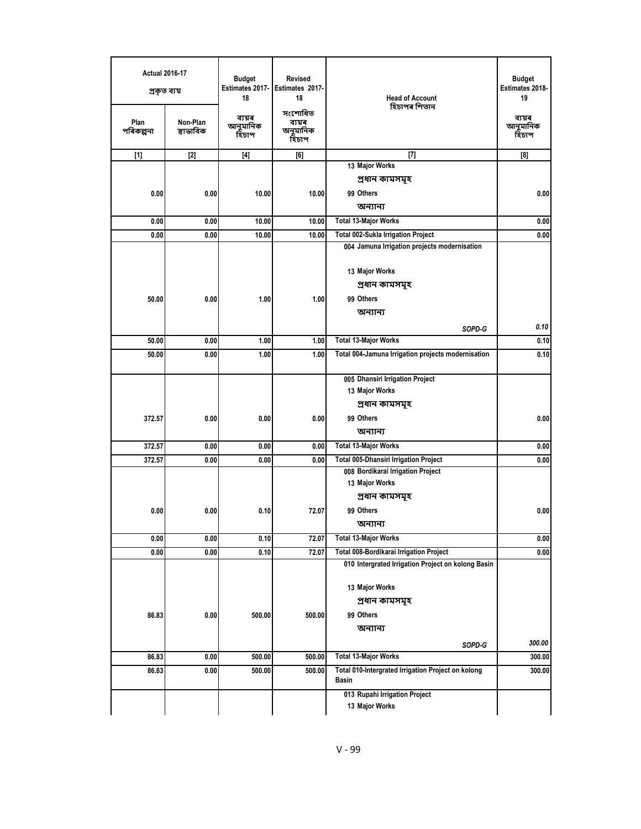| <b>Actual 2016-17</b><br>প্ৰকৃত ব্যয়<br>Plan | Non-Plan  | <b>Budget</b><br>Estimates 2017-<br>18<br>ব্যয়ৰ<br>আনুমানিক | <b>Revised</b><br>Estimates 2017-<br>18<br>সংশোধিত<br>ব্যয়ৰ | <b>Head of Account</b><br>হিচাপৰ শিতান                                                        | <b>Budget</b><br>Estimates 2018-<br>19<br>ব্যয়ৰ<br>আনুমানিক |
|-----------------------------------------------|-----------|--------------------------------------------------------------|--------------------------------------------------------------|-----------------------------------------------------------------------------------------------|--------------------------------------------------------------|
| পৰিকল্পনা                                     | স্বাভাবিক | হিচাপ                                                        | অনুমানিক<br>হিচাপ                                            |                                                                                               | হিচাপ                                                        |
| $[1]$                                         | $[2]$     | $[4]$                                                        | [6]                                                          | $[7]$                                                                                         | [8]                                                          |
|                                               |           |                                                              |                                                              | 13 Major Works                                                                                |                                                              |
|                                               |           |                                                              |                                                              | প্ৰধান কামসমূহ                                                                                |                                                              |
| 0.00                                          | 0.00      | 10.00                                                        | 10.00                                                        | 99 Others                                                                                     | 0.00                                                         |
|                                               |           |                                                              |                                                              | অন্যান্য                                                                                      |                                                              |
| 0.00                                          | 0.00      | 10.00                                                        | 10.00                                                        | <b>Total 13-Major Works</b>                                                                   | 0.00                                                         |
| 0.00                                          | 0.00      | 10.00                                                        | 10.00                                                        | Total 002-Sukla Irrigation Project<br>004 Jamuna Irrigation projects modernisation            | 0.00                                                         |
|                                               |           |                                                              |                                                              |                                                                                               |                                                              |
|                                               |           |                                                              |                                                              | 13 Major Works                                                                                |                                                              |
|                                               |           |                                                              |                                                              | প্ৰধান কামসমূহ                                                                                |                                                              |
| 50.00                                         | 0.00      | 1.00                                                         | 1.00                                                         | 99 Others                                                                                     |                                                              |
|                                               |           |                                                              |                                                              | অন্যান্য                                                                                      |                                                              |
|                                               |           |                                                              |                                                              | SOPD-G                                                                                        | 0.10                                                         |
| 50.00                                         | 0.00      | 1.00                                                         | 1.00                                                         | <b>Total 13-Major Works</b>                                                                   | 0.10                                                         |
| 50.00                                         | 0.00      | 1.00                                                         | 1.00                                                         | Total 004-Jamuna Irrigation projects modernisation                                            | 0.10                                                         |
|                                               |           |                                                              |                                                              |                                                                                               |                                                              |
|                                               |           |                                                              |                                                              | 005 Dhansiri Irrigation Project<br>13 Major Works                                             |                                                              |
|                                               |           |                                                              |                                                              | প্ৰধান কামসমূহ                                                                                |                                                              |
| 372.57                                        | 0.00      | 0.00                                                         | 0.00                                                         | 99 Others                                                                                     | 0.00                                                         |
|                                               |           |                                                              |                                                              | অন্যান্য                                                                                      |                                                              |
| 372.57                                        | 0.00      | 0.00                                                         | 0.00                                                         | <b>Total 13-Major Works</b>                                                                   | 0.00                                                         |
| 372.57                                        | 0.00      | 0.00                                                         | 0.00                                                         | <b>Total 005-Dhansiri Irrigation Project</b>                                                  | 0.00                                                         |
|                                               |           |                                                              |                                                              | 008 Bordikarai Irrigation Project                                                             |                                                              |
|                                               |           |                                                              |                                                              | 13 Major Works                                                                                |                                                              |
|                                               |           |                                                              |                                                              | প্ৰধান কামসমূহ                                                                                |                                                              |
| 0.00                                          | 0.00      | 0.10                                                         | 72.07                                                        | 99 Others                                                                                     | 0.00                                                         |
|                                               |           |                                                              |                                                              | অন্যান্য                                                                                      |                                                              |
| 0.00                                          | 0.00      | 0.10                                                         | 72.07                                                        | <b>Total 13-Major Works</b>                                                                   | 0.00                                                         |
| 0.00                                          | 0.00      | 0.10                                                         | 72.07                                                        | Total 008-Bordikarai Irrigation Project<br>010 Intergrated Irrigation Project on kolong Basin | 0.00                                                         |
|                                               |           |                                                              |                                                              |                                                                                               |                                                              |
|                                               |           |                                                              |                                                              | 13 Major Works                                                                                |                                                              |
|                                               |           |                                                              |                                                              | প্ৰধান কামসমূহ                                                                                |                                                              |
| 86.83                                         | 0.00      | 500.00                                                       | 500.00                                                       | 99 Others                                                                                     |                                                              |
|                                               |           |                                                              |                                                              | অন্যান্য                                                                                      |                                                              |
|                                               |           |                                                              |                                                              | SOPD-G                                                                                        | 300.00                                                       |
| 86.83                                         | 0.00      | 500.00                                                       | 500.00                                                       | <b>Total 13-Major Works</b>                                                                   | 300.00                                                       |
| 86.83                                         | 0.00      | 500.00                                                       | 500.00                                                       | Total 010-Intergrated Irrigation Project on kolong<br>Basin                                   | 300.00                                                       |
|                                               |           |                                                              |                                                              | 013 Rupahi Irrigation Project                                                                 |                                                              |
|                                               |           |                                                              |                                                              | 13 Major Works                                                                                |                                                              |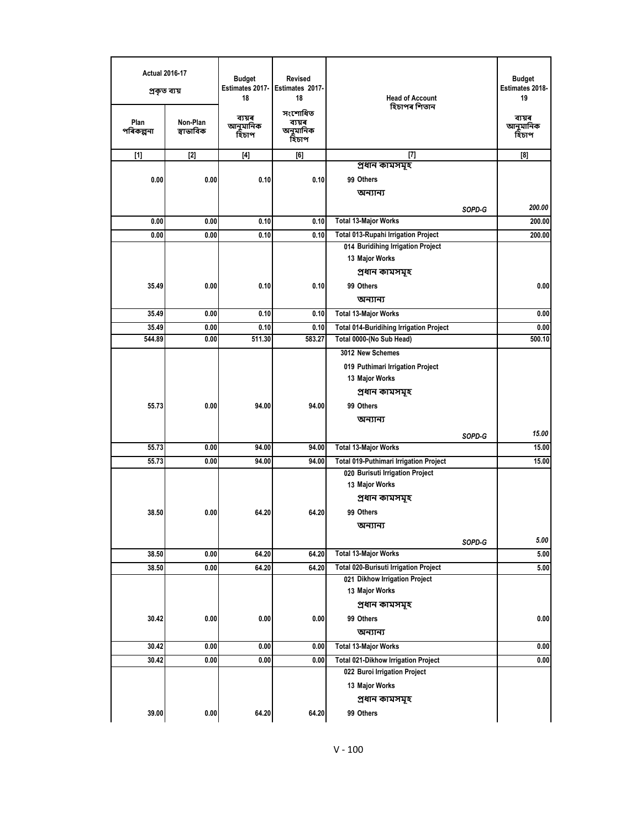| <b>Actual 2016-17</b><br>প্ৰকৃত ব্যয় |                       | <b>Budget</b><br>Estimates 2017-<br>18 | Revised<br>Estimates 2017-<br>18       | <b>Head of Account</b>                         |        | <b>Budget</b><br>Estimates 2018-<br>19 |
|---------------------------------------|-----------------------|----------------------------------------|----------------------------------------|------------------------------------------------|--------|----------------------------------------|
| Plan<br>পৰিকল্পনা                     | Non-Plan<br>স্বাভাবিক | ব্যয়ৰ<br>আনুমানিক<br>হিচাপ            | সংশোধিত<br>ব্যয়ৰ<br>অনুমানিক<br>হিচাপ | হিচাপৰ শিতান                                   |        | ব্যয়ৰ<br>আনুমানিক<br>হিচাপ            |
| $[1]$                                 | $[2]$                 | $[4]$                                  | [6]                                    | $[7]$                                          |        | [8]                                    |
|                                       |                       |                                        |                                        | প্ৰধান কামসমূহ                                 |        |                                        |
| 0.00                                  | 0.00                  | 0.10                                   | 0.10                                   | 99 Others                                      |        |                                        |
|                                       |                       |                                        |                                        | অন্যান্য                                       |        |                                        |
|                                       |                       |                                        |                                        |                                                | SOPD-G | 200.00                                 |
| 0.00                                  | 0.00                  | 0.10                                   | 0.10                                   | <b>Total 13-Major Works</b>                    |        | 200.00                                 |
| 0.00                                  | 0.00                  | 0.10                                   | 0.10                                   | Total 013-Rupahi Irrigation Project            |        | 200.00                                 |
|                                       |                       |                                        |                                        | 014 Buridihing Irrigation Project              |        |                                        |
|                                       |                       |                                        |                                        | 13 Major Works                                 |        |                                        |
|                                       |                       |                                        |                                        | প্ৰধান কামসমূহ                                 |        |                                        |
| 35.49                                 | 0.00                  | 0.10                                   | 0.10                                   | 99 Others                                      |        | 0.00                                   |
|                                       |                       |                                        |                                        | অন্যান্য                                       |        |                                        |
| 35.49                                 | 0.00                  | 0.10                                   | 0.10                                   | <b>Total 13-Major Works</b>                    |        | 0.00                                   |
| 35.49                                 | 0.00                  | 0.10                                   | 0.10                                   | <b>Total 014-Buridihing Irrigation Project</b> |        | 0.00                                   |
| 544.89                                | 0.00                  | 511.30                                 | 583.27                                 | Total 0000-(No Sub Head)                       |        | 500.10                                 |
|                                       |                       |                                        |                                        | 3012 New Schemes                               |        |                                        |
|                                       |                       |                                        |                                        | 019 Puthimari Irrigation Project               |        |                                        |
|                                       |                       |                                        |                                        | 13 Major Works                                 |        |                                        |
|                                       |                       |                                        |                                        | প্ৰধান কামসমূহ                                 |        |                                        |
| 55.73                                 | 0.00                  | 94.00                                  | 94.00                                  | 99 Others                                      |        |                                        |
|                                       |                       |                                        |                                        | অন্যান্য                                       |        |                                        |
|                                       |                       |                                        |                                        |                                                | SOPD-G | 15.00                                  |
| 55.73                                 | 0.00                  | 94.00                                  | 94.00                                  | <b>Total 13-Major Works</b>                    |        | 15.00                                  |
| 55.73                                 | 0.00                  | 94.00                                  | 94.00                                  | <b>Total 019-Puthimari Irrigation Project</b>  |        | 15.00                                  |
|                                       |                       |                                        |                                        | 020 Burisuti Irrigation Project                |        |                                        |
|                                       |                       |                                        |                                        | 13 Major Works                                 |        |                                        |
|                                       |                       |                                        |                                        | প্ৰধান কামসমূহ                                 |        |                                        |
| 38.50                                 | 0.00                  | 64.20                                  | 64.20                                  | 99 Others                                      |        |                                        |
|                                       |                       |                                        |                                        | অন্যান্য                                       |        |                                        |
|                                       |                       |                                        |                                        |                                                | SOPD-G | 5.00                                   |
| 38.50                                 | 0.00                  | 64.20                                  | 64.20                                  | <b>Total 13-Major Works</b>                    |        | 5.00                                   |
| 38.50                                 | 0.00                  | 64.20                                  | 64.20                                  | <b>Total 020-Burisuti Irrigation Project</b>   |        | 5.00                                   |
|                                       |                       |                                        |                                        | 021 Dikhow Irrigation Project                  |        |                                        |
|                                       |                       |                                        |                                        | 13 Major Works                                 |        |                                        |
|                                       |                       |                                        |                                        | প্ৰধান কামসমূহ                                 |        |                                        |
| 30.42                                 | 0.00                  | 0.00                                   | 0.00                                   | 99 Others                                      |        | 0.00                                   |
|                                       |                       |                                        |                                        | অন্যান্য                                       |        |                                        |
| 30.42                                 | 0.00                  | 0.00                                   | 0.00                                   | <b>Total 13-Major Works</b>                    |        | 0.00                                   |
| 30.42                                 | 0.00                  | 0.00                                   | 0.00                                   | <b>Total 021-Dikhow Irrigation Project</b>     |        | 0.00                                   |
|                                       |                       |                                        |                                        | 022 Buroi Irrigation Project                   |        |                                        |
|                                       |                       |                                        |                                        | 13 Major Works                                 |        |                                        |
|                                       |                       |                                        |                                        | প্ৰধান কামসমূহ                                 |        |                                        |
| 39.00                                 | 0.00                  | 64.20                                  | 64.20                                  | 99 Others                                      |        |                                        |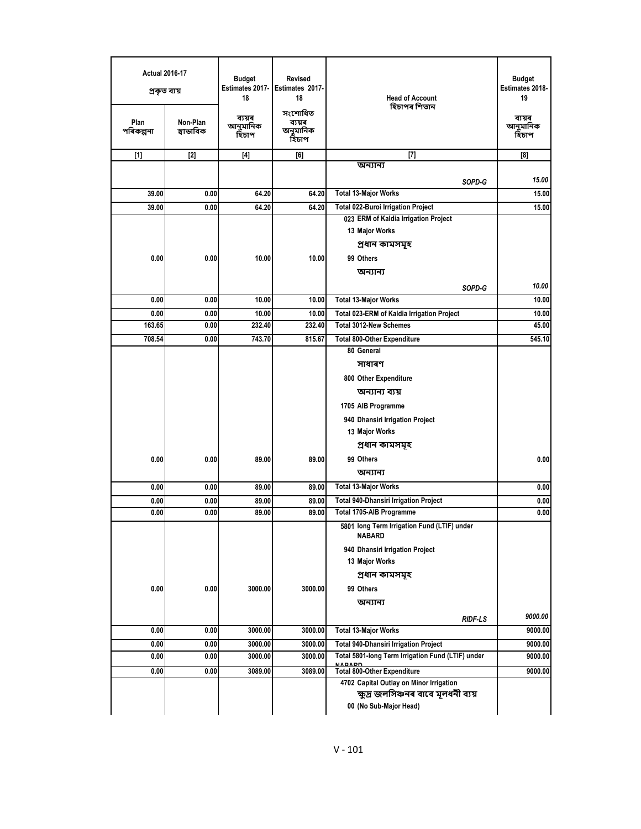| <b>Actual 2016-17</b><br>প্ৰকৃত ব্যয়<br>Plan | Non-Plan  | <b>Budget</b><br>Estimates 2017-<br>18<br>ব্যয়ৰ<br>আনুমানিক | Revised<br>Estimates 2017-<br>18<br>সংশোধিত<br>ব্যয়ৰ | <b>Head of Account</b><br>হিচাপৰ শিতান                       | <b>Budget</b><br>Estimates 2018-<br>19<br>ব্যয়ৰ<br>আনুমানিক |
|-----------------------------------------------|-----------|--------------------------------------------------------------|-------------------------------------------------------|--------------------------------------------------------------|--------------------------------------------------------------|
| পৰিকল্পনা                                     | স্বাভাবিক | হিচাপ                                                        | অনুমানিক<br>হিচাপ                                     |                                                              | হিঁচাপ                                                       |
| $[1]$                                         | $[2]$     | $[4]$                                                        | [6]                                                   | $[7]$                                                        | [8]                                                          |
|                                               |           |                                                              |                                                       | অন্যান্য                                                     |                                                              |
|                                               |           |                                                              |                                                       | SOPD-G                                                       | 15.00                                                        |
| 39.00                                         | 0.00      | 64.20                                                        | 64.20                                                 | <b>Total 13-Major Works</b>                                  | 15.00                                                        |
| 39.00                                         | 0.00      | 64.20                                                        | 64.20                                                 | <b>Total 022-Buroi Irrigation Project</b>                    | 15.00                                                        |
|                                               |           |                                                              |                                                       | 023 ERM of Kaldia Irrigation Project                         |                                                              |
|                                               |           |                                                              |                                                       | 13 Major Works                                               |                                                              |
|                                               |           |                                                              |                                                       | প্ৰধান কামসমূহ                                               |                                                              |
| 0.00                                          | 0.00      | 10.00                                                        | 10.00                                                 | 99 Others                                                    |                                                              |
|                                               |           |                                                              |                                                       | অন্যান্য                                                     |                                                              |
|                                               |           |                                                              |                                                       | SOPD-G                                                       | 10.00                                                        |
| 0.00                                          | 0.00      | 10.00                                                        | 10.00                                                 | <b>Total 13-Major Works</b>                                  | 10.00                                                        |
| 0.00                                          | 0.00      | 10.00                                                        | 10.00                                                 | <b>Total 023-ERM of Kaldia Irrigation Project</b>            | 10.00                                                        |
| 163.65                                        | 0.00      | 232.40                                                       | 232.40                                                | <b>Total 3012-New Schemes</b>                                | 45.00                                                        |
| 708.54                                        | 0.00      | 743.70                                                       | 815.67                                                | <b>Total 800-Other Expenditure</b>                           | 545.10                                                       |
|                                               |           |                                                              |                                                       | 80 General                                                   |                                                              |
|                                               |           |                                                              |                                                       | সাধাৰণ                                                       |                                                              |
|                                               |           |                                                              |                                                       | 800 Other Expenditure                                        |                                                              |
|                                               |           |                                                              |                                                       | অন্যান্য ব্যয়                                               |                                                              |
|                                               |           |                                                              |                                                       | 1705 AIB Programme                                           |                                                              |
|                                               |           |                                                              |                                                       | 940 Dhansiri Irrigation Project                              |                                                              |
|                                               |           |                                                              |                                                       | 13 Major Works                                               |                                                              |
|                                               |           |                                                              |                                                       | প্ৰধান কামসমূহ                                               |                                                              |
| 0.00                                          | 0.00      | 89.00                                                        | 89.00                                                 | 99 Others                                                    | 0.00                                                         |
|                                               |           |                                                              |                                                       | অন্যান্য                                                     |                                                              |
| 0.00                                          | 0.00      | 89.00                                                        | 89.00                                                 | <b>Total 13-Major Works</b>                                  | 0.00                                                         |
| 0.00                                          | 0.00      | 89.00                                                        | 89.00                                                 | <b>Total 940-Dhansiri Irrigation Project</b>                 | 0.00                                                         |
| 0.00                                          | 0.00      | 89.00                                                        | 89.00                                                 | Total 1705-AIB Programme                                     | 0.00                                                         |
|                                               |           |                                                              |                                                       | 5801 long Term Irrigation Fund (LTIF) under<br><b>NABARD</b> |                                                              |
|                                               |           |                                                              |                                                       | 940 Dhansiri Irrigation Project                              |                                                              |
|                                               |           |                                                              |                                                       | 13 Major Works                                               |                                                              |
|                                               |           |                                                              |                                                       | প্ৰধান কামসমূহ                                               |                                                              |
| 0.00                                          | 0.00      | 3000.00                                                      | 3000.00                                               | 99 Others                                                    |                                                              |
|                                               |           |                                                              |                                                       | অন্যান্য                                                     |                                                              |
|                                               |           |                                                              |                                                       | RIDF-LS                                                      | 9000.00                                                      |
| 0.00                                          | 0.00      | 3000.00                                                      | 3000.00                                               | <b>Total 13-Major Works</b>                                  | 9000.00                                                      |
| 0.00                                          | 0.00      | 3000.00                                                      | 3000.00                                               | <b>Total 940-Dhansiri Irrigation Project</b>                 | 9000.00                                                      |
| 0.00                                          | 0.00      | 3000.00                                                      | 3000.00                                               | Total 5801-long Term Irrigation Fund (LTIF) under            | 9000.00                                                      |
| 0.00                                          | 0.00      | 3089.00                                                      | 3089.00                                               | <b>NARADD</b><br><b>Total 800-Other Expenditure</b>          | 9000.00                                                      |
|                                               |           |                                                              |                                                       | 4702 Capital Outlay on Minor Irrigation                      |                                                              |
|                                               |           |                                                              |                                                       | ক্ষুদ্ৰ জলসিঞ্চনৰ বাবে মূলধনী ব্যয়                          |                                                              |
|                                               |           |                                                              |                                                       | 00 (No Sub-Major Head)                                       |                                                              |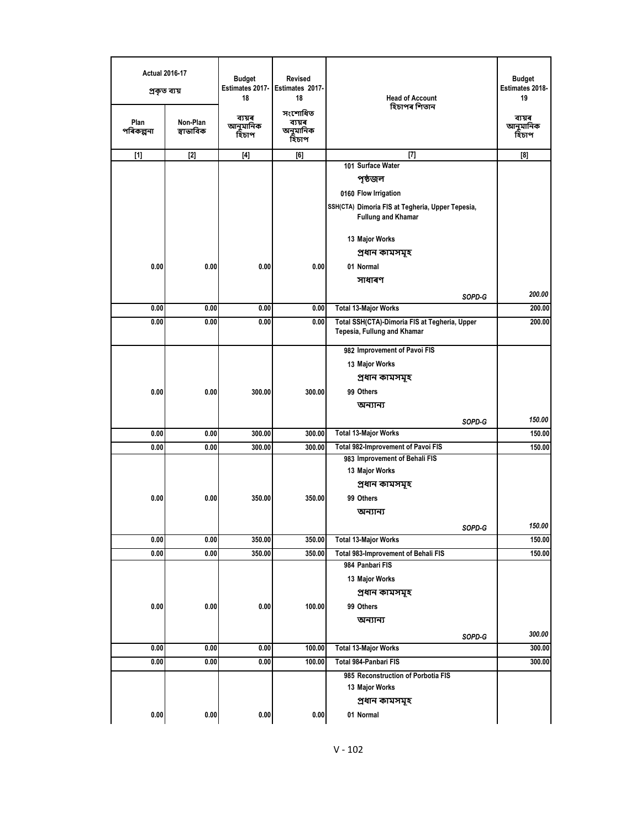| <b>Actual 2016-17</b><br>প্ৰকৃত ব্যয় |                       | <b>Budget</b><br>Estimates 2017-<br>18 | <b>Revised</b><br>Estimates 2017-<br>18 | <b>Head of Account</b>                                                        | <b>Budget</b><br>Estimates 2018-<br>19 |
|---------------------------------------|-----------------------|----------------------------------------|-----------------------------------------|-------------------------------------------------------------------------------|----------------------------------------|
| Plan<br>পৰিকল্পনা                     | Non-Plan<br>স্বাভাবিক | ব্যয়ৰ<br>আনুমানিক<br>হিচাপ            | সংশোধিত<br>ব্যয়ৰ<br>অনুমানিক<br>হিচাপ  | হিচাপৰ শিতান                                                                  | ব্যয়ৰ<br>আনুমানিক<br>হিঁচাপ           |
| $[1]$                                 | $[2]$                 | $[4]$                                  | [6]                                     | $[7]$                                                                         | [8]                                    |
|                                       |                       |                                        |                                         | 101 Surface Water                                                             |                                        |
|                                       |                       |                                        |                                         | পৃষ্ঠজল                                                                       |                                        |
|                                       |                       |                                        |                                         | 0160 Flow Irrigation                                                          |                                        |
|                                       |                       |                                        |                                         | SSH(CTA) Dimoria FIS at Tegheria, Upper Tepesia,<br><b>Fullung and Khamar</b> |                                        |
|                                       |                       |                                        |                                         | 13 Major Works                                                                |                                        |
|                                       |                       |                                        |                                         | প্ৰধান কামসমূহ                                                                |                                        |
| 0.00                                  | 0.00                  | 0.00                                   | 0.00                                    | 01 Normal                                                                     |                                        |
|                                       |                       |                                        |                                         | সাধাৰণ                                                                        |                                        |
|                                       |                       |                                        |                                         | SOPD-G                                                                        | 200.00                                 |
| 0.00                                  | 0.00                  | 0.00                                   | 0.00                                    | <b>Total 13-Major Works</b>                                                   | 200.00                                 |
| 0.00                                  | 0.00                  | 0.00                                   | 0.00                                    | Total SSH(CTA)-Dimoria FIS at Tegheria, Upper<br>Tepesia, Fullung and Khamar  | 200.00                                 |
|                                       |                       |                                        |                                         | 982 Improvement of Pavoi FIS                                                  |                                        |
|                                       |                       |                                        |                                         | 13 Major Works                                                                |                                        |
|                                       |                       |                                        |                                         | প্ৰধান কামসমূহ                                                                |                                        |
| 0.00                                  | 0.00                  | 300.00                                 | 300.00                                  | 99 Others                                                                     |                                        |
|                                       |                       |                                        |                                         | অন্যান্য                                                                      |                                        |
|                                       |                       |                                        |                                         | SOPD-G                                                                        | 150.00                                 |
| 0.00                                  | 0.00                  | 300.00                                 | 300.00                                  | <b>Total 13-Major Works</b>                                                   | 150.00                                 |
| 0.00                                  | 0.00                  | 300.00                                 | 300.00                                  | Total 982-Improvement of Pavoi FIS                                            | 150.00                                 |
|                                       |                       |                                        |                                         | 983 Improvement of Behali FIS                                                 |                                        |
|                                       |                       |                                        |                                         | 13 Major Works                                                                |                                        |
| 0.00                                  | 0.00                  | 350.00                                 | 350.00                                  | প্ৰধান কামসমূহ<br>99 Others                                                   |                                        |
|                                       |                       |                                        |                                         | অন্যান্য                                                                      |                                        |
|                                       |                       |                                        |                                         |                                                                               | 150.00                                 |
| 0.00                                  | 0.00                  | 350.00                                 | 350.00                                  | SOPD-G<br><b>Total 13-Major Works</b>                                         | 150.00                                 |
| 0.00                                  | 0.00                  | 350.00                                 | 350.00                                  | Total 983-Improvement of Behali FIS                                           | 150.00                                 |
|                                       |                       |                                        |                                         | 984 Panbari FIS                                                               |                                        |
|                                       |                       |                                        |                                         | 13 Major Works                                                                |                                        |
|                                       |                       |                                        |                                         | প্ৰধান কামসমূহ                                                                |                                        |
| 0.00                                  | 0.00                  | 0.00                                   | 100.00                                  | 99 Others                                                                     |                                        |
|                                       |                       |                                        |                                         | অন্যান্য                                                                      |                                        |
|                                       |                       |                                        |                                         | SOPD-G                                                                        | 300.00                                 |
| 0.00                                  | 0.00                  | 0.00                                   | 100.00                                  | <b>Total 13-Major Works</b>                                                   | 300.00                                 |
| 0.00                                  | 0.00                  | 0.00                                   | 100.00                                  | Total 984-Panbari FIS                                                         | 300.00                                 |
|                                       |                       |                                        |                                         | 985 Reconstruction of Porbotia FIS<br>13 Major Works                          |                                        |
|                                       |                       |                                        |                                         | প্ৰধান কামসমূহ                                                                |                                        |
| 0.00                                  | 0.00                  | 0.00                                   | 0.00                                    | 01 Normal                                                                     |                                        |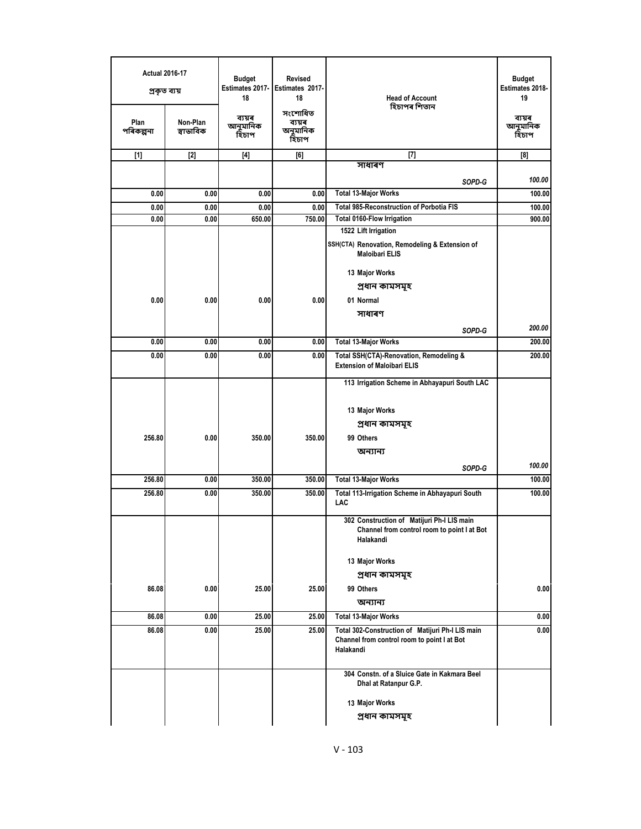| <b>Actual 2016-17</b><br>প্ৰকৃত ব্যয় |                       | <b>Revised</b><br>Budget<br>Estimates 2017-<br>Estimates 2017-<br>18<br>18 |                                        | <b>Head of Account</b><br>হিচাপৰ শিতান                                        | <b>Budget</b><br>Estimates 2018-<br>19 |
|---------------------------------------|-----------------------|----------------------------------------------------------------------------|----------------------------------------|-------------------------------------------------------------------------------|----------------------------------------|
| Plan<br>পৰিকল্পনা                     | Non-Plan<br>স্বাভাবিক | ব্যয়ৰ<br>আনুমানিক<br>হিচাপ                                                | সংশোধিত<br>ব্যয়ৰ<br>অনুমানিক<br>হিচাপ |                                                                               | ব্যয়ৰ<br>আনুমানিক<br>হিচাপ            |
| $[1]$                                 | $[2]$                 | $[4]$                                                                      | [6]                                    | $[7]$                                                                         | [8]                                    |
|                                       |                       |                                                                            |                                        | সাধাৰণ                                                                        |                                        |
|                                       |                       |                                                                            |                                        | SOPD-G                                                                        | 100.00                                 |
| 0.00                                  | 0.00                  | 0.00                                                                       | 0.00                                   | <b>Total 13-Major Works</b>                                                   | 100.00                                 |
| 0.00<br>0.00                          | 0.00<br>0.00          | 0.00<br>650.00                                                             | 0.00<br>750.00                         | <b>Total 985-Reconstruction of Porbotia FIS</b><br>Total 0160-Flow Irrigation | 100.00<br>900.00                       |
|                                       |                       |                                                                            |                                        | 1522 Lift Irrigation                                                          |                                        |
|                                       |                       |                                                                            |                                        | SSH(CTA) Renovation, Remodeling & Extension of<br><b>Maloibari ELIS</b>       |                                        |
|                                       |                       |                                                                            |                                        | 13 Major Works                                                                |                                        |
|                                       |                       |                                                                            |                                        | প্ৰধান কামসমূহ                                                                |                                        |
| 0.00                                  | 0.00                  | 0.00                                                                       | 0.00                                   | 01 Normal                                                                     |                                        |
|                                       |                       |                                                                            |                                        | সাধাৰণ                                                                        |                                        |
|                                       |                       |                                                                            |                                        | SOPD-G                                                                        | 200.00                                 |
| 0.00                                  | 0.00                  | 0.00                                                                       | 0.00                                   | <b>Total 13-Major Works</b>                                                   | 200.00                                 |
| 0.00                                  | 0.00                  | 0.00                                                                       | 0.00                                   | Total SSH(CTA)-Renovation, Remodeling &<br><b>Extension of Maloibari ELIS</b> | 200.00                                 |
|                                       |                       |                                                                            |                                        | 113 Irrigation Scheme in Abhayapuri South LAC                                 |                                        |
|                                       |                       |                                                                            |                                        |                                                                               |                                        |
|                                       |                       |                                                                            |                                        | 13 Major Works                                                                |                                        |
|                                       |                       |                                                                            |                                        | প্ৰধান কামসমূহ                                                                |                                        |
| 256.80                                | 0.00                  | 350.00                                                                     | 350.00                                 | 99 Others                                                                     |                                        |
|                                       |                       |                                                                            |                                        | অন্যান্য                                                                      |                                        |
|                                       |                       |                                                                            |                                        | SOPD-G                                                                        | 100.00                                 |
| 256.80                                | 0.00                  | 350.00                                                                     | 350.00                                 | <b>Total 13-Major Works</b>                                                   | 100.00                                 |
| 256.80                                | 0.00                  | 350.00                                                                     | 350.00                                 | Total 113-Irrigation Scheme in Abhayapuri South<br>LAC                        | 100.00                                 |
|                                       |                       |                                                                            |                                        | 302 Construction of Matijuri Ph-I LIS main                                    |                                        |
|                                       |                       |                                                                            |                                        | Channel from control room to point I at Bot<br>Halakandi                      |                                        |
|                                       |                       |                                                                            |                                        | 13 Major Works                                                                |                                        |
|                                       |                       |                                                                            |                                        | প্ৰধান কামসমূহ                                                                |                                        |
| 86.08                                 | 0.00                  | 25.00                                                                      | 25.00                                  | 99 Others                                                                     | 0.00                                   |
|                                       |                       |                                                                            |                                        | অন্যান্য                                                                      |                                        |
| 86.08                                 | 0.00                  | 25.00                                                                      | 25.00                                  | <b>Total 13-Major Works</b>                                                   | 0.00                                   |
| 86.08                                 | 0.00                  | 25.00                                                                      | 25.00                                  | Total 302-Construction of Matijuri Ph-I LIS main                              | 0.00                                   |
|                                       |                       |                                                                            |                                        | Channel from control room to point I at Bot<br>Halakandi                      |                                        |
|                                       |                       |                                                                            |                                        | 304 Constn. of a Sluice Gate in Kakmara Beel<br>Dhal at Ratanpur G.P.         |                                        |
|                                       |                       |                                                                            |                                        | 13 Major Works                                                                |                                        |
|                                       |                       |                                                                            |                                        | প্ৰধান কামসমূহ                                                                |                                        |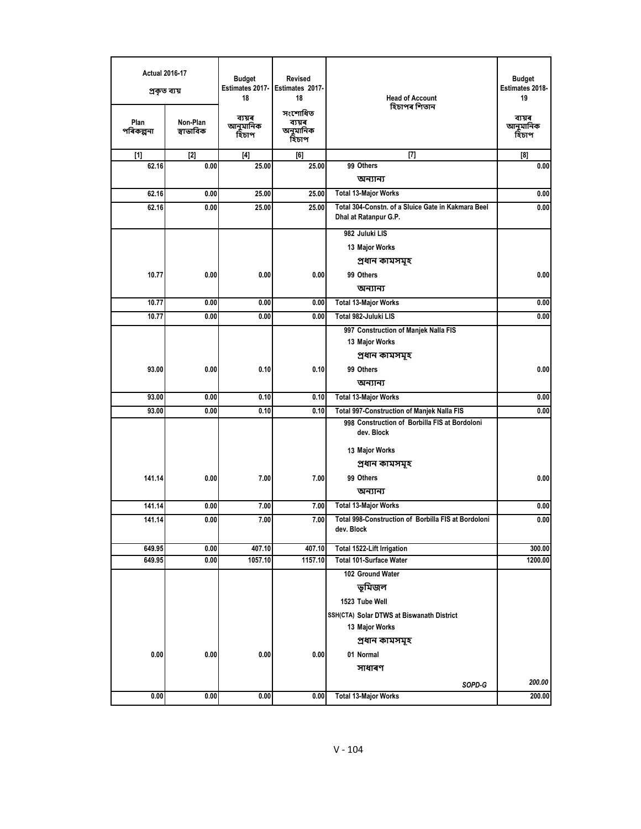| <b>Actual 2016-17</b><br>প্ৰকৃত ব্যয় |                       | <b>Budget</b><br>Estimates 2017-<br>18 | <b>Revised</b><br>Estimates 2017-<br>18 | <b>Head of Account</b>                                                      | <b>Budget</b><br>Estimates 2018-<br>19 |
|---------------------------------------|-----------------------|----------------------------------------|-----------------------------------------|-----------------------------------------------------------------------------|----------------------------------------|
| Plan<br>পৰিকল্পনা                     | Non-Plan<br>স্বাভাবিক | ব্যয়ৰ<br>আনুমানিক<br>হিচাপ            | সংশোধিত<br>ব্যয়ৰ<br>অনুমানিক<br>হিচাপ  | হিচাপৰ শিতান                                                                | ব্যয়ৰ<br>আনুমানিক<br>হিচাপ            |
| $[1]$                                 | $[2]$                 | $[4]$                                  | [6]                                     | $[7]$                                                                       | [8]                                    |
| 62.16                                 | 0.00                  | 25.00                                  | 25.00                                   | 99 Others                                                                   | 0.00                                   |
|                                       |                       |                                        |                                         | অন্যান্য                                                                    |                                        |
| 62.16                                 | 0.00                  | 25.00                                  | 25.00                                   | <b>Total 13-Major Works</b>                                                 | 0.00                                   |
| 62.16                                 | 0.00                  | 25.00                                  | 25.00                                   | Total 304-Constn, of a Sluice Gate in Kakmara Beel<br>Dhal at Ratanpur G.P. | 0.00                                   |
|                                       |                       |                                        |                                         | 982 Juluki LIS                                                              |                                        |
|                                       |                       |                                        |                                         | 13 Major Works                                                              |                                        |
|                                       |                       |                                        |                                         | প্ৰধান কামসমূহ                                                              |                                        |
| 10.77                                 | 0.00                  | 0.00                                   | 0.00                                    | 99 Others                                                                   | 0.00                                   |
|                                       |                       |                                        |                                         | অন্যান্য                                                                    |                                        |
| 10.77                                 | 0.00                  | 0.00                                   | 0.00                                    | <b>Total 13-Major Works</b>                                                 | 0.00                                   |
| 10.77                                 | 0.00                  | 0.00                                   | 0.00                                    | Total 982-Juluki LIS                                                        | 0.00                                   |
|                                       |                       |                                        |                                         | 997 Construction of Manjek Nalla FIS                                        |                                        |
|                                       |                       |                                        |                                         | 13 Major Works                                                              |                                        |
|                                       |                       |                                        |                                         | প্ৰধান কামসমূহ                                                              |                                        |
| 93.00                                 | 0.00                  | 0.10                                   | 0.10                                    | 99 Others                                                                   | 0.00                                   |
|                                       |                       |                                        |                                         | অন্যান্য                                                                    |                                        |
| 93.00                                 | 0.00                  | 0.10                                   | 0.10                                    | <b>Total 13-Major Works</b>                                                 | 0.00                                   |
| 93.00                                 | 0.00                  | 0.10                                   | 0.10                                    | Total 997-Construction of Manjek Nalla FIS                                  | 0.00                                   |
|                                       |                       |                                        |                                         | 998 Construction of Borbilla FIS at Bordoloni<br>dev. Block                 |                                        |
|                                       |                       |                                        |                                         | 13 Major Works                                                              |                                        |
|                                       |                       |                                        |                                         | প্ৰধান কামসমূহ                                                              |                                        |
| 141.14                                | 0.00                  | 7.00                                   | 7.00                                    | 99 Others                                                                   | 0.00                                   |
|                                       |                       |                                        |                                         | অন্যান্য                                                                    |                                        |
| 141.14                                | 0.00                  | 7.00                                   | 7.00                                    | <b>Total 13-Major Works</b>                                                 | 0.00                                   |
| 141.14                                | 0.00                  | 7.00                                   | 7.00                                    | <b>Total 998-Construction of Borbilla FIS at Bordoloni</b>                  | 0.00                                   |
|                                       |                       |                                        |                                         | dev. Block                                                                  |                                        |
| 649.95                                | 0.00                  | 407.10                                 | 407.10                                  | Total 1522-Lift Irrigation                                                  | 300.00                                 |
| 649.95                                | 0.00                  | 1057.10                                | 1157.10                                 | <b>Total 101-Surface Water</b>                                              | 1200.00                                |
|                                       |                       |                                        |                                         | 102 Ground Water                                                            |                                        |
|                                       |                       |                                        |                                         | ভূমিজল                                                                      |                                        |
|                                       |                       |                                        |                                         | 1523 Tube Well                                                              |                                        |
|                                       |                       |                                        |                                         | SSH(CTA) Solar DTWS at Biswanath District                                   |                                        |
|                                       |                       |                                        |                                         | 13 Major Works                                                              |                                        |
|                                       |                       |                                        |                                         | প্ৰধান কামসমূহ                                                              |                                        |
| 0.00                                  | 0.00                  | 0.00                                   | 0.00                                    | 01 Normal                                                                   |                                        |
|                                       |                       |                                        |                                         | সাধাৰণ                                                                      |                                        |
|                                       |                       |                                        |                                         | SOPD-G                                                                      | 200.00                                 |
| 0.00                                  | 0.00                  | 0.00                                   | 0.00                                    | <b>Total 13-Major Works</b>                                                 | 200.00                                 |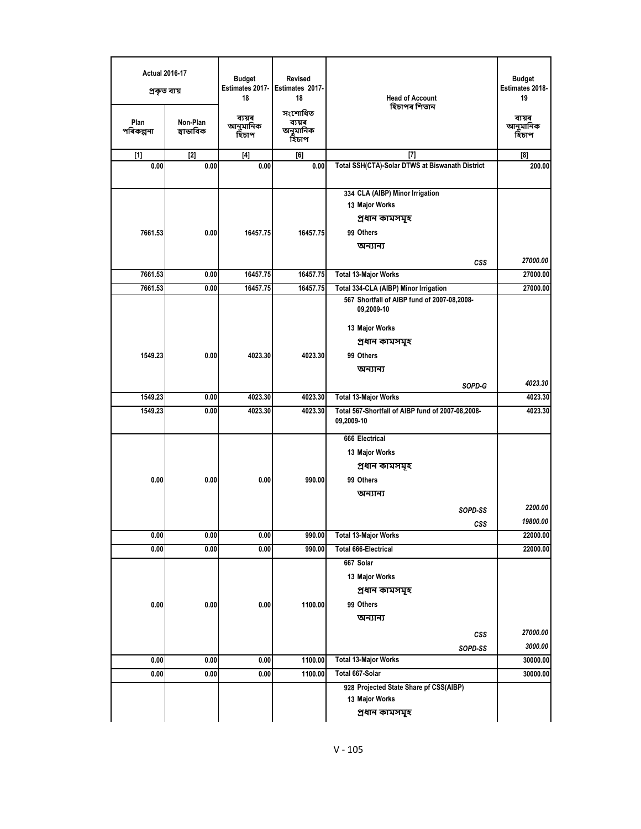| <b>Budget</b><br>Estimates 2018-<br>19 | <b>Head of Account</b><br>হিচাপৰ শিতান                          | <b>Revised</b><br><b>Budget</b><br>Estimates 2017-<br>Estimates 2017-<br>18<br>18 |                             | <b>Actual 2016-17</b><br>প্ৰকৃত ব্যয় |                   |
|----------------------------------------|-----------------------------------------------------------------|-----------------------------------------------------------------------------------|-----------------------------|---------------------------------------|-------------------|
| ব্যয়ৰ<br>আনুমানিক<br>হিচাপ            |                                                                 | সংশোধিত<br>ব্যয়ৰ<br>অনুমানিক<br>হিচাপ                                            | ব্যয়ৰ<br>আনুমানিক<br>হিচাপ | Non-Plan<br>স্বাভাবিক                 | Plan<br>পৰিকল্পনা |
| [8]                                    | $[7]$                                                           | [6]                                                                               | $[4]$                       | $[2]$                                 | $[1]$             |
| 200.00                                 | Total SSH(CTA)-Solar DTWS at Biswanath District                 | 0.00                                                                              | 0.00                        | 0.00                                  | 0.00              |
|                                        | 334 CLA (AIBP) Minor Irrigation                                 |                                                                                   |                             |                                       |                   |
|                                        | 13 Major Works                                                  |                                                                                   |                             |                                       |                   |
|                                        | প্ৰধান কামসমূহ                                                  |                                                                                   |                             |                                       |                   |
|                                        | 99 Others                                                       | 16457.75                                                                          | 16457.75                    | 0.00                                  | 7661.53           |
|                                        | অন্যান্য                                                        |                                                                                   |                             |                                       |                   |
| 27000.00                               | <b>CSS</b>                                                      |                                                                                   |                             |                                       |                   |
| 27000.00                               | <b>Total 13-Major Works</b>                                     | 16457.75                                                                          | 16457.75                    | 0.00                                  | 7661.53           |
| 27000.00                               | Total 334-CLA (AIBP) Minor Irrigation                           | 16457.75                                                                          | 16457.75                    | 0.00                                  | 7661.53           |
|                                        | 567 Shortfall of AIBP fund of 2007-08,2008-<br>09,2009-10       |                                                                                   |                             |                                       |                   |
|                                        | 13 Major Works                                                  |                                                                                   |                             |                                       |                   |
|                                        | প্ৰধান কামসমূহ                                                  |                                                                                   |                             |                                       |                   |
|                                        | 99 Others                                                       | 4023.30                                                                           | 4023.30                     | 0.00                                  | 1549.23           |
|                                        | অন্যান্য                                                        |                                                                                   |                             |                                       |                   |
| 4023.30                                | SOPD-G                                                          |                                                                                   |                             |                                       |                   |
| 4023.30                                | <b>Total 13-Major Works</b>                                     | 4023.30                                                                           | 4023.30                     | 0.00                                  | 1549.23           |
| 4023.30                                | Total 567-Shortfall of AIBP fund of 2007-08,2008-<br>09,2009-10 | 4023.30                                                                           | 4023.30                     | 0.00                                  | 1549.23           |
|                                        | 666 Electrical                                                  |                                                                                   |                             |                                       |                   |
|                                        | 13 Major Works                                                  |                                                                                   |                             |                                       |                   |
|                                        | প্ৰধান কামসমূহ                                                  |                                                                                   |                             |                                       |                   |
|                                        | 99 Others                                                       | 990.00                                                                            | 0.00                        | 0.00                                  | 0.00              |
|                                        | অন্যান্য                                                        |                                                                                   |                             |                                       |                   |
| 2200.00                                | SOPD-SS                                                         |                                                                                   |                             |                                       |                   |
| 19800.00                               | <b>CSS</b>                                                      |                                                                                   |                             |                                       |                   |
| 22000.00                               | <b>Total 13-Major Works</b>                                     | 990.00                                                                            | 0.00                        | 0.00                                  | 0.00              |
| 22000.00                               | <b>Total 666-Electrical</b>                                     | 990.00                                                                            | 0.00                        | 0.00                                  | 0.00              |
|                                        | 667 Solar                                                       |                                                                                   |                             |                                       |                   |
|                                        | 13 Major Works                                                  |                                                                                   |                             |                                       |                   |
|                                        | প্ৰধান কামসমূহ                                                  |                                                                                   |                             |                                       |                   |
|                                        | 99 Others                                                       | 1100.00                                                                           | 0.00                        | 0.00                                  | 0.00              |
|                                        | অন্যান্য                                                        |                                                                                   |                             |                                       |                   |
| 27000.00                               | <b>CSS</b>                                                      |                                                                                   |                             |                                       |                   |
|                                        | SOPD-SS                                                         |                                                                                   |                             |                                       |                   |
| 3000.00                                | <b>Total 13-Major Works</b>                                     | 1100.00                                                                           | 0.00                        | 0.00                                  | 0.00              |
| 30000.00                               |                                                                 |                                                                                   |                             |                                       | 0.00              |
| 30000.00                               | Total 667-Solar                                                 | 1100.00                                                                           | 0.00                        | 0.00                                  |                   |
|                                        | 928 Projected State Share pf CSS(AIBP)                          |                                                                                   |                             |                                       |                   |
|                                        | 13 Major Works                                                  |                                                                                   |                             |                                       |                   |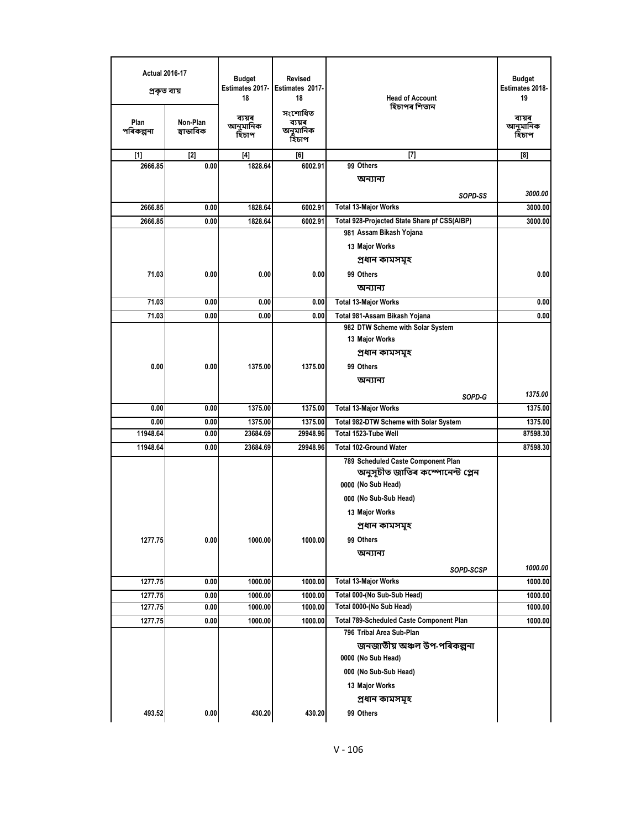| <b>Budget</b><br>Estimates 2018-<br>19 | <b>Head of Account</b><br>হিচাপৰ শিতান          | Revised<br>Estimates 2017-<br>18<br>সংশোধিত | <b>Budget</b><br><b>Estimates 2017-</b><br>18 | <b>Actual 2016-17</b><br>প্ৰকৃত ব্যয় |                   |
|----------------------------------------|-------------------------------------------------|---------------------------------------------|-----------------------------------------------|---------------------------------------|-------------------|
| ব্যয়ৰ<br>আনুমানিক<br>হিচাপ            |                                                 | ব্যয়ৰ<br>অনুমানিক<br>হিচাপ                 | ব্যয়ৰ<br>আনুমানিক<br>হিচাপ                   | Non-Plan<br>স্বাভাবিক                 | Plan<br>পৰিকল্পনা |
| $^{[8]}$                               | $[7]$                                           | [6]                                         | $[4]$                                         | [2]                                   | $[1]$             |
|                                        | 99 Others                                       | 6002.91                                     | 1828.64                                       | 0.00                                  | 2666.85           |
|                                        | অন্যান্য                                        |                                             |                                               |                                       |                   |
| 3000.00                                | SOPD-SS                                         |                                             |                                               |                                       |                   |
| 3000.00                                | <b>Total 13-Major Works</b>                     | 6002.91                                     | 1828.64                                       | 0.00                                  | 2666.85           |
| 3000.00                                | Total 928-Projected State Share pf CSS(AIBP)    | 6002.91                                     | 1828.64                                       | 0.00                                  | 2666.85           |
|                                        | 981 Assam Bikash Yojana                         |                                             |                                               |                                       |                   |
|                                        | 13 Major Works                                  |                                             |                                               |                                       |                   |
|                                        | প্ৰধান কামসমূহ                                  |                                             |                                               |                                       |                   |
| 0.00                                   | 99 Others                                       | 0.00                                        | 0.00                                          | 0.00                                  | 71.03             |
|                                        | অন্যান্য                                        |                                             |                                               |                                       |                   |
| 0.00                                   | Total 13-Major Works                            | 0.00                                        | 0.00                                          | 0.00                                  | 71.03             |
| 0.00                                   | Total 981-Assam Bikash Yojana                   | 0.00                                        | 0.00                                          | 0.00                                  | 71.03             |
|                                        | 982 DTW Scheme with Solar System                |                                             |                                               |                                       |                   |
|                                        | 13 Major Works                                  |                                             |                                               |                                       |                   |
|                                        | প্ৰধান কামসমূহ                                  |                                             |                                               |                                       |                   |
|                                        | 99 Others                                       | 1375.00                                     | 1375.00                                       | 0.00                                  | 0.00              |
|                                        |                                                 |                                             |                                               |                                       |                   |
|                                        | অন্যান্য                                        |                                             |                                               |                                       |                   |
| 1375.00                                | SOPD-G                                          |                                             |                                               |                                       |                   |
| 1375.00                                | <b>Total 13-Major Works</b>                     | 1375.00                                     | 1375.00                                       | 0.00                                  | 0.00              |
| 1375.00                                | <b>Total 982-DTW Scheme with Solar System</b>   | 1375.00                                     | 1375.00                                       | 0.00                                  | 0.00              |
| 87598.30                               | Total 1523-Tube Well                            | 29948.96                                    | 23684.69                                      | 0.00                                  | 11948.64          |
| 87598.30                               | <b>Total 102-Ground Water</b>                   | 29948.96                                    | 23684.69                                      | 0.00                                  | 11948.64          |
|                                        | 789 Scheduled Caste Component Plan              |                                             |                                               |                                       |                   |
|                                        | অনুসূচীত জাতিৰ কম্পোনেন্ট প্লেন                 |                                             |                                               |                                       |                   |
|                                        | 0000 (No Sub Head)                              |                                             |                                               |                                       |                   |
|                                        | 000 (No Sub-Sub Head)                           |                                             |                                               |                                       |                   |
|                                        | 13 Major Works                                  |                                             |                                               |                                       |                   |
|                                        | প্ৰধান কামসমূহ                                  |                                             |                                               |                                       |                   |
|                                        | 99 Others                                       | 1000.00                                     | 1000.00                                       | 0.00                                  | 1277.75           |
|                                        | অন্যান্য                                        |                                             |                                               |                                       |                   |
|                                        |                                                 |                                             |                                               |                                       |                   |
| 1000.00                                | SOPD-SCSP                                       |                                             |                                               |                                       |                   |
| 1000.00                                | <b>Total 13-Major Works</b>                     | 1000.00                                     | 1000.00                                       | 0.00                                  | 1277.75           |
| 1000.00                                | Total 000-(No Sub-Sub Head)                     | 1000.00                                     | 1000.00                                       | 0.00                                  | 1277.75           |
| 1000.00                                | Total 0000-(No Sub Head)                        | 1000.00                                     | 1000.00                                       | 0.00                                  | 1277.75           |
| 1000.00                                | <b>Total 789-Scheduled Caste Component Plan</b> | 1000.00                                     | 1000.00                                       | 0.00                                  | 1277.75           |
|                                        | 796 Tribal Area Sub-Plan                        |                                             |                                               |                                       |                   |
|                                        | জনজাতীয় অঞ্চল উপ-পৰিকল্পনা                     |                                             |                                               |                                       |                   |
|                                        | 0000 (No Sub Head)                              |                                             |                                               |                                       |                   |
|                                        | 000 (No Sub-Sub Head)                           |                                             |                                               |                                       |                   |
|                                        | 13 Major Works                                  |                                             |                                               |                                       |                   |
|                                        | প্ৰধান কামসমূহ                                  |                                             |                                               |                                       |                   |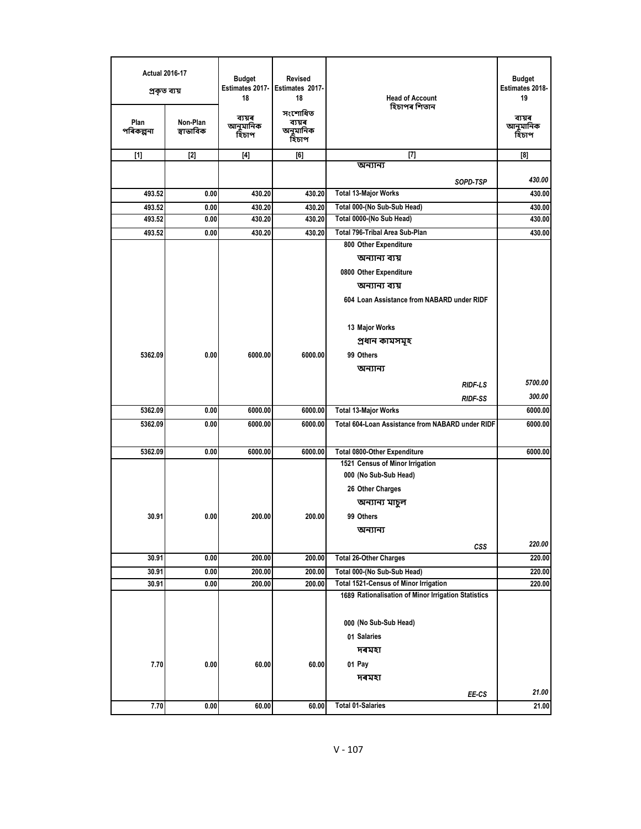| <b>Actual 2016-17</b><br>প্ৰকৃত ব্যয় |                       | <b>Revised</b><br>Budget<br>Estimates 2017-<br>Estimates 2017-<br>18<br>18 |                                        | <b>Head of Account</b>                                  | <b>Budget</b><br>Estimates 2018-<br>19 |
|---------------------------------------|-----------------------|----------------------------------------------------------------------------|----------------------------------------|---------------------------------------------------------|----------------------------------------|
| Plan<br>পৰিকল্পনা                     | Non-Plan<br>স্বাভাবিক | ব্যয়ৰ<br>আনুমানিক<br>হিচাপ                                                | সংশোধিত<br>ব্যয়ৰ<br>অনুমানিক<br>হিচাপ | হিচাপৰ শিতান                                            | ব্যয়ৰ<br>আনুমানিক<br>হিঁচাপ           |
| $[1]$                                 | $[2]$                 | $[4]$                                                                      | [6]                                    | $[7]$                                                   | [8]                                    |
|                                       |                       |                                                                            |                                        | অন্যান্য                                                |                                        |
|                                       |                       |                                                                            |                                        | SOPD-TSP                                                | 430.00                                 |
| 493.52                                | 0.00                  | 430.20                                                                     | 430.20                                 | <b>Total 13-Major Works</b>                             | 430.00                                 |
| 493.52                                | 0.00                  | 430.20                                                                     | 430.20                                 | Total 000-(No Sub-Sub Head)                             | 430.00                                 |
| 493.52                                | 0.00                  | 430.20                                                                     | 430.20                                 | Total 0000-(No Sub Head)                                | 430.00                                 |
| 493.52                                | 0.00                  | 430.20                                                                     | 430.20                                 | Total 796-Tribal Area Sub-Plan<br>800 Other Expenditure | 430.00                                 |
|                                       |                       |                                                                            |                                        | অন্যান্য ব্যয়                                          |                                        |
|                                       |                       |                                                                            |                                        | 0800 Other Expenditure                                  |                                        |
|                                       |                       |                                                                            |                                        | অন্যান্য ব্যয়                                          |                                        |
|                                       |                       |                                                                            |                                        | 604 Loan Assistance from NABARD under RIDF              |                                        |
|                                       |                       |                                                                            |                                        |                                                         |                                        |
|                                       |                       |                                                                            |                                        | 13 Major Works                                          |                                        |
|                                       |                       |                                                                            |                                        | প্ৰধান কামসমূহ                                          |                                        |
| 5362.09                               | 0.00                  | 6000.00                                                                    | 6000.00                                | 99 Others                                               |                                        |
|                                       |                       |                                                                            |                                        | অন্যান্য                                                |                                        |
|                                       |                       |                                                                            |                                        |                                                         | 5700.00                                |
|                                       |                       |                                                                            |                                        | <b>RIDF-LS</b><br><b>RIDF-SS</b>                        | 300.00                                 |
| 5362.09                               | 0.00                  | 6000.00                                                                    | 6000.00                                | <b>Total 13-Major Works</b>                             | 6000.00                                |
| 5362.09                               | 0.00                  | 6000.00                                                                    | 6000.00                                | Total 604-Loan Assistance from NABARD under RIDF        | 6000.00                                |
|                                       |                       |                                                                            |                                        |                                                         |                                        |
| 5362.09                               | 0.00                  | 6000.00                                                                    | 6000.00                                | <b>Total 0800-Other Expenditure</b>                     | 6000.00                                |
|                                       |                       |                                                                            |                                        | 1521 Census of Minor Irrigation                         |                                        |
|                                       |                       |                                                                            |                                        | 000 (No Sub-Sub Head)                                   |                                        |
|                                       |                       |                                                                            |                                        | 26 Other Charges                                        |                                        |
|                                       |                       |                                                                            |                                        | অন্যান্য মাচুল                                          |                                        |
| 30.91                                 | 0.00                  | 200.00                                                                     | 200.00                                 | 99 Others                                               |                                        |
|                                       |                       |                                                                            |                                        | অন্যান্য                                                |                                        |
|                                       |                       |                                                                            |                                        | CSS                                                     | 220.00                                 |
| 30.91                                 | 0.00                  | 200.00                                                                     | 200.00                                 | <b>Total 26-Other Charges</b>                           | 220.00                                 |
| 30.91                                 | 0.00                  | 200.00                                                                     | 200.00                                 | Total 000-(No Sub-Sub Head)                             | 220.00                                 |
| 30.91                                 | 0.00                  | 200.00                                                                     | 200.00                                 | <b>Total 1521-Census of Minor Irrigation</b>            | 220.00                                 |
|                                       |                       |                                                                            |                                        | 1689 Rationalisation of Minor Irrigation Statistics     |                                        |
|                                       |                       |                                                                            |                                        | 000 (No Sub-Sub Head)                                   |                                        |
|                                       |                       |                                                                            |                                        | 01 Salaries                                             |                                        |
|                                       |                       |                                                                            |                                        | দৰমহা                                                   |                                        |
|                                       |                       |                                                                            |                                        |                                                         |                                        |
| 7.70                                  | 0.00                  | 60.00                                                                      | 60.00                                  | 01 Pay                                                  |                                        |
|                                       |                       |                                                                            |                                        | দৰমহা                                                   |                                        |
|                                       |                       |                                                                            |                                        | EE-CS                                                   | 21.00                                  |
| 7.70                                  | 0.00                  | 60.00                                                                      | 60.00                                  | <b>Total 01-Salaries</b>                                | 21.00                                  |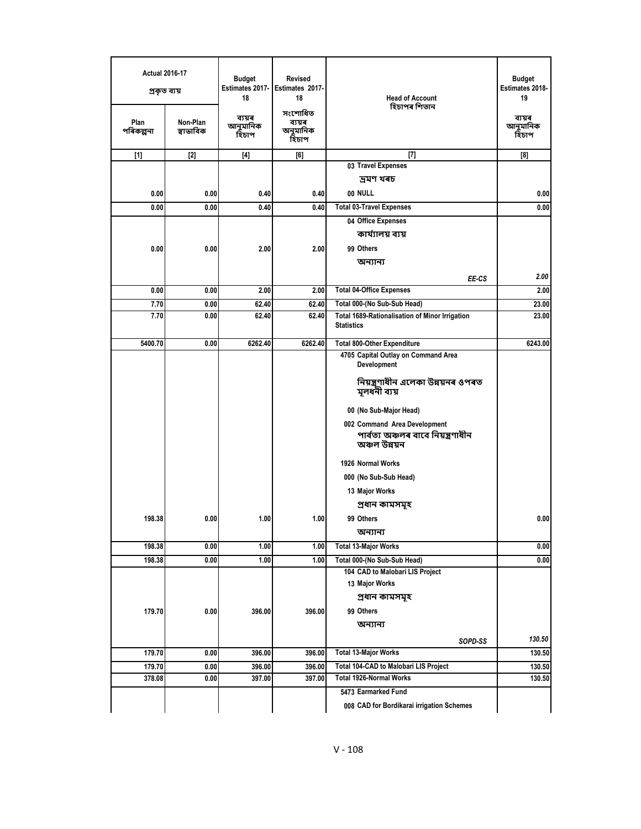| <b>Actual 2016-17</b><br>প্ৰকৃত ব্যয় |                       | <b>Budget</b><br>Estimates 2017-<br>18 | <b>Revised</b><br>Estimates 2017-<br>18 | <b>Head of Account</b><br>হিচাপৰ শিতান                              | Budget<br>Estimates 2018-<br>19 |
|---------------------------------------|-----------------------|----------------------------------------|-----------------------------------------|---------------------------------------------------------------------|---------------------------------|
| Plan<br>পৰিকল্পনা                     | Non-Plan<br>স্বাভাবিক | ব্যয়ৰ<br>আনুমানিক<br>হিচাপ            | সংশোধিত<br>ব্যয়ৰ<br>অনুমানিক<br>হিচাপ  |                                                                     | ব্যয়ৰ<br>আনুমানিক<br>হিচাপ     |
| $[1]$                                 | $[2]$                 | $[4]$                                  | [6]                                     | $[7]$                                                               | $^{[8]}$                        |
|                                       |                       |                                        |                                         | 03 Travel Expenses                                                  |                                 |
|                                       |                       |                                        |                                         | দ্ৰমণ খৰচ                                                           |                                 |
| 0.00                                  | 0.00                  | 0.40                                   | 0.40                                    | 00 NULL                                                             | 0.00                            |
| 0.00                                  | 0.00                  | 0.40                                   | 0.40                                    | <b>Total 03-Travel Expenses</b>                                     | 0.00                            |
|                                       |                       |                                        |                                         | 04 Office Expenses                                                  |                                 |
|                                       |                       |                                        |                                         | কাৰ্য্যালয় ব্যয়                                                   |                                 |
| 0.00                                  | 0.00                  | 2.00                                   | 2.00                                    | 99 Others                                                           |                                 |
|                                       |                       |                                        |                                         | অন্যান্য                                                            |                                 |
|                                       |                       |                                        |                                         | EE-CS                                                               | 2.00                            |
| 0.00                                  | 0.00                  | 2.00                                   | 2.00                                    | <b>Total 04-Office Expenses</b>                                     | 2.00                            |
| 7.70                                  | 0.00                  | 62.40                                  | 62.40                                   | Total 000-(No Sub-Sub Head)                                         | 23.00                           |
| 7.70                                  | 0.00                  | 62.40                                  | 62.40                                   | Total 1689-Rationalisation of Minor Irrigation<br><b>Statistics</b> | 23.00                           |
| 5400.70                               | 0.00                  | 6262.40                                | 6262.40                                 | <b>Total 800-Other Expenditure</b>                                  | 6243.00                         |
|                                       |                       |                                        |                                         | 4705 Capital Outlay on Command Area<br>Development                  |                                 |
|                                       |                       |                                        |                                         | নিয়ন্ত্ৰণাধীন এলেকা উন্নয়নৰ ওপৰত<br>মূলধনী ব্যয়                  |                                 |
|                                       |                       |                                        |                                         | 00 (No Sub-Major Head)                                              |                                 |
|                                       |                       |                                        |                                         | 002 Command Area Development                                        |                                 |
|                                       |                       |                                        |                                         | পাৰ্বত্য অঞ্চলৰ বাবে নিয়ন্ত্ৰণাধীন<br>অঞ্চল উন্নয়ন                |                                 |
|                                       |                       |                                        |                                         | 1926 Normal Works                                                   |                                 |
|                                       |                       |                                        |                                         | 000 (No Sub-Sub Head)                                               |                                 |
|                                       |                       |                                        |                                         | 13 Major Works                                                      |                                 |
|                                       |                       |                                        |                                         | প্ৰধান কামসমূহ                                                      |                                 |
| 198.38                                | 0.00                  | 1.00                                   | 1.00                                    | 99 Others                                                           | 0.00                            |
|                                       |                       |                                        |                                         | অন্যান্য                                                            |                                 |
| 198.38                                | 0.00                  | 1.00                                   | 1.00                                    | <b>Total 13-Major Works</b>                                         | 0.00                            |
| 198.38                                | 0.00                  | 1.00                                   | 1.00                                    | Total 000-(No Sub-Sub Head)                                         | 0.00                            |
|                                       |                       |                                        |                                         | 104 CAD to Malobari LIS Project                                     |                                 |
|                                       |                       |                                        |                                         | 13 Major Works                                                      |                                 |
|                                       |                       |                                        |                                         | প্ৰধান কামসমূহ                                                      |                                 |
| 179.70                                | 0.00                  | 396.00                                 | 396.00                                  | 99 Others                                                           |                                 |
|                                       |                       |                                        |                                         | অন্যান্য                                                            |                                 |
|                                       |                       |                                        |                                         | SOPD-SS                                                             | 130.50                          |
| 179.70                                | 0.00                  | 396.00                                 | 396.00                                  | <b>Total 13-Major Works</b>                                         | 130.50                          |
| 179.70                                | 0.00                  | 396.00                                 | 396.00                                  | Total 104-CAD to Malobari LIS Project                               | 130.50                          |
| 378.08                                | 0.00                  | 397.00                                 | 397.00                                  | Total 1926-Normal Works                                             | 130.50                          |
|                                       |                       |                                        |                                         | 5473 Earmarked Fund                                                 |                                 |
|                                       |                       |                                        |                                         | 008 CAD for Bordikarai irrigation Schemes                           |                                 |